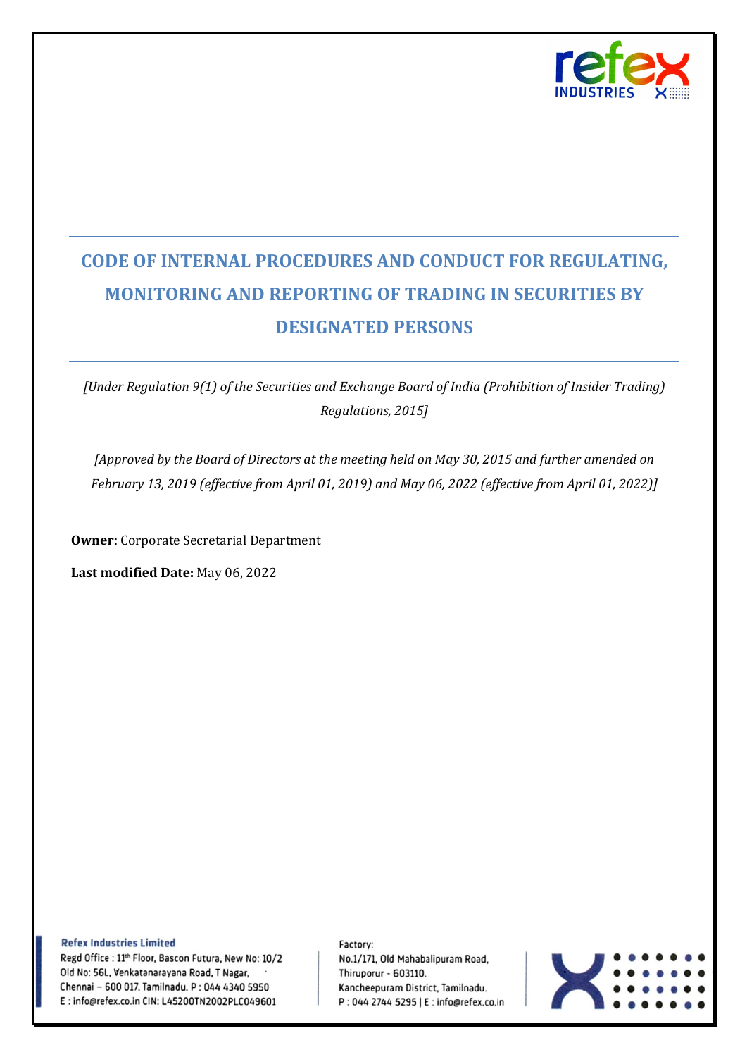

# **CODE OF INTERNAL PROCEDURES AND CONDUCT FOR REGULATING, MONITORING AND REPORTING OF TRADING IN SECURITIES BY DESIGNATED PERSONS**

*[Under Regulation 9(1) of the Securities and Exchange Board of India (Prohibition of Insider Trading) Regulations, 2015]*

*[Approved by the Board of Directors at the meeting held on May 30, 2015 and further amended on February 13, 2019 (effective from April 01, 2019) and May 06, 2022 (effective from April 01, 2022)]*

**Owner:** Corporate Secretarial Department

**Last modified Date:** May 06, 2022

**Refex Industries Limited** 

Regd Office : 11<sup>th</sup> Floor, Bascon Futura, New No: 10/2 Old No: 56L, Venkatanarayana Road, T Nagar, Chennai - 600 017. Tamilnadu. P: 044 4340 5950 E: info@refex.co.in CIN: L45200TN2002PLC049601

Factory: No.1/171, Old Mahabalipuram Road, Thiruporur - 603110. Kancheepuram District, Tamilnadu. P: 044 2744 5295 | E: info@refex.co.in

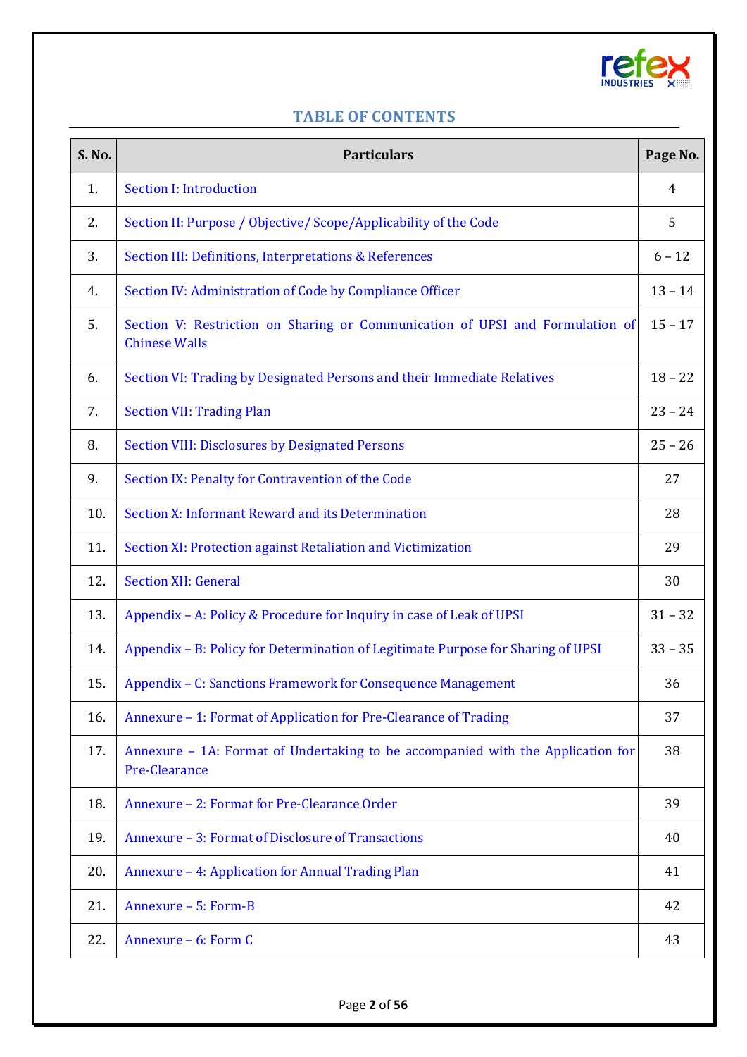

## **TABLE OF CONTENTS**

<span id="page-1-21"></span><span id="page-1-20"></span><span id="page-1-19"></span><span id="page-1-18"></span><span id="page-1-17"></span><span id="page-1-16"></span><span id="page-1-15"></span><span id="page-1-14"></span><span id="page-1-13"></span><span id="page-1-12"></span><span id="page-1-11"></span><span id="page-1-10"></span><span id="page-1-9"></span><span id="page-1-8"></span><span id="page-1-7"></span><span id="page-1-6"></span><span id="page-1-5"></span><span id="page-1-4"></span><span id="page-1-3"></span><span id="page-1-2"></span><span id="page-1-1"></span><span id="page-1-0"></span>

| S. No. | <b>Particulars</b>                                                                                    | Page No.  |
|--------|-------------------------------------------------------------------------------------------------------|-----------|
| 1.     | <b>Section I: Introduction</b>                                                                        | 4         |
| 2.     | Section II: Purpose / Objective/ Scope/Applicability of the Code                                      | 5         |
| 3.     | Section III: Definitions, Interpretations & References                                                | $6 - 12$  |
| 4.     | Section IV: Administration of Code by Compliance Officer                                              | $13 - 14$ |
| 5.     | Section V: Restriction on Sharing or Communication of UPSI and Formulation of<br><b>Chinese Walls</b> | $15 - 17$ |
| 6.     | Section VI: Trading by Designated Persons and their Immediate Relatives                               | $18 - 22$ |
| 7.     | <b>Section VII: Trading Plan</b>                                                                      | $23 - 24$ |
| 8.     | <b>Section VIII: Disclosures by Designated Persons</b>                                                | $25 - 26$ |
| 9.     | Section IX: Penalty for Contravention of the Code                                                     | 27        |
| 10.    | Section X: Informant Reward and its Determination                                                     | 28        |
| 11.    | Section XI: Protection against Retaliation and Victimization                                          | 29        |
| 12.    | <b>Section XII: General</b>                                                                           | 30        |
| 13.    | Appendix - A: Policy & Procedure for Inquiry in case of Leak of UPSI                                  | $31 - 32$ |
| 14.    | Appendix - B: Policy for Determination of Legitimate Purpose for Sharing of UPSI                      | $33 - 35$ |
| 15.    | Appendix - C: Sanctions Framework for Consequence Management                                          | 36        |
| 16.    | Annexure - 1: Format of Application for Pre-Clearance of Trading                                      | 37        |
| 17.    | Annexure - 1A: Format of Undertaking to be accompanied with the Application for<br>Pre-Clearance      | 38        |
| 18.    | Annexure - 2: Format for Pre-Clearance Order                                                          | 39        |
| 19.    | Annexure - 3: Format of Disclosure of Transactions                                                    | 40        |
| 20.    | Annexure - 4: Application for Annual Trading Plan                                                     | 41        |
| 21.    | Annexure - 5: Form-B                                                                                  | 42        |
| 22.    | Annexure - 6: Form C                                                                                  | 43        |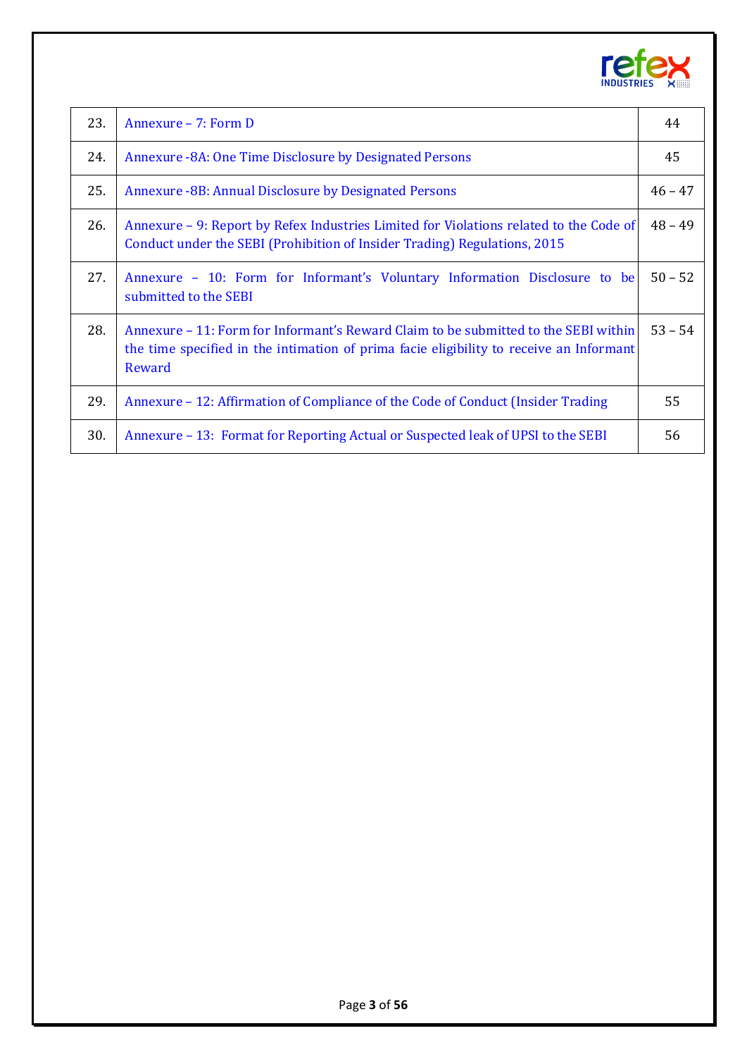

<span id="page-2-7"></span><span id="page-2-6"></span><span id="page-2-5"></span><span id="page-2-4"></span><span id="page-2-3"></span><span id="page-2-2"></span><span id="page-2-1"></span><span id="page-2-0"></span>

| 23. | Annexure - 7: Form D                                                                                                                                                                     | 44        |
|-----|------------------------------------------------------------------------------------------------------------------------------------------------------------------------------------------|-----------|
| 24. | Annexure -8A: One Time Disclosure by Designated Persons                                                                                                                                  | 45        |
| 25. | <b>Annexure -8B: Annual Disclosure by Designated Persons</b>                                                                                                                             | $46 - 47$ |
| 26. | Annexure – 9: Report by Refex Industries Limited for Violations related to the Code of<br>Conduct under the SEBI (Prohibition of Insider Trading) Regulations, 2015                      | $48 - 49$ |
| 27. | Annexure - 10: Form for Informant's Voluntary Information Disclosure to be<br>submitted to the SEBI                                                                                      | $50 - 52$ |
| 28. | Annexure – 11: Form for Informant's Reward Claim to be submitted to the SEBI within<br>the time specified in the intimation of prima facie eligibility to receive an Informant<br>Reward | $53 - 54$ |
| 29. | Annexure – 12: Affirmation of Compliance of the Code of Conduct (Insider Trading                                                                                                         | 55        |
| 30. | Annexure – 13: Format for Reporting Actual or Suspected leak of UPSI to the SEBI                                                                                                         | 56        |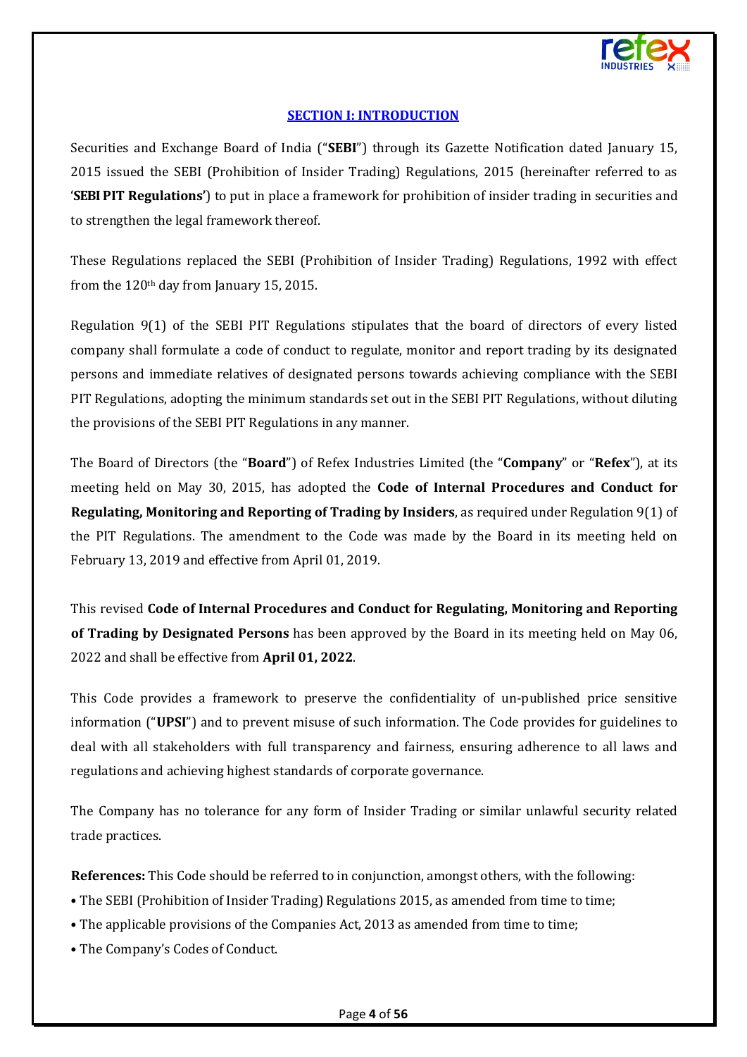

## **[SECTION I: INTRODUCTION](#page-1-0)**

<span id="page-3-0"></span>Securities and Exchange Board of India ("**SEBI**") through its Gazette Notification dated January 15, 2015 issued the SEBI (Prohibition of Insider Trading) Regulations, 2015 (hereinafter referred to as '**SEBIPIT Regulations'**) to put in place a framework for prohibition of insider trading in securities and to strengthen the legal framework thereof.

These Regulations replaced the SEBI (Prohibition of Insider Trading) Regulations, 1992 with effect from the  $120<sup>th</sup>$  day from January 15, 2015.

Regulation 9(1) of the SEBI PIT Regulations stipulates that the board of directors of every listed company shall formulate a code of conduct to regulate, monitor and report trading by its designated persons and immediate relatives of designated persons towards achieving compliance with the SEBI PIT Regulations, adopting the minimum standards set out in the SEBI PIT Regulations, without diluting the provisions of the SEBI PIT Regulations in any manner.

The Board of Directors (the "**Board**") of Refex Industries Limited (the "**Company**" or "**Refex**"), at its meeting held on May 30, 2015, has adopted the **Code of Internal Procedures and Conduct for Regulating, Monitoring and Reporting of Trading by Insiders**, as required under Regulation 9(1) of the PIT Regulations. The amendment to the Code was made by the Board in its meeting held on February 13, 2019 and effective from April 01, 2019.

This revised **Code of Internal Procedures and Conduct for Regulating, Monitoring and Reporting of Trading by Designated Persons** has been approved by the Board in its meeting held on May 06, 2022 and shall be effective from **April 01, 2022**.

This Code provides a framework to preserve the confidentiality of un-published price sensitive information ("**UPSI**") and to prevent misuse of such information. The Code provides for guidelines to deal with all stakeholders with full transparency and fairness, ensuring adherence to all laws and regulations and achieving highest standards of corporate governance.

The Company has no tolerance for any form of Insider Trading or similar unlawful security related trade practices.

**References:** This Code should be referred to in conjunction, amongst others, with the following:

- The SEBI (Prohibition of Insider Trading) Regulations 2015, as amended from time to time;
- The applicable provisions of the Companies Act, 2013 as amended from time to time;
- The Company's Codes of Conduct.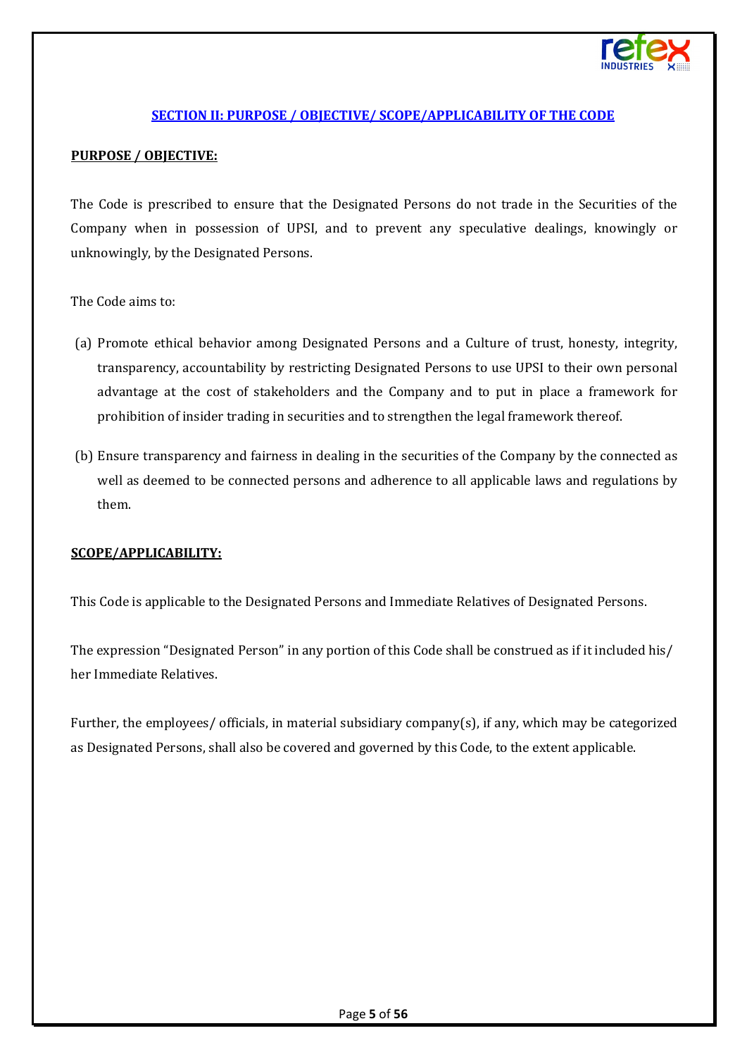

## **[SECTION II: PURPOSE / OBJECTIVE/ SCOPE/APPLICABILITY](#page-1-1) OF THE CODE**

#### <span id="page-4-0"></span>**PURPOSE / OBJECTIVE:**

The Code is prescribed to ensure that the Designated Persons do not trade in the Securities of the Company when in possession of UPSI, and to prevent any speculative dealings, knowingly or unknowingly, by the Designated Persons.

The Code aims to:

- (a) Promote ethical behavior among Designated Persons and a Culture of trust, honesty, integrity, transparency, accountability by restricting Designated Persons to use UPSI to their own personal advantage at the cost of stakeholders and the Company and to put in place a framework for prohibition of insider trading in securities and to strengthen the legal framework thereof.
- (b) Ensure transparency and fairness in dealing in the securities of the Company by the connected as well as deemed to be connected persons and adherence to all applicable laws and regulations by them.

#### **SCOPE/APPLICABILITY:**

This Code is applicable to the Designated Persons and Immediate Relatives of Designated Persons.

The expression "Designated Person" in any portion of this Code shall be construed as if it included his/ her Immediate Relatives.

Further, the employees/ officials, in material subsidiary company(s), if any, which may be categorized as Designated Persons, shall also be covered and governed by this Code, to the extent applicable.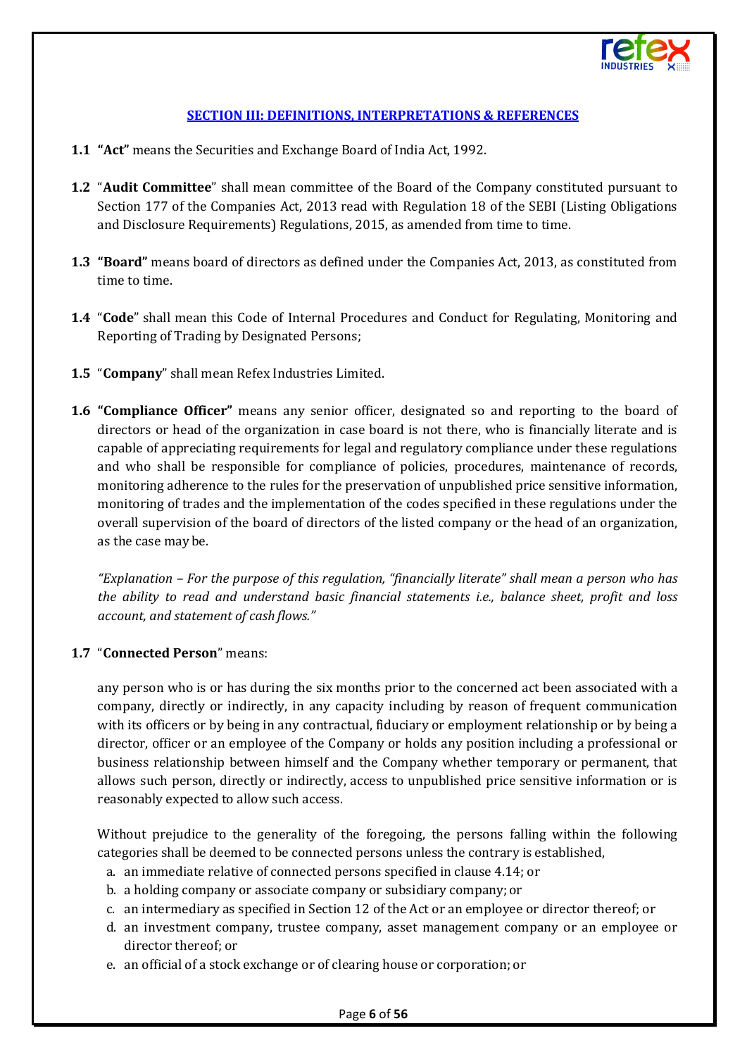

## **[SECTION III: DEFINITIONS, INTERPRETATIONS](#page-1-2) & REFERENCES**

- <span id="page-5-0"></span>**1.1 "Act"** means the Securities and Exchange Board of India Act, 1992.
- **1.2** "**Audit Committee**" shall mean committee of the Board of the Company constituted pursuant to Section 177 of the Companies Act, 2013 read with Regulation 18 of the SEBI (Listing Obligations and Disclosure Requirements) Regulations, 2015, as amended from time to time.
- **1.3 "Board"** means board of directors as defined under the Companies Act, 2013, as constituted from time to time.
- **1.4** "**Code**" shall mean this Code of Internal Procedures and Conduct for Regulating, Monitoring and Reporting of Trading by Designated Persons;
- **1.5** "**Company**" shall mean Refex Industries Limited.
- **1.6 "Compliance Officer"** means any senior officer, designated so and reporting to the board of directors or head of the organization in case board is not there, who is financially literate and is capable of appreciating requirements for legal and regulatory compliance under these regulations and who shall be responsible for compliance of policies, procedures, maintenance of records, monitoring adherence to the rules for the preservation of unpublished price sensitive information, monitoring of trades and the implementation of the codes specified in these regulations under the overall supervision of the board of directors of the listed company or the head of an organization, as the case may be.

*"Explanation – For the purpose of this regulation, "financially literate" shall mean a person who has the ability to read and understand basic financial statements i.e., balance sheet, profit and loss account, and statement of cash flows."*

## **1.7** "**Connected Person**" means:

any person who is or has during the six months prior to the concerned act been associated with a company, directly or indirectly, in any capacity including by reason of frequent communication with its officers or by being in any contractual, fiduciary or employment relationship or by being a director, officer or an employee of the Company or holds any position including a professional or business relationship between himself and the Company whether temporary or permanent, that allows such person, directly or indirectly, access to unpublished price sensitive information or is reasonably expected to allow such access.

Without prejudice to the generality of the foregoing, the persons falling within the following categories shall be deemed to be connected persons unless the contrary is established,

- a. an immediate relative of connected persons specified in clause 4.14; or
- b. a holding company or associate company or subsidiary company;or
- c. an intermediary as specified in Section 12 of the Act or an employee or director thereof; or
- d. an investment company, trustee company, asset management company or an employee or director thereof; or
- e. an official of a stock exchange or of clearing house or corporation; or

#### Page **6** of **56**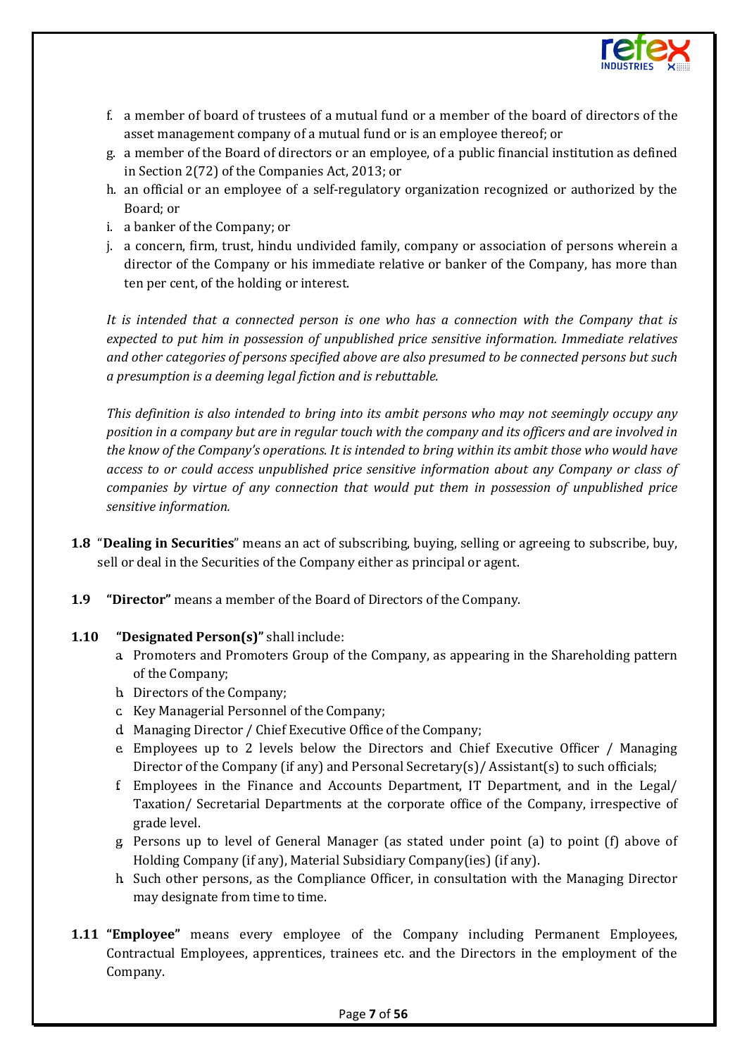

- f. a member of board of trustees of a mutual fund or a member of the board of directors of the asset management company of a mutual fund or is an employee thereof; or
- g. a member of the Board of directors or an employee, of a public financial institution as defined in Section 2(72) of the Companies Act, 2013; or
- h. an official or an employee of a self-regulatory organization recognized or authorized by the Board; or
- i. a banker of the Company; or
- j. a concern, firm, trust, hindu undivided family, company or association of persons wherein a director of the Company or his immediate relative or banker of the Company, has more than ten per cent, of the holding or interest.

*It is intended that a connected person is one who has a connection with the Company that is expected to put him in possession of unpublished price sensitive information. Immediate relatives and other categories of persons specified above are also presumed to be connected persons but such a presumption is a deeming legal fiction and is rebuttable.* 

*This definition is also intended to bring into its ambit persons who may not seemingly occupy any position in a company but are in regular touch with the company and its officers and are involved in the know of the Company's operations. It is intended to bring within its ambit those who would have access to or could access unpublished price sensitive information about any Company or class of companies by virtue of any connection that would put them in possession of unpublished price sensitive information.*

- **1.8** "**Dealing in Securities**" means an act of subscribing, buying, selling or agreeing to subscribe, buy, sell or deal in the Securities of the Company either as principal or agent.
- **1.9 "Director"** means a member of the Board of Directors of the Company.

#### **1.10 "Designated Person(s)"** shall include:

- a. Promoters and Promoters Group of the Company, as appearing in the Shareholding pattern of the Company;
- b. Directors of the Company;
- c. Key Managerial Personnel of the Company;
- d. Managing Director / Chief Executive Office of the Company;
- e. Employees up to 2 levels below the Directors and Chief Executive Officer / Managing Director of the Company (if any) and Personal Secretary(s)/ Assistant(s) to such officials;
- f. Employees in the Finance and Accounts Department, IT Department, and in the Legal/ Taxation/ Secretarial Departments at the corporate office of the Company, irrespective of grade level.
- g. Persons up to level of General Manager (as stated under point (a) to point (f) above of Holding Company (if any), Material Subsidiary Company(ies) (if any).
- h. Such other persons, as the Compliance Officer, in consultation with the Managing Director may designate from time to time.
- **1.11 "Employee"** means every employee of the Company including Permanent Employees, Contractual Employees, apprentices, trainees etc. and the Directors in the employment of the Company.

#### Page **7** of **56**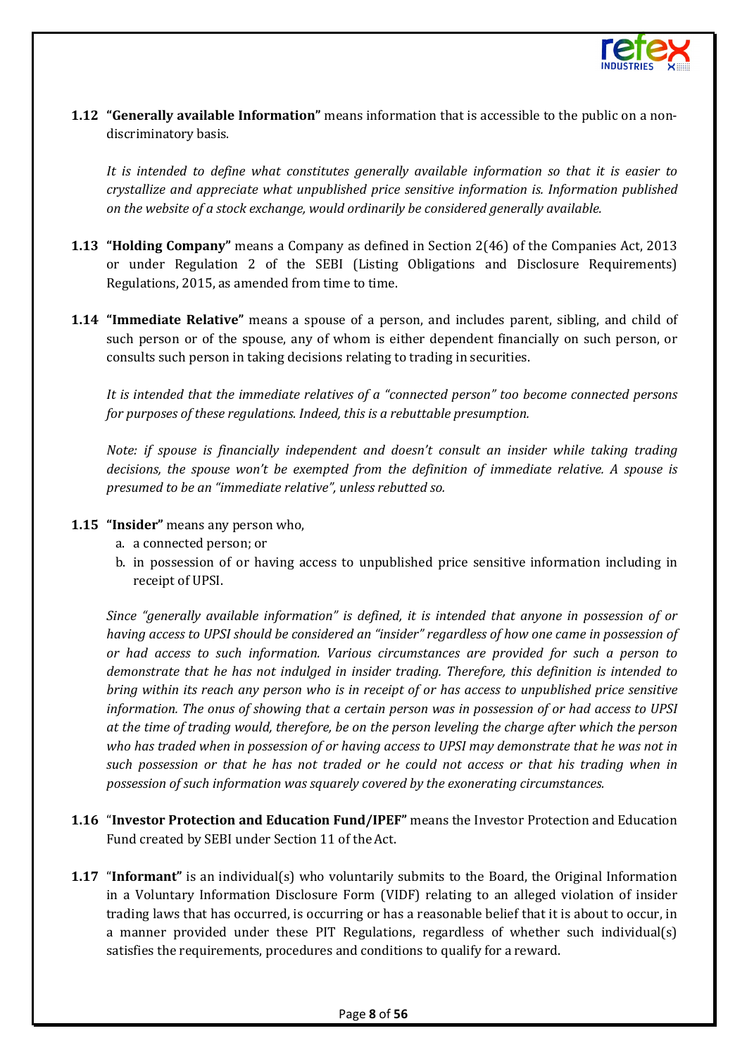

**1.12 "Generally available Information"** means information that is accessible to the public on a nondiscriminatory basis.

*It is intended to define what constitutes generally available information so that it is easier to crystallize and appreciate what unpublished price sensitive information is. Information published on the website of a stock exchange, would ordinarily be considered generally available.*

- **1.13 "Holding Company"** means a Company as defined in Section 2(46) of the Companies Act, 2013 or under Regulation 2 of the SEBI (Listing Obligations and Disclosure Requirements) Regulations, 2015, as amended from time to time.
- **1.14 "Immediate Relative"** means a spouse of a person, and includes parent, sibling, and child of such person or of the spouse, any of whom is either dependent financially on such person, or consults such person in taking decisions relating to trading in securities.

*It is intended that the immediate relatives of a "connected person" too become connected persons for purposes of these regulations. Indeed, this is a rebuttable presumption.*

*Note: if spouse is financially independent and doesn't consult an insider while taking trading decisions, the spouse won't be exempted from the definition of immediate relative. A spouse is presumed to be an "immediate relative", unless rebutted so.*

- **1.15 "Insider"** means any person who,
	- a. a connected person; or
	- b. in possession of or having access to unpublished price sensitive information including in receipt of UPSI.

*Since "generally available information" is defined, it is intended that anyone in possession of or having access to UPSI should be considered an "insider" regardless of how one came in possession of or had access to such information. Various circumstances are provided for such a person to demonstrate that he has not indulged in insider trading. Therefore, this definition is intended to bring within its reach any person who is in receipt of or has access to unpublished price sensitive information. The onus of showing that a certain person was in possession of or had access to UPSI at the time of trading would, therefore, be on the person leveling the charge after which the person who has traded when in possession of or having access to UPSI may demonstrate that he was not in such possession or that he has not traded or he could not access or that his trading when in possession of such information was squarely covered by the exonerating circumstances.*

- **1.16** "**Investor Protection and Education Fund/IPEF"** means the Investor Protection and Education Fund created by SEBI under Section 11 of the Act.
- **1.17** "Informant" is an individual(s) who voluntarily submits to the Board, the Original Information in a Voluntary Information Disclosure Form (VIDF) relating to an alleged violation of insider trading laws that has occurred, is occurring or has a reasonable belief that it is about to occur, in a manner provided under these PIT Regulations, regardless of whether such individual(s) satisfies the requirements, procedures and conditions to qualify for a reward.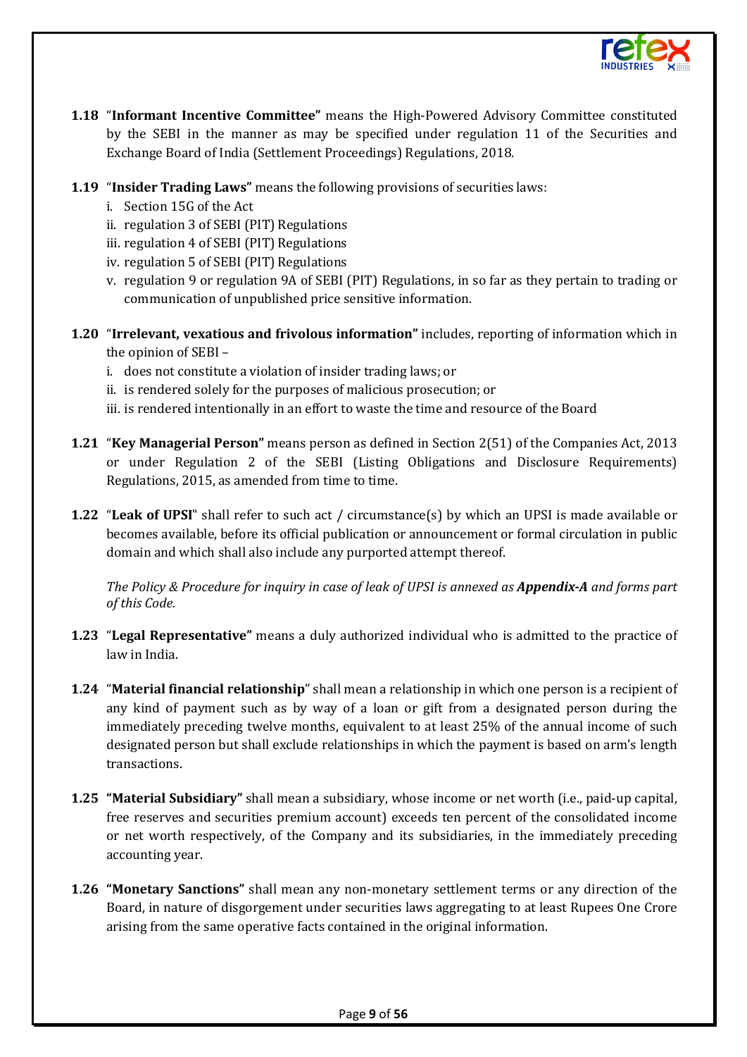

- **1.18** "**Informant Incentive Committee"** means the High-Powered Advisory Committee constituted by the SEBI in the manner as may be specified under regulation 11 of the Securities and Exchange Board of India (Settlement Proceedings) Regulations, 2018.
- **1.19** "**Insider Trading Laws"** means the following provisions of securities laws:
	- i. Section 15G of the Act
	- ii. regulation 3 of SEBI (PIT) Regulations
	- iii. regulation 4 of SEBI (PIT) Regulations
	- iv. regulation 5 of SEBI (PIT) Regulations
	- v. regulation 9 or regulation 9A of SEBI (PIT) Regulations, in so far as they pertain to trading or communication of unpublished price sensitive information.
- **1.20** "**Irrelevant, vexatious and frivolous information"** includes, reporting of information which in the opinion of SEBI –
	- i. does not constitute a violation of insider trading laws; or
	- ii. is rendered solely for the purposes of malicious prosecution; or
	- iii. is rendered intentionally in an effort to waste the time and resource of the Board
- **1.21** "**Key Managerial Person"** means person as defined in Section 2(51) of the Companies Act, 2013 or under Regulation 2 of the SEBI (Listing Obligations and Disclosure Requirements) Regulations, 2015, as amended from time to time.
- **1.22** "**Leak of UPSI**" shall refer to such act / circumstance(s) by which an UPSI is made available or becomes available, before its official publication or announcement or formal circulation in public domain and which shall also include any purported attempt thereof.

*The Policy & Procedure for inquiry in case of leak of UPSI is annexed as Appendix-A and forms part of this Code.* 

- **1.23** "**Legal Representative"** means a duly authorized individual who is admitted to the practice of law in India.
- **1.24** "**Material financial relationship**" shall mean a relationship in which one person is a recipient of any kind of payment such as by way of a loan or gift from a designated person during the immediately preceding twelve months, equivalent to at least 25% of the annual income of such designated person but shall exclude relationships in which the payment is based on arm's length transactions.
- **1.25 "Material Subsidiary"** shall mean a subsidiary, whose income or net worth (i.e., paid-up capital, free reserves and securities premium account) exceeds ten percent of the consolidated income or net worth respectively, of the Company and its subsidiaries, in the immediately preceding accounting year.
- **1.26 "Monetary Sanctions"** shall mean any non-monetary settlement terms or any direction of the Board, in nature of disgorgement under securities laws aggregating to at least Rupees One Crore arising from the same operative facts contained in the original information.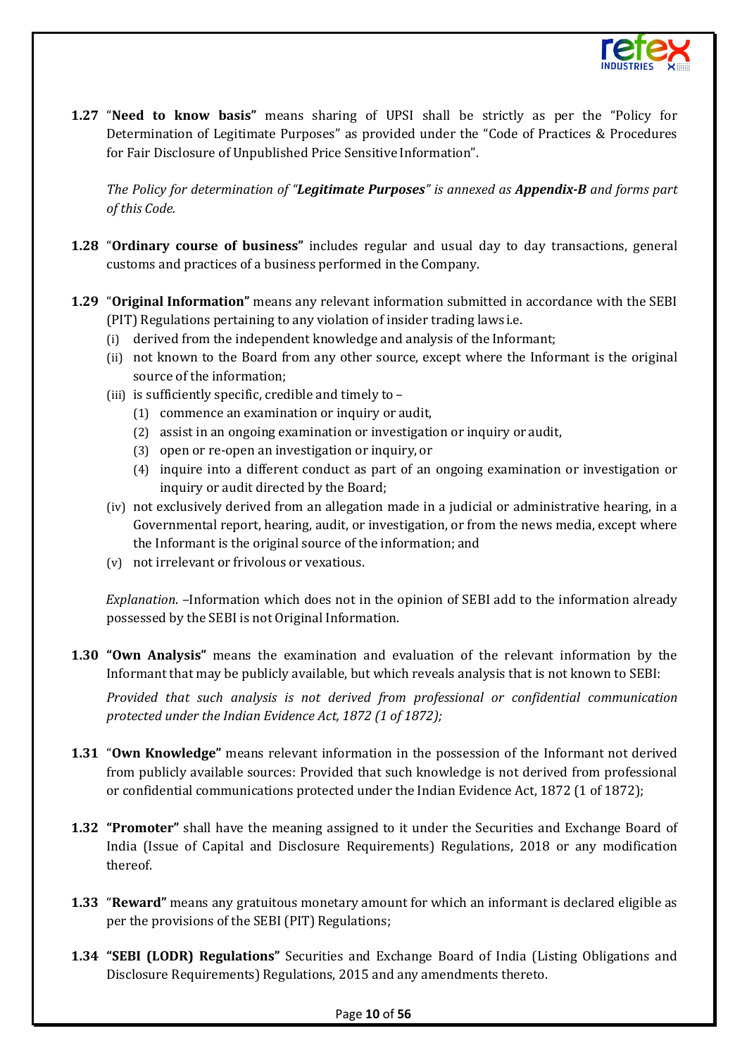

**1.27** "**Need to know basis"** means sharing of UPSI shall be strictly as per the "Policy for Determination of Legitimate Purposes" as provided under the "Code of Practices & Procedures for Fair Disclosure of Unpublished Price Sensitive Information".

*The Policy for determination of "Legitimate Purposes" is annexed as Appendix-B and forms part of this Code.*

- **1.28** "**Ordinary course of business"** includes regular and usual day to day transactions, general customs and practices of a business performed in the Company.
- **1.29** "**Original Information"** means any relevant information submitted in accordance with the SEBI (PIT) Regulations pertaining to any violation of insider trading laws i.e.
	- (i) derived from the independent knowledge and analysis of the Informant;
	- (ii) not known to the Board from any other source, except where the Informant is the original source of the information;
	- (iii) is sufficiently specific, credible and timely to
		- (1) commence an examination or inquiry or audit,
		- (2) assist in an ongoing examination or investigation or inquiry or audit,
		- (3) open or re-open an investigation or inquiry, or
		- (4) inquire into a different conduct as part of an ongoing examination or investigation or inquiry or audit directed by the Board;
	- (iv) not exclusively derived from an allegation made in a judicial or administrative hearing, in a Governmental report, hearing, audit, or investigation, or from the news media, except where the Informant is the original source of the information; and
	- (v) not irrelevant or frivolous or vexatious.

*Explanation*. –Information which does not in the opinion of SEBI add to the information already possessed by the SEBI is not Original Information.

**1.30 "Own Analysis"** means the examination and evaluation of the relevant information by the Informant that may be publicly available, but which reveals analysis that is not known to SEBI:

*Provided that such analysis is not derived from professional or confidential communication protected under the Indian Evidence Act, 1872 (1 of 1872);*

- **1.31** "**Own Knowledge"** means relevant information in the possession of the Informant not derived from publicly available sources: Provided that such knowledge is not derived from professional or confidential communications protected under the Indian Evidence Act, 1872 (1 of 1872);
- **1.32 "Promoter"** shall have the meaning assigned to it under the Securities and Exchange Board of India (Issue of Capital and Disclosure Requirements) Regulations, 2018 or any modification thereof.
- **1.33** "**Reward"** means any gratuitous monetary amount for which an informant is declared eligible as per the provisions of the SEBI (PIT) Regulations;
- **1.34 "SEBI (LODR) Regulations"** Securities and Exchange Board of India (Listing Obligations and Disclosure Requirements) Regulations, 2015 and any amendments thereto.

#### Page **10** of **56**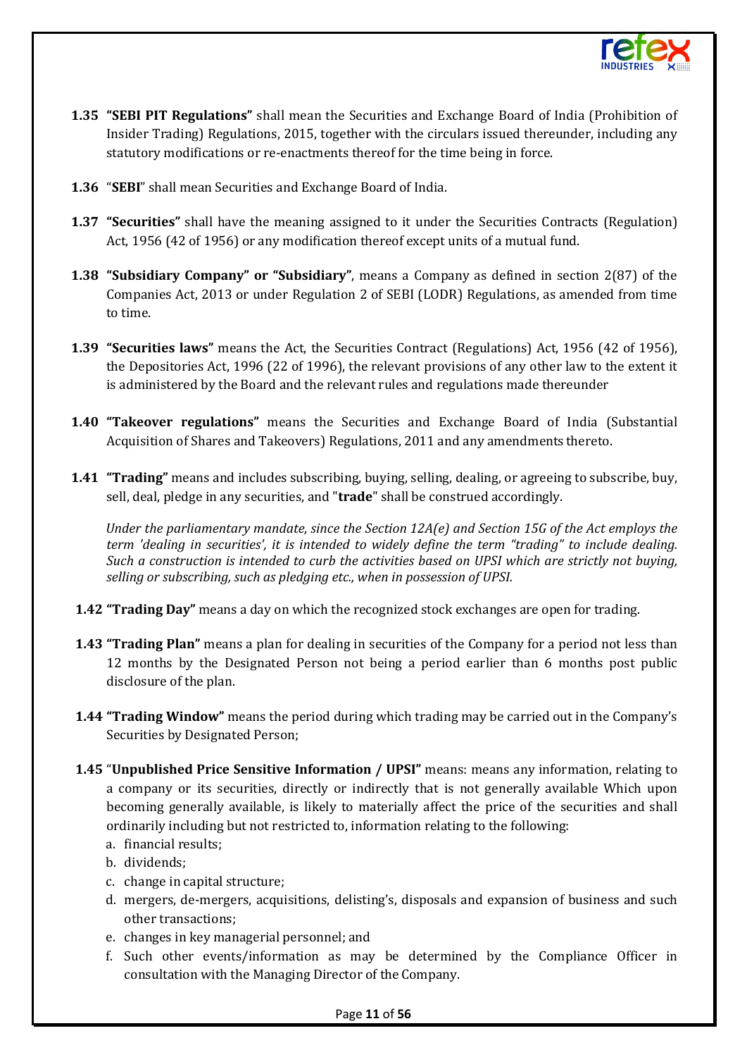

- **1.35 "SEBI PIT Regulations"** shall mean the Securities and Exchange Board of India (Prohibition of Insider Trading) Regulations, 2015, together with the circulars issued thereunder, including any statutory modifications or re-enactments thereof for the time being in force.
- **1.36** "**SEBI**" shall mean Securities and Exchange Board of India.
- **1.37 "Securities"** shall have the meaning assigned to it under the Securities Contracts (Regulation) Act, 1956 (42 of 1956) or any modification thereof except units of a mutual fund.
- **1.38 "Subsidiary Company" or "Subsidiary"**, means a Company as defined in section 2(87) of the Companies Act, 2013 or under Regulation 2 of SEBI (LODR) Regulations, as amended from time to time.
- **1.39 "Securities laws"** means the Act, the Securities Contract (Regulations) Act, 1956 (42 of 1956), the Depositories Act, 1996 (22 of 1996), the relevant provisions of any other law to the extent it is administered by the Board and the relevant rules and regulations made thereunder
- **1.40 "Takeover regulations"** means the Securities and Exchange Board of India (Substantial Acquisition of Shares and Takeovers) Regulations, 2011 and any amendments thereto.
- **1.41 "Trading"** means and includes subscribing, buying, selling, dealing, or agreeing to subscribe, buy, sell, deal, pledge in any securities, and "**trade**" shall be construed accordingly.

*Under the parliamentary mandate, since the Section 12A(e) and Section 15G of the Act employs the term 'dealing in securities', it is intended to widely define the term "trading" to include dealing. Such a construction is intended to curb the activities based on UPSI which are strictly not buying, selling or subscribing, such as pledging etc., when in possession of UPSI.*

- **1.42 "Trading Day"** means a day on which the recognized stock exchanges are open for trading.
- **1.43 "Trading Plan"** means a plan for dealing in securities of the Company for a period not less than 12 months by the Designated Person not being a period earlier than 6 months post public disclosure of the plan.
- **1.44 "Trading Window"** means the period during which trading may be carried out in the Company's Securities by Designated Person;
- **1.45** "**Unpublished Price Sensitive Information / UPSI"** means: means any information, relating to a company or its securities, directly or indirectly that is not generally available Which upon becoming generally available, is likely to materially affect the price of the securities and shall ordinarily including but not restricted to, information relating to the following:
	- a. financial results;
	- b. dividends;
	- c. change in capital structure;
	- d. mergers, de-mergers, acquisitions, delisting's, disposals and expansion of business and such other transactions;
	- e. changes in key managerial personnel; and
	- f. Such other events/information as may be determined by the Compliance Officer in consultation with the Managing Director of the Company.

#### Page **11** of **56**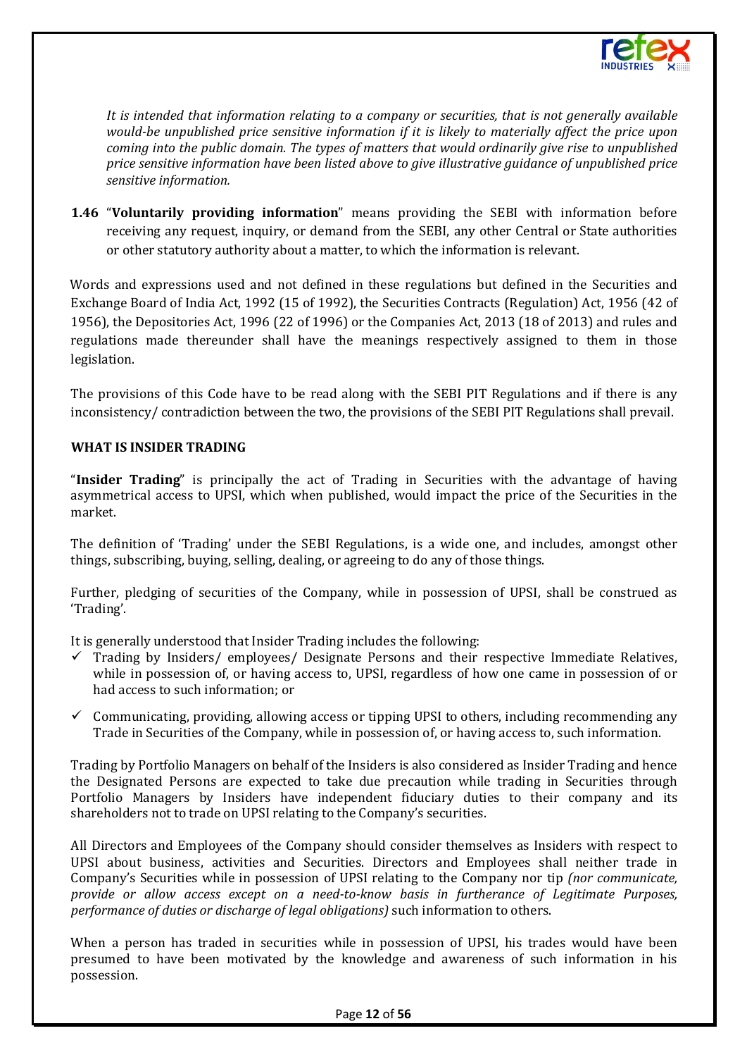

*It is intended that information relating to a company or securities, that is not generally available would-be unpublished price sensitive information if it is likely to materially affect the price upon coming into the public domain. The types of matters that would ordinarily give rise to unpublished price sensitive information have been listed above to give illustrative guidance of unpublished price sensitive information.* 

**1.46** "**Voluntarily providing information**" means providing the SEBI with information before receiving any request, inquiry, or demand from the SEBI, any other Central or State authorities or other statutory authority about a matter, to which the information is relevant.

Words and expressions used and not defined in these regulations but defined in the Securities and Exchange Board of India Act, 1992 (15 of 1992), the Securities Contracts (Regulation) Act, 1956 (42 of 1956), the Depositories Act, 1996 (22 of 1996) or the Companies Act, 2013 (18 of 2013) and rules and regulations made thereunder shall have the meanings respectively assigned to them in those legislation.

The provisions of this Code have to be read along with the SEBI PIT Regulations and if there is any inconsistency/ contradiction between the two, the provisions of the SEBI PIT Regulations shall prevail.

#### **WHAT IS INSIDER TRADING**

"**Insider Trading**" is principally the act of Trading in Securities with the advantage of having asymmetrical access to UPSI, which when published, would impact the price of the Securities in the market.

The definition of 'Trading' under the SEBI Regulations, is a wide one, and includes, amongst other things, subscribing, buying, selling, dealing, or agreeing to do any of those things.

Further, pledging of securities of the Company, while in possession of UPSI, shall be construed as 'Trading'.

It is generally understood that Insider Trading includes the following:

- $\checkmark$  Trading by Insiders/ employees/ Designate Persons and their respective Immediate Relatives, while in possession of, or having access to, UPSI, regardless of how one came in possession of or had access to such information; or
- $\checkmark$  Communicating, providing, allowing access or tipping UPSI to others, including recommending any Trade in Securities of the Company, while in possession of, or having access to, such information.

Trading by Portfolio Managers on behalf of the Insiders is also considered as Insider Trading and hence the Designated Persons are expected to take due precaution while trading in Securities through Portfolio Managers by Insiders have independent fiduciary duties to their company and its shareholders not to trade on UPSI relating to the Company's securities.

All Directors and Employees of the Company should consider themselves as Insiders with respect to UPSI about business, activities and Securities. Directors and Employees shall neither trade in Company's Securities while in possession of UPSI relating to the Company nor tip *(nor communicate, provide or allow access except on a need-to-know basis in furtherance of Legitimate Purposes, performance of duties or discharge of legal obligations)* such information to others.

When a person has traded in securities while in possession of UPSI, his trades would have been presumed to have been motivated by the knowledge and awareness of such information in his possession.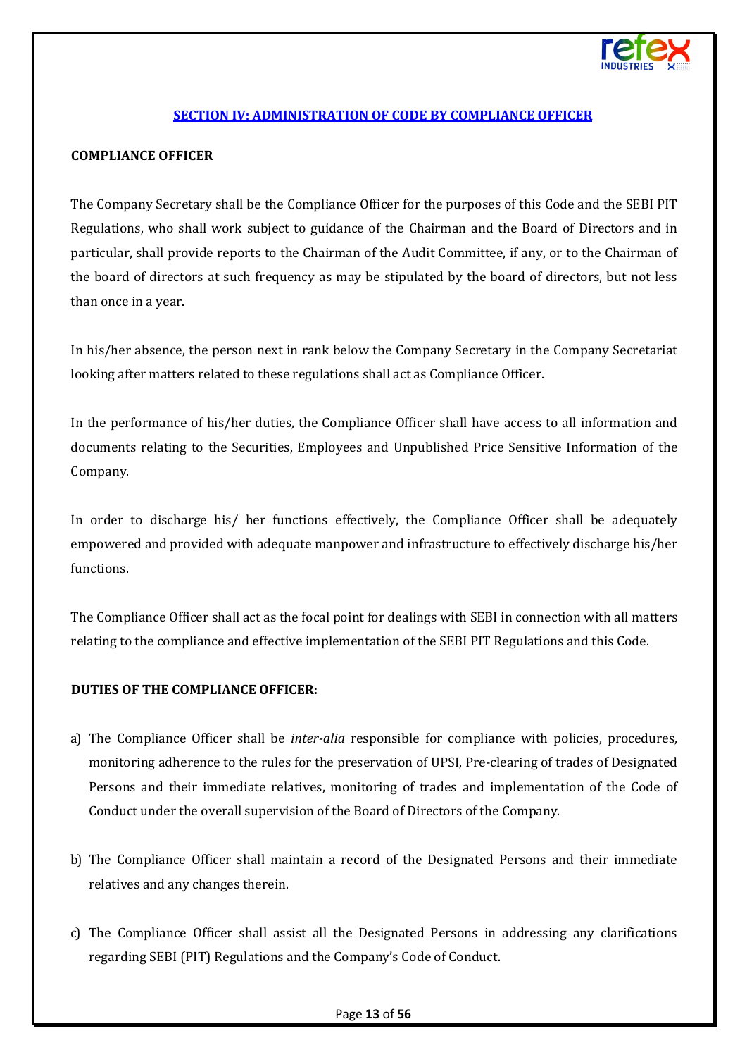

## **[SECTION IV: ADMINISTRATION OF CODE BY COMPLIANCE OFFICER](#page-1-3)**

#### <span id="page-12-0"></span>**COMPLIANCE OFFICER**

The Company Secretary shall be the Compliance Officer for the purposes of this Code and the SEBI PIT Regulations, who shall work subject to guidance of the Chairman and the Board of Directors and in particular, shall provide reports to the Chairman of the Audit Committee, if any, or to the Chairman of the board of directors at such frequency as may be stipulated by the board of directors, but not less than once in a year.

In his/her absence, the person next in rank below the Company Secretary in the Company Secretariat looking after matters related to these regulations shall act as Compliance Officer.

In the performance of his/her duties, the Compliance Officer shall have access to all information and documents relating to the Securities, Employees and Unpublished Price Sensitive Information of the Company.

In order to discharge his/ her functions effectively, the Compliance Officer shall be adequately empowered and provided with adequate manpower and infrastructure to effectively discharge his/her functions.

The Compliance Officer shall act as the focal point for dealings with SEBI in connection with all matters relating to the compliance and effective implementation of the SEBI PIT Regulations and this Code.

#### **DUTIES OF THE COMPLIANCE OFFICER:**

- a) The Compliance Officer shall be *inter-alia* responsible for compliance with policies, procedures, monitoring adherence to the rules for the preservation of UPSI, Pre-clearing of trades of Designated Persons and their immediate relatives, monitoring of trades and implementation of the Code of Conduct under the overall supervision of the Board of Directors of the Company.
- b) The Compliance Officer shall maintain a record of the Designated Persons and their immediate relatives and any changes therein.
- c) The Compliance Officer shall assist all the Designated Persons in addressing any clarifications regarding SEBI (PIT) Regulations and the Company's Code of Conduct.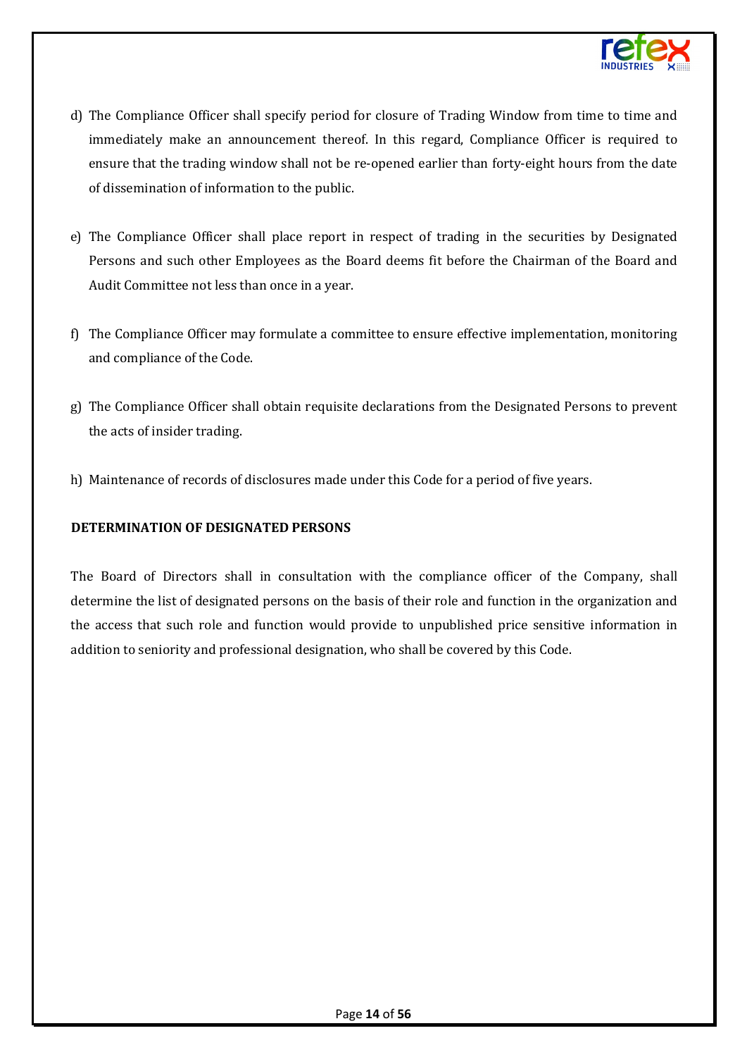

- d) The Compliance Officer shall specify period for closure of Trading Window from time to time and immediately make an announcement thereof. In this regard, Compliance Officer is required to ensure that the trading window shall not be re-opened earlier than forty-eight hours from the date of dissemination of information to the public.
- e) The Compliance Officer shall place report in respect of trading in the securities by Designated Persons and such other Employees as the Board deems fit before the Chairman of the Board and Audit Committee not less than once in a year.
- f) The Compliance Officer may formulate a committee to ensure effective implementation, monitoring and compliance of the Code.
- g) The Compliance Officer shall obtain requisite declarations from the Designated Persons to prevent the acts of insider trading.
- h) Maintenance of records of disclosures made under this Code for a period of five years.

#### **DETERMINATION OF DESIGNATED PERSONS**

The Board of Directors shall in consultation with the compliance officer of the Company, shall determine the list of designated persons on the basis of their role and function in the organization and the access that such role and function would provide to unpublished price sensitive information in addition to seniority and professional designation, who shall be covered by this Code.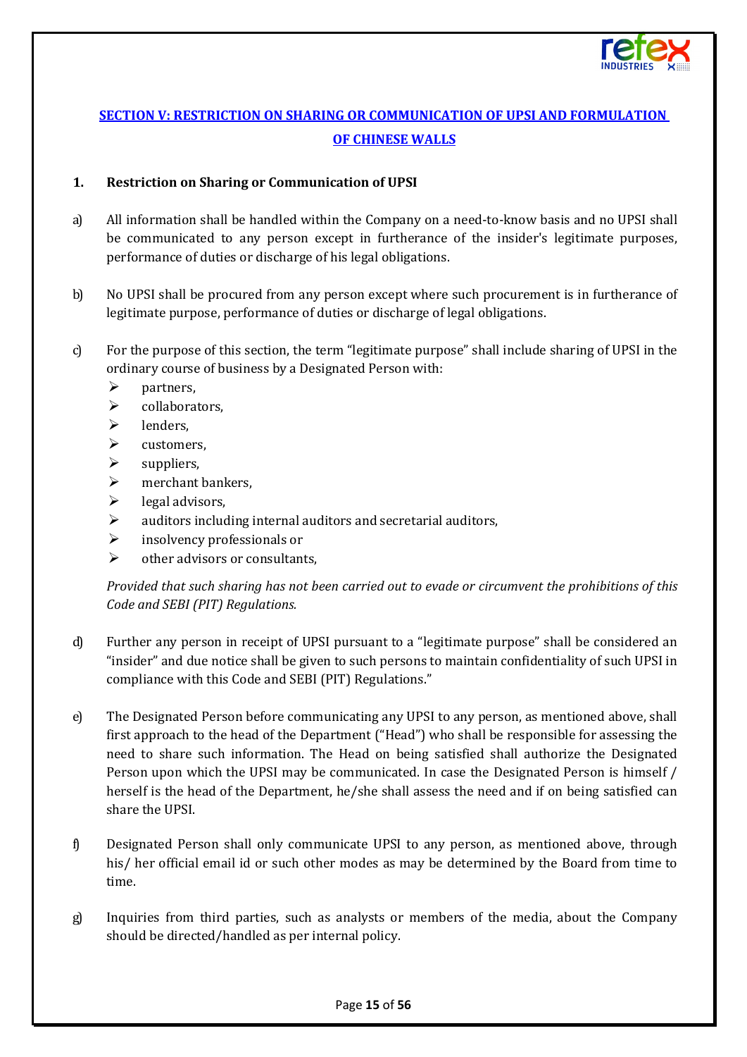

## <span id="page-14-0"></span>**[SECTION V: RESTRICTION ON SHARING OR COMMUNICATION OF UPSI AND FORMULATION](#page-1-4)  [OF CHINESE WALLS](#page-1-4)**

## **1. Restriction on Sharing or Communication of UPSI**

- a) All information shall be handled within the Company on a need-to-know basis and no UPSI shall be communicated to any person except in furtherance of the insider's legitimate purposes, performance of duties or discharge of his legal obligations.
- b) No UPSI shall be procured from any person except where such procurement is in furtherance of legitimate purpose, performance of duties or discharge of legal obligations.
- c) For the purpose of this section, the term "legitimate purpose" shall include sharing of UPSI in the ordinary course of business by a Designated Person with:
	-
	- $\triangleright$  partners,<br> $\triangleright$  collabora collaborators,
	- $\triangleright$  lenders.
	- $\triangleright$  customers,
	- $\triangleright$  suppliers,
	- $\triangleright$  merchant bankers,<br> $\triangleright$  legal advisors.
	- $\triangleright$  legal advisors,<br> $\triangleright$  anditors include
	- auditors including internal auditors and secretarial auditors,
	- $\triangleright$  insolvency professionals or
	- $\triangleright$  other advisors or consultants.

*Provided that such sharing has not been carried out to evade or circumvent the prohibitions of this Code and SEBI (PIT) Regulations.*

- d) Further any person in receipt of UPSI pursuant to a "legitimate purpose" shall be considered an "insider" and due notice shall be given to such persons to maintain confidentiality of such UPSI in compliance with this Code and SEBI (PIT) Regulations."
- e) The Designated Person before communicating any UPSI to any person, as mentioned above, shall first approach to the head of the Department ("Head") who shall be responsible for assessing the need to share such information. The Head on being satisfied shall authorize the Designated Person upon which the UPSI may be communicated. In case the Designated Person is himself / herself is the head of the Department, he/she shall assess the need and if on being satisfied can share the UPSI.
- f) Designated Person shall only communicate UPSI to any person, as mentioned above, through his/ her official email id or such other modes as may be determined by the Board from time to time.
- g) Inquiries from third parties, such as analysts or members of the media, about the Company should be directed/handled as per internal policy.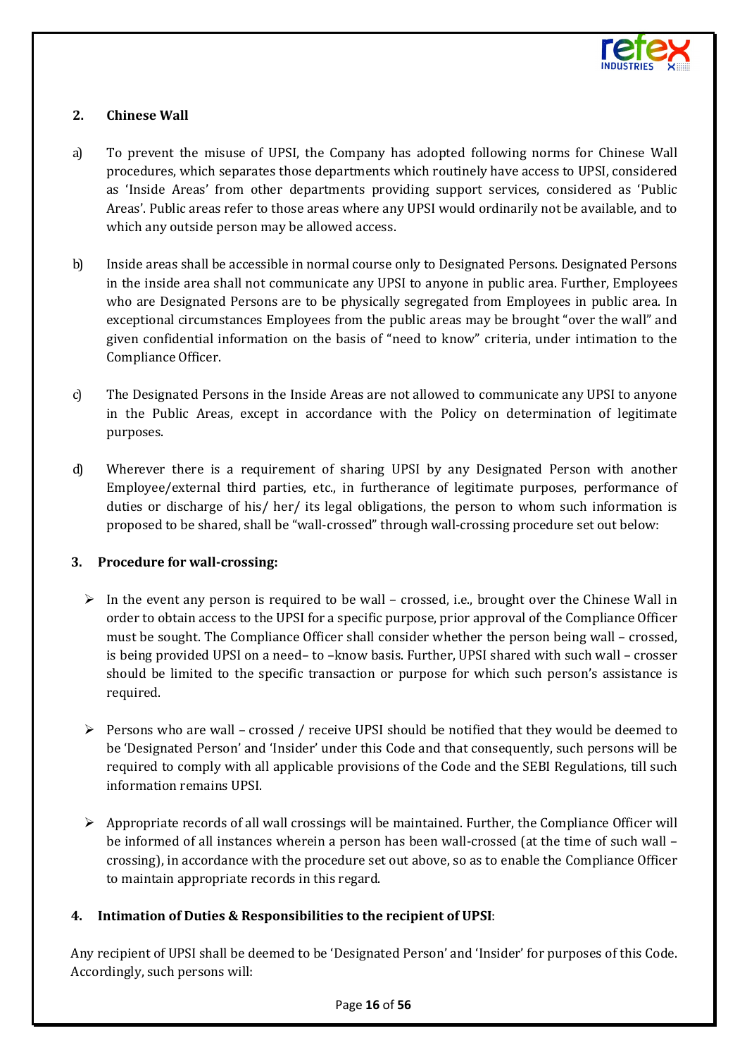

## **2. Chinese Wall**

- a) To prevent the misuse of UPSI, the Company has adopted following norms for Chinese Wall procedures, which separates those departments which routinely have access to UPSI, considered as 'Inside Areas' from other departments providing support services, considered as 'Public Areas'. Public areas refer to those areas where any UPSI would ordinarily not be available, and to which any outside person may be allowed access.
- b) Inside areas shall be accessible in normal course only to Designated Persons. Designated Persons in the inside area shall not communicate any UPSI to anyone in public area. Further, Employees who are Designated Persons are to be physically segregated from Employees in public area. In exceptional circumstances Employees from the public areas may be brought "over the wall" and given confidential information on the basis of "need to know" criteria, under intimation to the Compliance Officer.
- c) The Designated Persons in the Inside Areas are not allowed to communicate any UPSI to anyone in the Public Areas, except in accordance with the Policy on determination of legitimate purposes.
- d) Wherever there is a requirement of sharing UPSI by any Designated Person with another Employee/external third parties, etc., in furtherance of legitimate purposes, performance of duties or discharge of his/ her/ its legal obligations, the person to whom such information is proposed to be shared, shall be "wall-crossed" through wall-crossing procedure set out below:

#### **3. Procedure for wall-crossing:**

- $\triangleright$  In the event any person is required to be wall crossed, i.e., brought over the Chinese Wall in order to obtain access to the UPSI for a specific purpose, prior approval of the Compliance Officer must be sought. The Compliance Officer shall consider whether the person being wall – crossed, is being provided UPSI on a need– to –know basis. Further, UPSI shared with such wall – crosser should be limited to the specific transaction or purpose for which such person's assistance is required.
- $\triangleright$  Persons who are wall crossed / receive UPSI should be notified that they would be deemed to be 'Designated Person' and 'Insider' under this Code and that consequently, such persons will be required to comply with all applicable provisions of the Code and the SEBI Regulations, till such information remains UPSI.
- $\triangleright$  Appropriate records of all wall crossings will be maintained. Further, the Compliance Officer will be informed of all instances wherein a person has been wall-crossed (at the time of such wall – crossing), in accordance with the procedure set out above, so as to enable the Compliance Officer to maintain appropriate records in this regard.

## **4. Intimation of Duties & Responsibilities to the recipient of UPSI**:

Any recipient of UPSI shall be deemed to be 'Designated Person' and 'Insider' for purposes of this Code. Accordingly, such persons will: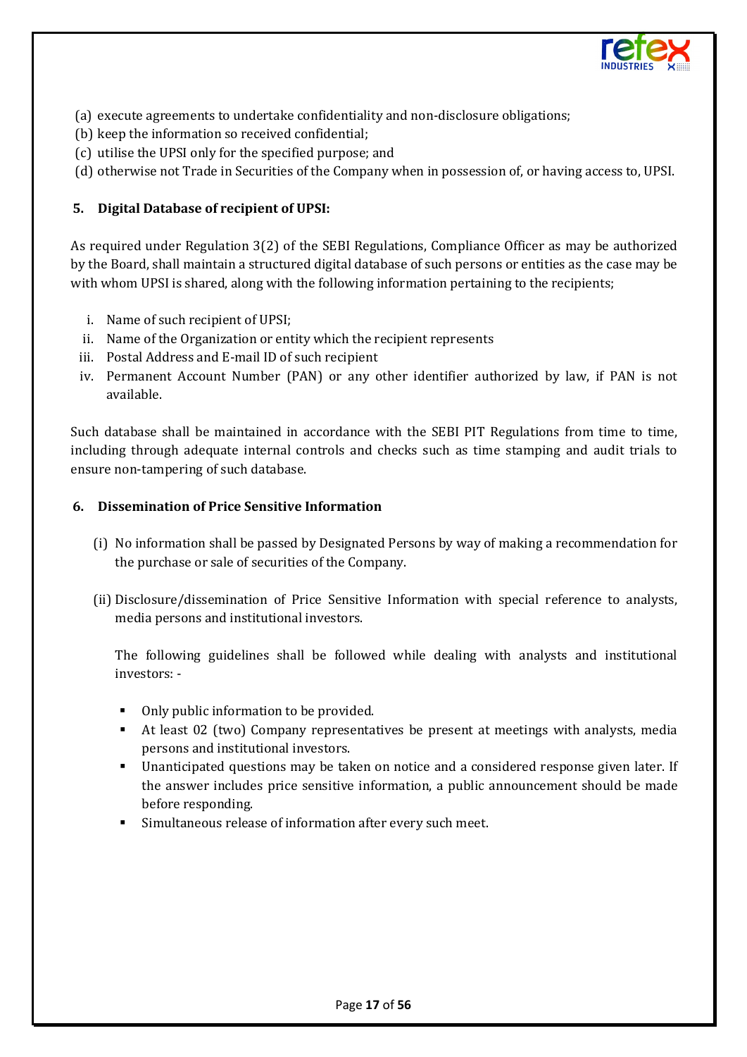

- (a) execute agreements to undertake confidentiality and non-disclosure obligations;
- (b) keep the information so received confidential;
- (c) utilise the UPSI only for the specified purpose; and
- (d) otherwise not Trade in Securities of the Company when in possession of, or having access to, UPSI.

#### **5. Digital Database of recipient of UPSI:**

As required under Regulation 3(2) of the SEBI Regulations, Compliance Officer as may be authorized by the Board, shall maintain a structured digital database of such persons or entities as the case may be with whom UPSI is shared, along with the following information pertaining to the recipients;

- i. Name of such recipient of UPSI;
- ii. Name of the Organization or entity which the recipient represents
- iii. Postal Address and E-mail ID of such recipient
- iv. Permanent Account Number (PAN) or any other identifier authorized by law, if PAN is not available.

Such database shall be maintained in accordance with the SEBI PIT Regulations from time to time, including through adequate internal controls and checks such as time stamping and audit trials to ensure non-tampering of such database.

#### **6. Dissemination of Price Sensitive Information**

- (i) No information shall be passed by Designated Persons by way of making a recommendation for the purchase or sale of securities of the Company.
- (ii) Disclosure/dissemination of Price Sensitive Information with special reference to analysts, media persons and institutional investors.

The following guidelines shall be followed while dealing with analysts and institutional investors: -

- Only public information to be provided.
- At least 02 (two) Company representatives be present at meetings with analysts, media persons and institutional investors.
- Unanticipated questions may be taken on notice and a considered response given later. If the answer includes price sensitive information, a public announcement should be made before responding.
- Simultaneous release of information after every such meet.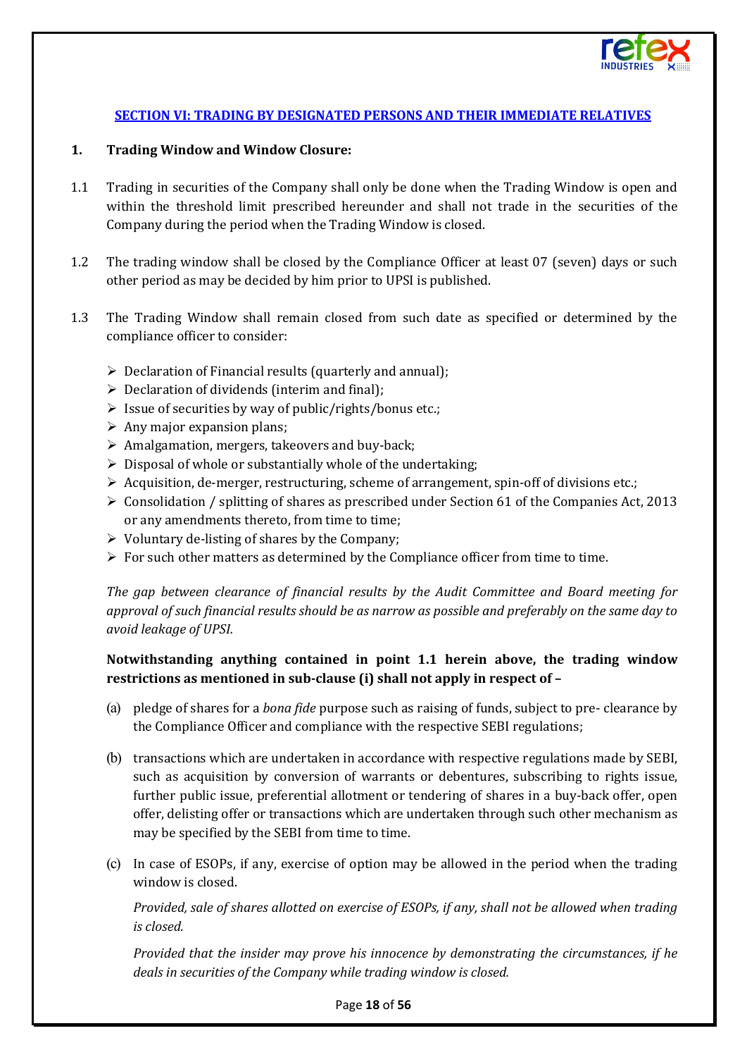

## **[SECTION VI: TRADING BY DESIGNATED PERSONS AND THEIR IMMEDIATE RELATIVES](#page-1-5)**

#### <span id="page-17-0"></span>**1. Trading Window and Window Closure:**

- 1.1 Trading in securities of the Company shall only be done when the Trading Window is open and within the threshold limit prescribed hereunder and shall not trade in the securities of the Company during the period when the Trading Window is closed.
- 1.2 The trading window shall be closed by the Compliance Officer at least 07 (seven) days or such other period as may be decided by him prior to UPSI is published.
- 1.3 The Trading Window shall remain closed from such date as specified or determined by the compliance officer to consider:
	- $\triangleright$  Declaration of Financial results (quarterly and annual);
	- $\triangleright$  Declaration of dividends (interim and final);
	- $\triangleright$  Issue of securities by way of public/rights/bonus etc.;
	- $\triangleright$  Any major expansion plans;
	- $\triangleright$  Amalgamation, mergers, takeovers and buy-back;
	- $\triangleright$  Disposal of whole or substantially whole of the undertaking;
	- $\triangleright$  Acquisition, de-merger, restructuring, scheme of arrangement, spin-off of divisions etc.;
	- $\triangleright$  Consolidation / splitting of shares as prescribed under Section 61 of the Companies Act, 2013 or any amendments thereto, from time to time;
	- $\triangleright$  Voluntary de-listing of shares by the Company;
	- $\triangleright$  For such other matters as determined by the Compliance officer from time to time.

*The gap between clearance of financial results by the Audit Committee and Board meeting for approval of such financial results should be as narrow as possible and preferably on the same day to avoid leakage of UPSI.* 

## **Notwithstanding anything contained in point 1.1 herein above, the trading window restrictions as mentioned in sub-clause (i) shall not apply in respect of –**

- (a) pledge of shares for a *bona fide* purpose such as raising of funds, subject to pre- clearance by the Compliance Officer and compliance with the respective SEBI regulations;
- (b) transactions which are undertaken in accordance with respective regulations made by SEBI, such as acquisition by conversion of warrants or debentures, subscribing to rights issue, further public issue, preferential allotment or tendering of shares in a buy-back offer, open offer, delisting offer or transactions which are undertaken through such other mechanism as may be specified by the SEBI from time to time.
- (c) In case of ESOPs, if any, exercise of option may be allowed in the period when the trading window is closed.

*Provided, sale of shares allotted on exercise of ESOPs, if any, shall not be allowed when trading is closed.* 

*Provided that the insider may prove his innocence by demonstrating the circumstances, if he deals in securities of the Company while trading window is closed.*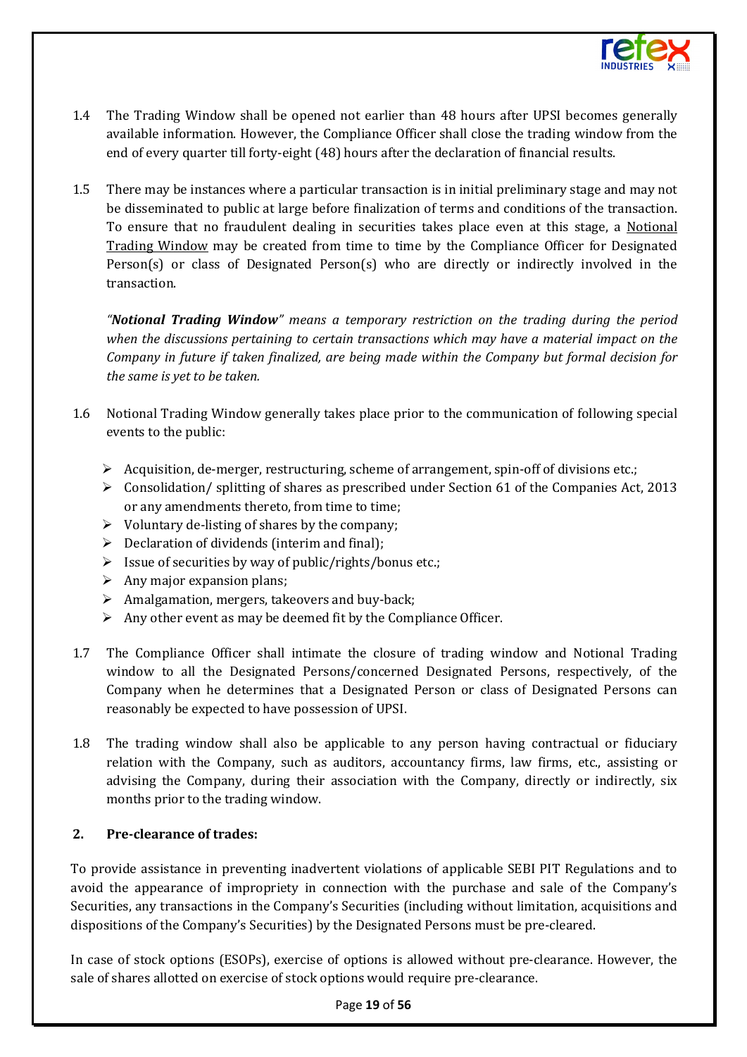

- 1.4 The Trading Window shall be opened not earlier than 48 hours after UPSI becomes generally available information. However, the Compliance Officer shall close the trading window from the end of every quarter till forty-eight (48) hours after the declaration of financial results.
- 1.5 There may be instances where a particular transaction is in initial preliminary stage and may not be disseminated to public at large before finalization of terms and conditions of the transaction. To ensure that no fraudulent dealing in securities takes place even at this stage, a Notional Trading Window may be created from time to time by the Compliance Officer for Designated Person(s) or class of Designated Person(s) who are directly or indirectly involved in the transaction.

*"Notional Trading Window" means a temporary restriction on the trading during the period when the discussions pertaining to certain transactions which may have a material impact on the Company in future if taken finalized, are being made within the Company but formal decision for the same is yet to be taken.*

- 1.6 Notional Trading Window generally takes place prior to the communication of following special events to the public:
	- $\triangleright$  Acquisition, de-merger, restructuring, scheme of arrangement, spin-off of divisions etc.;
	- $\triangleright$  Consolidation/ splitting of shares as prescribed under Section 61 of the Companies Act, 2013 or any amendments thereto, from time to time;
	- $\triangleright$  Voluntary de-listing of shares by the company;
	- $\triangleright$  Declaration of dividends (interim and final);
	- $\triangleright$  Issue of securities by way of public/rights/bonus etc.;
	- $\triangleright$  Any major expansion plans;
	- $\triangleright$  Amalgamation, mergers, takeovers and buy-back;
	- $\triangleright$  Any other event as may be deemed fit by the Compliance Officer.
- 1.7 The Compliance Officer shall intimate the closure of trading window and Notional Trading window to all the Designated Persons/concerned Designated Persons, respectively, of the Company when he determines that a Designated Person or class of Designated Persons can reasonably be expected to have possession of UPSI.
- 1.8 The trading window shall also be applicable to any person having contractual or fiduciary relation with the Company, such as auditors, accountancy firms, law firms, etc., assisting or advising the Company, during their association with the Company, directly or indirectly, six months prior to the trading window.

## **2. Pre-clearance of trades:**

To provide assistance in preventing inadvertent violations of applicable SEBI PIT Regulations and to avoid the appearance of impropriety in connection with the purchase and sale of the Company's Securities, any transactions in the Company's Securities (including without limitation, acquisitions and dispositions of the Company's Securities) by the Designated Persons must be pre-cleared.

In case of stock options (ESOPs), exercise of options is allowed without pre-clearance. However, the sale of shares allotted on exercise of stock options would require pre-clearance.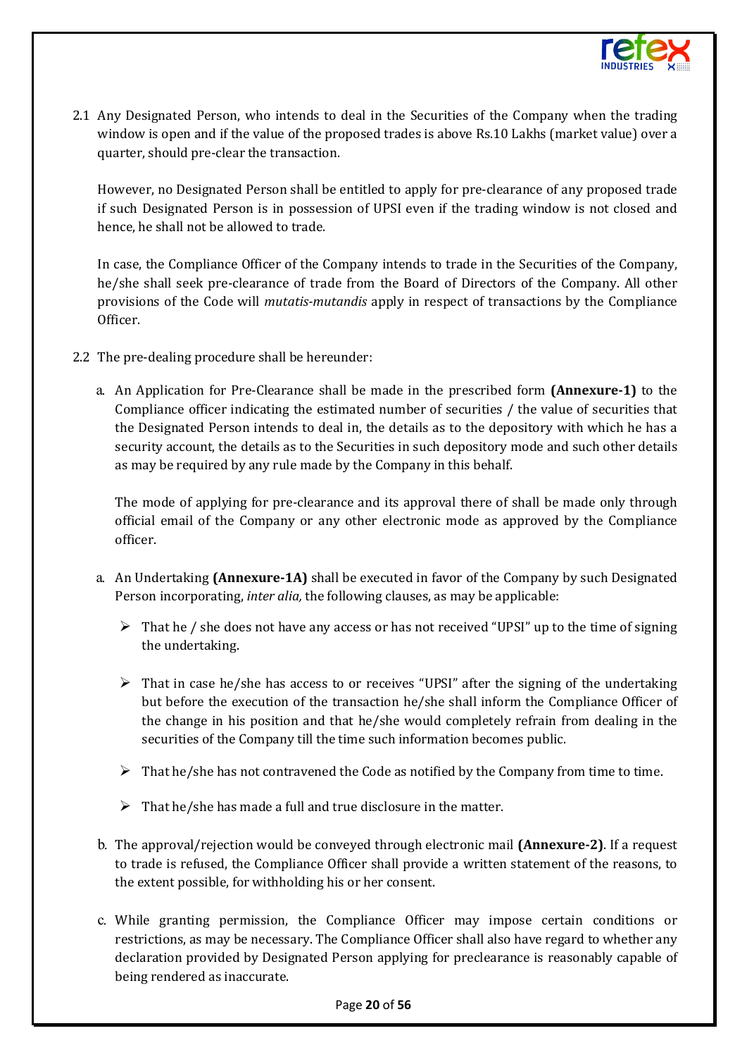

2.1 Any Designated Person, who intends to deal in the Securities of the Company when the trading window is open and if the value of the proposed trades is above Rs.10 Lakhs (market value) over a quarter, should pre-clear the transaction.

However, no Designated Person shall be entitled to apply for pre-clearance of any proposed trade if such Designated Person is in possession of UPSI even if the trading window is not closed and hence, he shall not be allowed to trade.

In case, the Compliance Officer of the Company intends to trade in the Securities of the Company, he/she shall seek pre-clearance of trade from the Board of Directors of the Company. All other provisions of the Code will *mutatis-mutandis* apply in respect of transactions by the Compliance Officer.

- 2.2 The pre-dealing procedure shall be hereunder:
	- a. An Application for Pre-Clearance shall be made in the prescribed form **(Annexure-1)** to the Compliance officer indicating the estimated number of securities / the value of securities that the Designated Person intends to deal in, the details as to the depository with which he has a security account, the details as to the Securities in such depository mode and such other details as may be required by any rule made by the Company in this behalf.

The mode of applying for pre-clearance and its approval there of shall be made only through official email of the Company or any other electronic mode as approved by the Compliance officer.

- a. An Undertaking **(Annexure-1A)** shall be executed in favor of the Company by such Designated Person incorporating, *inter alia,* the following clauses, as may be applicable:
	- $\triangleright$  That he / she does not have any access or has not received "UPSI" up to the time of signing the undertaking.
	- $\triangleright$  That in case he/she has access to or receives "UPSI" after the signing of the undertaking but before the execution of the transaction he/she shall inform the Compliance Officer of the change in his position and that he/she would completely refrain from dealing in the securities of the Company till the time such information becomes public.
	- $\triangleright$  That he/she has not contravened the Code as notified by the Company from time to time.
	- $\triangleright$  That he/she has made a full and true disclosure in the matter.
- b. The approval/rejection would be conveyed through electronic mail **(Annexure-2)**. If a request to trade is refused, the Compliance Officer shall provide a written statement of the reasons, to the extent possible, for withholding his or her consent.
- c. While granting permission, the Compliance Officer may impose certain conditions or restrictions, as may be necessary. The Compliance Officer shall also have regard to whether any declaration provided by Designated Person applying for preclearance is reasonably capable of being rendered as inaccurate.

#### Page **20** of **56**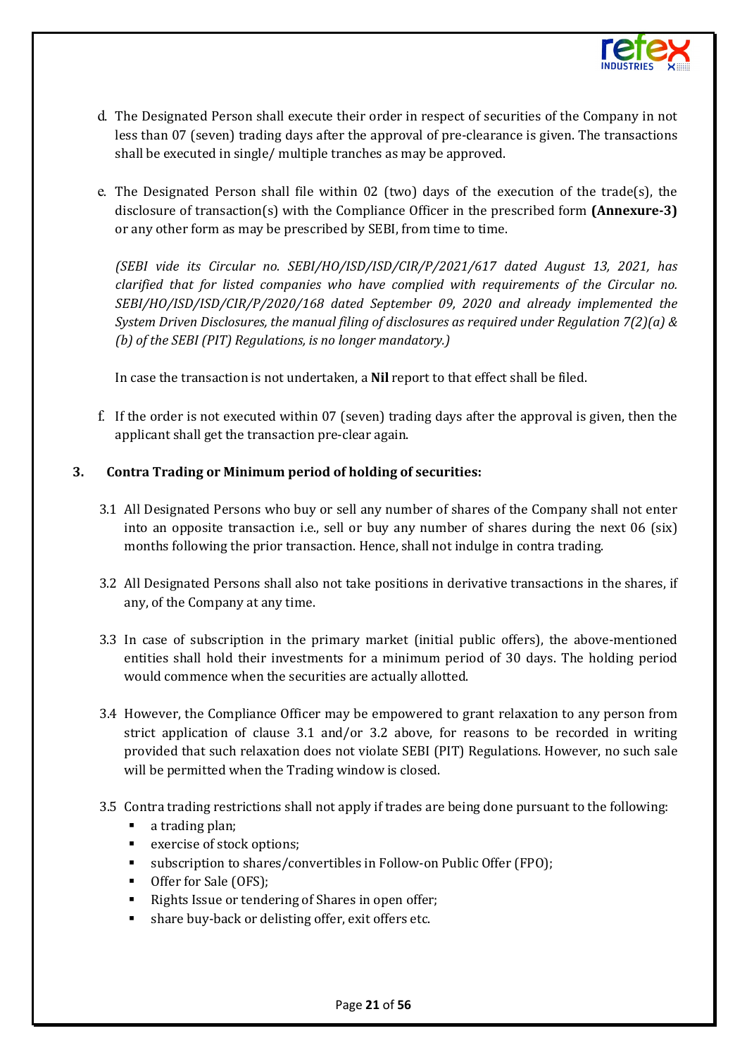

- d. The Designated Person shall execute their order in respect of securities of the Company in not less than 07 (seven) trading days after the approval of pre-clearance is given. The transactions shall be executed in single/ multiple tranches as may be approved.
- e. The Designated Person shall file within 02 (two) days of the execution of the trade(s), the disclosure of transaction(s) with the Compliance Officer in the prescribed form **(Annexure-3)**  or any other form as may be prescribed by SEBI, from time to time.

*(SEBI vide its Circular no. SEBI/HO/ISD/ISD/CIR/P/2021/617 dated August 13, 2021, has clarified that for listed companies who have complied with requirements of the Circular no. SEBI/HO/ISD/ISD/CIR/P/2020/168 dated September 09, 2020 and already implemented the System Driven Disclosures, the manual filing of disclosures as required under Regulation 7(2)(a) & (b) of the SEBI (PIT) Regulations, is no longer mandatory.)*

In case the transaction is not undertaken, a **Nil** report to that effect shall be filed.

f. If the order is not executed within 07 (seven) trading days after the approval is given, then the applicant shall get the transaction pre-clear again.

## **3. Contra Trading or Minimum period of holding of securities:**

- 3.1 All Designated Persons who buy or sell any number of shares of the Company shall not enter into an opposite transaction i.e., sell or buy any number of shares during the next 06 (six) months following the prior transaction. Hence, shall not indulge in contra trading.
- 3.2 All Designated Persons shall also not take positions in derivative transactions in the shares, if any, of the Company at any time.
- 3.3 In case of subscription in the primary market (initial public offers), the above-mentioned entities shall hold their investments for a minimum period of 30 days. The holding period would commence when the securities are actually allotted.
- 3.4 However, the Compliance Officer may be empowered to grant relaxation to any person from strict application of clause 3.1 and/or 3.2 above, for reasons to be recorded in writing provided that such relaxation does not violate SEBI (PIT) Regulations. However, no such sale will be permitted when the Trading window is closed.
- 3.5 Contra trading restrictions shall not apply if trades are being done pursuant to the following:
	- a trading plan;
	- exercise of stock options;
	- subscription to shares/convertibles in Follow-on Public Offer (FPO);
	- Offer for Sale (OFS);
	- Rights Issue or tendering of Shares in open offer;
	- share buy-back or delisting offer, exit offers etc.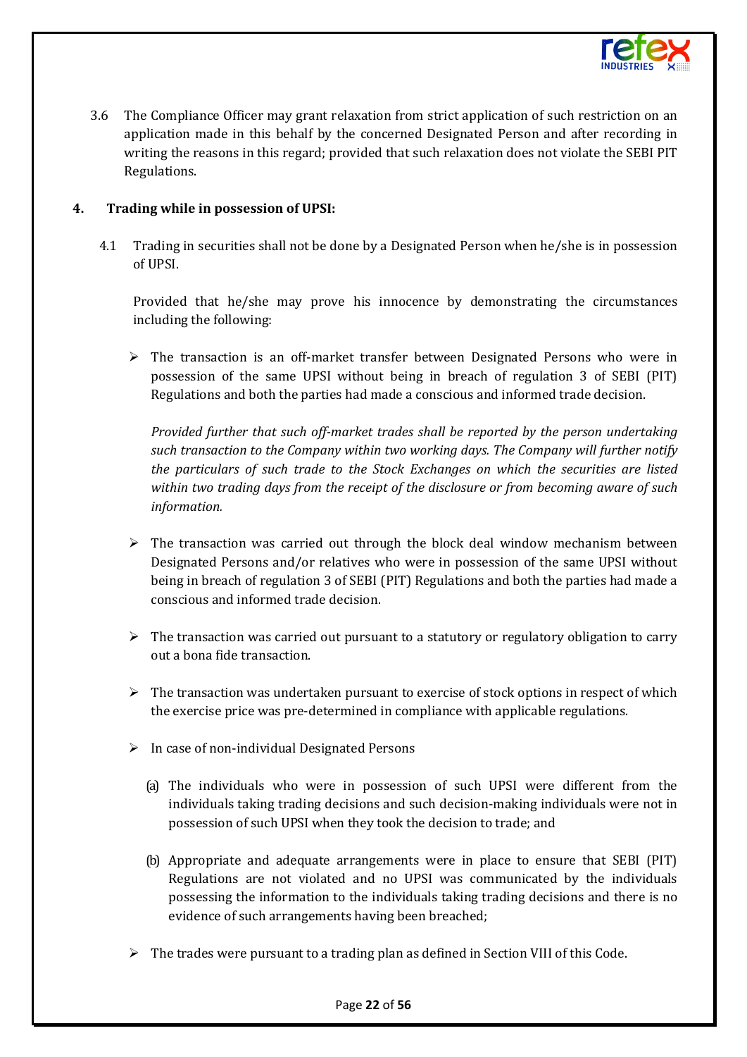

3.6 The Compliance Officer may grant relaxation from strict application of such restriction on an application made in this behalf by the concerned Designated Person and after recording in writing the reasons in this regard; provided that such relaxation does not violate the SEBI PIT Regulations.

## **4. Trading while in possession of UPSI:**

4.1 Trading in securities shall not be done by a Designated Person when he/she is in possession of UPSI.

Provided that he/she may prove his innocence by demonstrating the circumstances including the following:

 $\triangleright$  The transaction is an off-market transfer between Designated Persons who were in possession of the same UPSI without being in breach of regulation 3 of SEBI (PIT) Regulations and both the parties had made a conscious and informed trade decision.

*Provided further that such off-market trades shall be reported by the person undertaking such transaction to the Company within two working days. The Company will further notify the particulars of such trade to the Stock Exchanges on which the securities are listed within two trading days from the receipt of the disclosure or from becoming aware of such information.*

- $\triangleright$  The transaction was carried out through the block deal window mechanism between Designated Persons and/or relatives who were in possession of the same UPSI without being in breach of regulation 3 of SEBI (PIT) Regulations and both the parties had made a conscious and informed trade decision.
- $\triangleright$  The transaction was carried out pursuant to a statutory or regulatory obligation to carry out a bona fide transaction.
- $\triangleright$  The transaction was undertaken pursuant to exercise of stock options in respect of which the exercise price was pre-determined in compliance with applicable regulations.
- $\triangleright$  In case of non-individual Designated Persons
	- (a) The individuals who were in possession of such UPSI were different from the individuals taking trading decisions and such decision-making individuals were not in possession of such UPSI when they took the decision to trade; and
	- (b) Appropriate and adequate arrangements were in place to ensure that SEBI (PIT) Regulations are not violated and no UPSI was communicated by the individuals possessing the information to the individuals taking trading decisions and there is no evidence of such arrangements having been breached;
- $\triangleright$  The trades were pursuant to a trading plan as defined in Section VIII of this Code.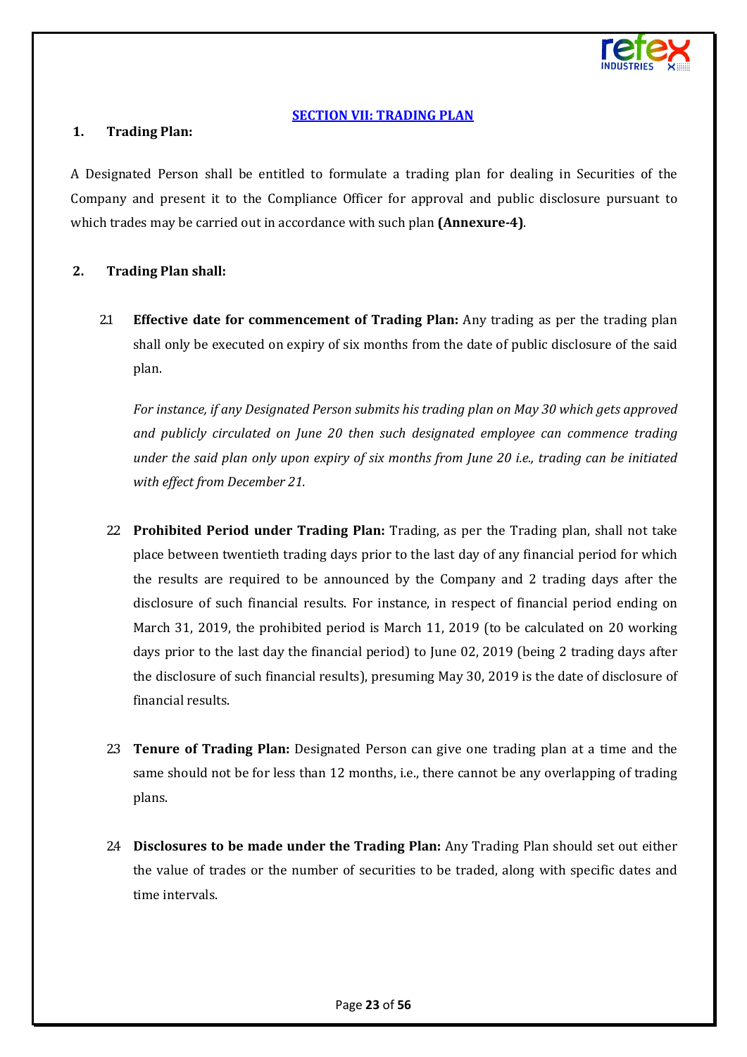

#### **[SECTION VII: TRADING PLAN](#page-1-6)**

#### <span id="page-22-0"></span>**1. Trading Plan:**

A Designated Person shall be entitled to formulate a trading plan for dealing in Securities of the Company and present it to the Compliance Officer for approval and public disclosure pursuant to which trades may be carried out in accordance with such plan **(Annexure-4)**.

#### **2. Trading Plan shall:**

2.1 **Effective date for commencement of Trading Plan:** Any trading as per the trading plan shall only be executed on expiry of six months from the date of public disclosure of the said plan.

*For instance, if any Designated Person submits his trading plan on May 30 which gets approved and publicly circulated on June 20 then such designated employee can commence trading under the said plan only upon expiry of six months from June 20 i.e., trading can be initiated with effect from December 21.*

- 2.2 **Prohibited Period under Trading Plan:** Trading, as per the Trading plan, shall not take place between twentieth trading days prior to the last day of any financial period for which the results are required to be announced by the Company and 2 trading days after the disclosure of such financial results. For instance, in respect of financial period ending on March 31, 2019, the prohibited period is March 11, 2019 (to be calculated on 20 working days prior to the last day the financial period) to June 02, 2019 (being 2 trading days after the disclosure of such financial results), presuming May 30, 2019 is the date of disclosure of financial results.
- 2.3 **Tenure of Trading Plan:** Designated Person can give one trading plan at a time and the same should not be for less than 12 months, i.e., there cannot be any overlapping of trading plans.
- 2.4 **Disclosures to be made under the Trading Plan:** Any Trading Plan should set out either the value of trades or the number of securities to be traded, along with specific dates and time intervals.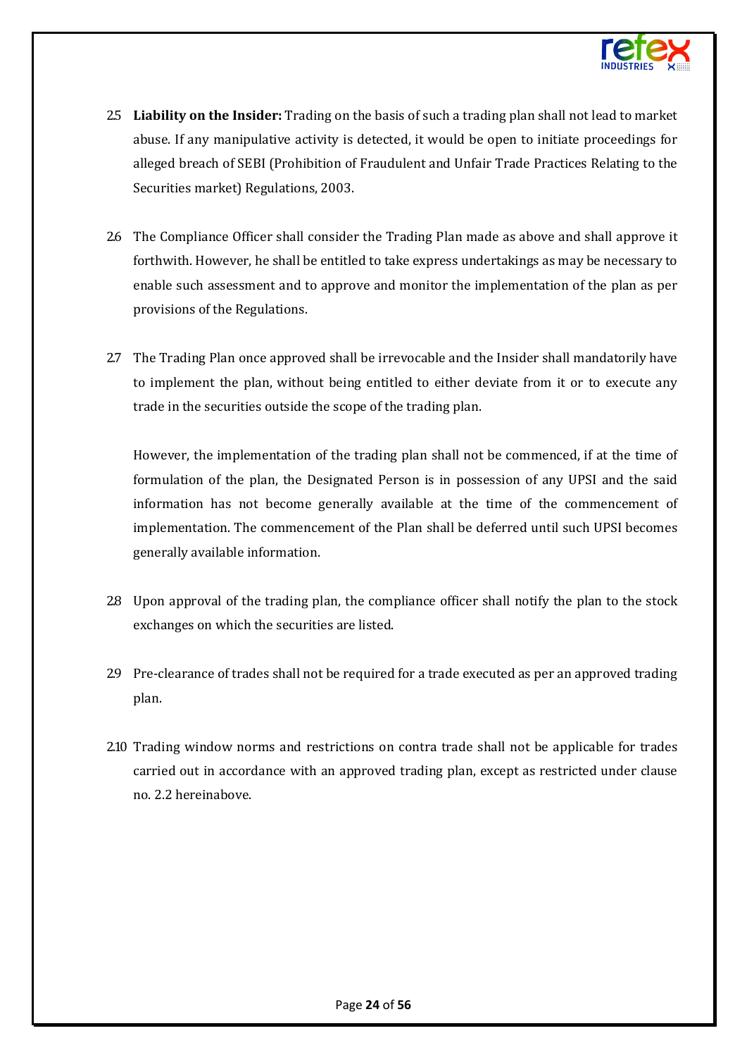

- 2.5 **Liability on the Insider:** Trading on the basis of such a trading plan shall not lead to market abuse. If any manipulative activity is detected, it would be open to initiate proceedings for alleged breach of SEBI (Prohibition of Fraudulent and Unfair Trade Practices Relating to the Securities market) Regulations, 2003.
- 2.6 The Compliance Officer shall consider the Trading Plan made as above and shall approve it forthwith. However, he shall be entitled to take express undertakings as may be necessary to enable such assessment and to approve and monitor the implementation of the plan as per provisions of the Regulations.
- 2.7 The Trading Plan once approved shall be irrevocable and the Insider shall mandatorily have to implement the plan, without being entitled to either deviate from it or to execute any trade in the securities outside the scope of the trading plan.

However, the implementation of the trading plan shall not be commenced, if at the time of formulation of the plan, the Designated Person is in possession of any UPSI and the said information has not become generally available at the time of the commencement of implementation. The commencement of the Plan shall be deferred until such UPSI becomes generally available information.

- 2.8 Upon approval of the trading plan, the compliance officer shall notify the plan to the stock exchanges on which the securities are listed.
- 2.9 Pre-clearance of trades shall not be required for a trade executed as per an approved trading plan.
- 2.10 Trading window norms and restrictions on contra trade shall not be applicable for trades carried out in accordance with an approved trading plan, except as restricted under clause no. 2.2 hereinabove.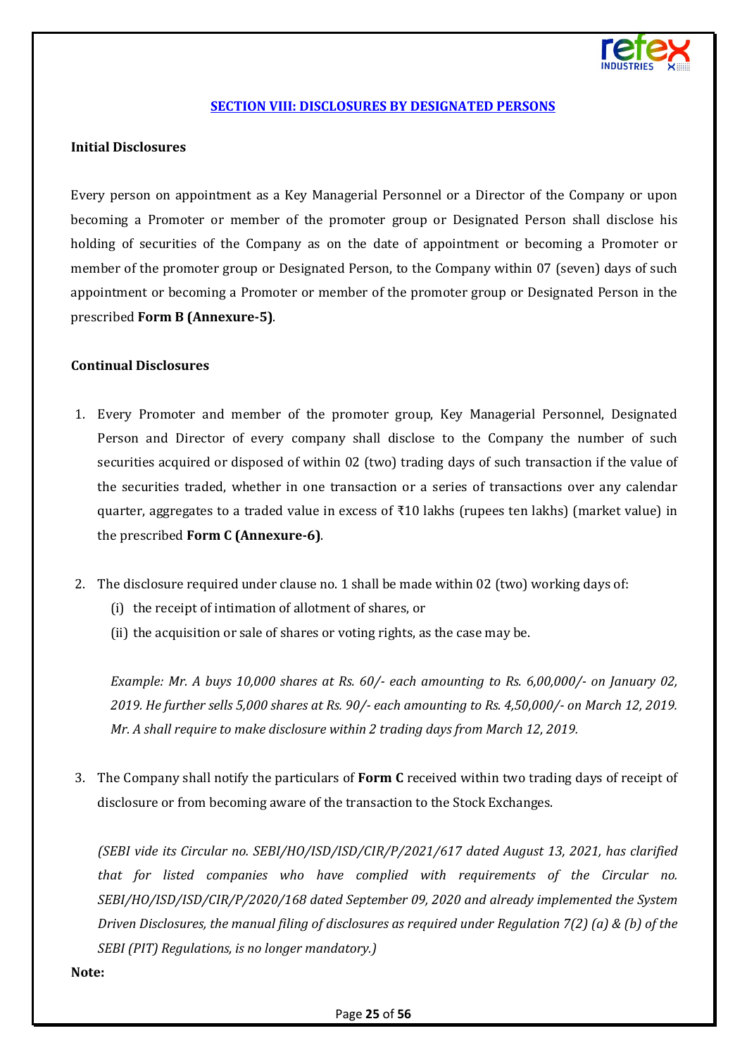

#### **[SECTION VIII: DISCLOSURES BY DESIGNATED PERSONS](#page-1-7)**

#### <span id="page-24-0"></span>**Initial Disclosures**

Every person on appointment as a Key Managerial Personnel or a Director of the Company or upon becoming a Promoter or member of the promoter group or Designated Person shall disclose his holding of securities of the Company as on the date of appointment or becoming a Promoter or member of the promoter group or Designated Person, to the Company within 07 (seven) days of such appointment or becoming a Promoter or member of the promoter group or Designated Person in the prescribed **Form B (Annexure-5)**.

#### **Continual Disclosures**

- 1. Every Promoter and member of the promoter group, Key Managerial Personnel, Designated Person and Director of every company shall disclose to the Company the number of such securities acquired or disposed of within 02 (two) trading days of such transaction if the value of the securities traded, whether in one transaction or a series of transactions over any calendar quarter, aggregates to a traded value in excess of ₹10 lakhs (rupees ten lakhs) (market value) in the prescribed **Form C (Annexure-6)**.
- 2. The disclosure required under clause no. 1 shall be made within 02 (two) working days of:
	- (i) the receipt of intimation of allotment of shares, or
	- (ii) the acquisition or sale of shares or voting rights, as the case may be.

*Example: Mr. A buys 10,000 shares at Rs. 60/- each amounting to Rs. 6,00,000/- on January 02, 2019. He further sells 5,000 shares at Rs. 90/- each amounting to Rs. 4,50,000/- on March 12, 2019. Mr. A shall require to make disclosure within 2 trading days from March 12, 2019.*

3. The Company shall notify the particulars of **Form C** received within two trading days of receipt of disclosure or from becoming aware of the transaction to the Stock Exchanges.

*(SEBI vide its Circular no. SEBI/HO/ISD/ISD/CIR/P/2021/617 dated August 13, 2021, has clarified that for listed companies who have complied with requirements of the Circular no. SEBI/HO/ISD/ISD/CIR/P/2020/168 dated September 09, 2020 and already implemented the System Driven Disclosures, the manual filing of disclosures as required under Regulation 7(2) (a) & (b) of the SEBI (PIT) Regulations, is no longer mandatory.)*

#### **Note:**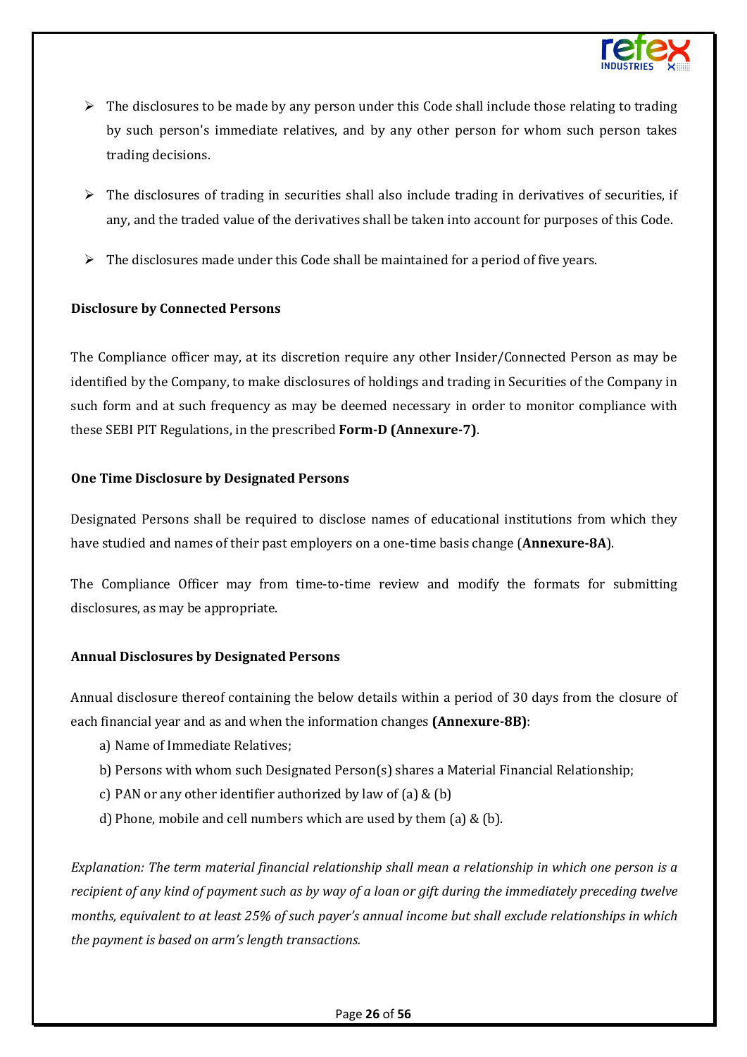

- $\triangleright$  The disclosures to be made by any person under this Code shall include those relating to trading by such person's immediate relatives, and by any other person for whom such person takes trading decisions.
- $\triangleright$  The disclosures of trading in securities shall also include trading in derivatives of securities, if any, and the traded value of the derivatives shall be taken into account for purposes of this Code.
- $\triangleright$  The disclosures made under this Code shall be maintained for a period of five years.

#### **Disclosure by Connected Persons**

The Compliance officer may, at its discretion require any other Insider/Connected Person as may be identified by the Company, to make disclosures of holdings and trading in Securities of the Company in such form and at such frequency as may be deemed necessary in order to monitor compliance with these SEBI PIT Regulations, in the prescribed **Form-D (Annexure-7)**.

#### **One Time Disclosure by Designated Persons**

Designated Persons shall be required to disclose names of educational institutions from which they have studied and names of their past employers on a one-time basis change (**Annexure-8A**).

The Compliance Officer may from time-to-time review and modify the formats for submitting disclosures, as may be appropriate.

## **Annual Disclosures by Designated Persons**

Annual disclosure thereof containing the below details within a period of 30 days from the closure of each financial year and as and when the information changes **(Annexure-8B)**:

- a) Name of Immediate Relatives;
- b) Persons with whom such Designated Person(s) shares a Material Financial Relationship;
- c) PAN or any other identifier authorized by law of (a)  $&$  (b)
- d) Phone, mobile and cell numbers which are used by them (a) & (b).

*Explanation: The term material financial relationship shall mean a relationship in which one person is a recipient of any kind of payment such as by way of a loan or gift during the immediately preceding twelve months, equivalent to at least 25% of such payer's annual income but shall exclude relationships in which the payment is based on arm's length transactions.*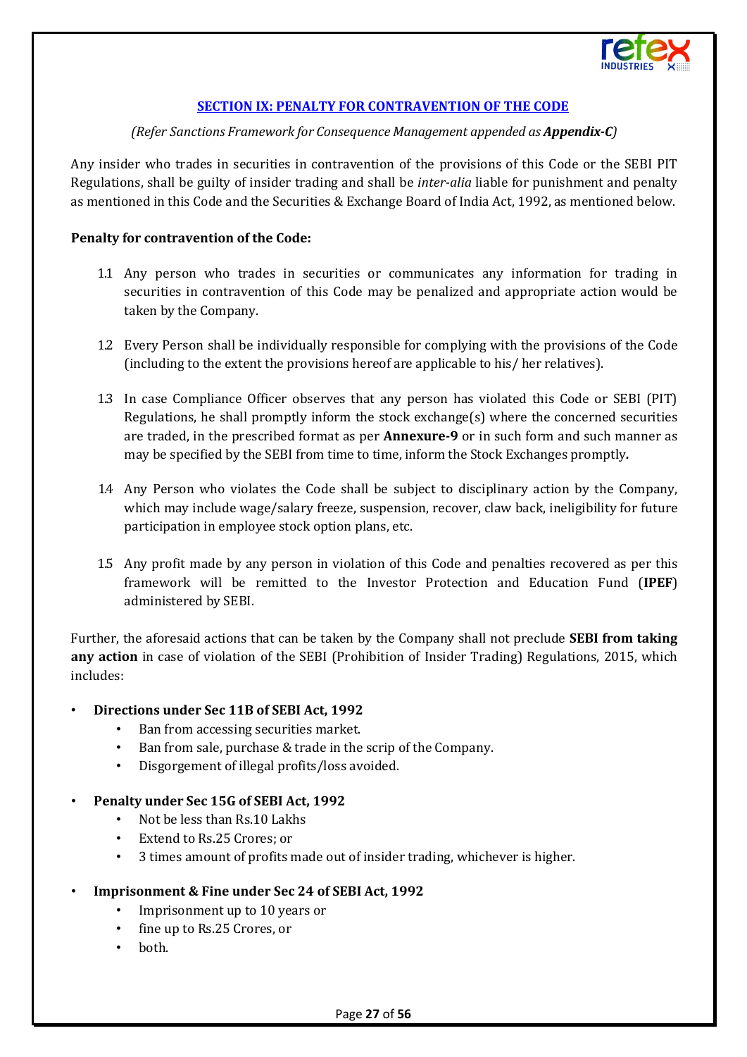

#### **[SECTION IX: PENALTY FOR CONTRAVENTION OF THE CODE](#page-1-8)**

#### *(Refer Sanctions Framework for Consequence Management appended as Appendix-C)*

<span id="page-26-0"></span>Any insider who trades in securities in contravention of the provisions of this Code or the SEBI PIT Regulations, shall be guilty of insider trading and shall be *inter-alia* liable for punishment and penalty as mentioned in this Code and the Securities & Exchange Board of India Act, 1992, as mentioned below.

#### **Penalty for contravention of the Code:**

- 1.1 Any person who trades in securities or communicates any information for trading in securities in contravention of this Code may be penalized and appropriate action would be taken by the Company.
- 1.2 Every Person shall be individually responsible for complying with the provisions of the Code (including to the extent the provisions hereof are applicable to his/ her relatives).
- 1.3 In case Compliance Officer observes that any person has violated this Code or SEBI (PIT) Regulations, he shall promptly inform the stock exchange(s) where the concerned securities are traded, in the prescribed format as per **Annexure-9** or in such form and such manner as may be specified by the SEBI from time to time, inform the Stock Exchanges promptly*.*
- 1.4 Any Person who violates the Code shall be subject to disciplinary action by the Company, which may include wage/salary freeze, suspension, recover, claw back, ineligibility for future participation in employee stock option plans, etc.
- 1.5 Any profit made by any person in violation of this Code and penalties recovered as per this framework will be remitted to the Investor Protection and Education Fund (**IPEF**) administered by SEBI.

Further, the aforesaid actions that can be taken by the Company shall not preclude **SEBI from taking any action** in case of violation of the SEBI (Prohibition of Insider Trading) Regulations, 2015, which includes:

#### • **Directions under Sec 11B of SEBI Act, 1992**

- Ban from accessing securities market.
- Ban from sale, purchase & trade in the scrip of the Company.
- Disgorgement of illegal profits/loss avoided.

#### • **Penalty under Sec 15G of SEBI Act, 1992**

- Not be less than Rs.10 Lakhs
- Extend to Rs.25 Crores; or
- 3 times amount of profits made out of insider trading, whichever is higher.

#### • **Imprisonment & Fine under Sec 24 of SEBI Act, 1992**

- Imprisonment up to 10 years or
- fine up to Rs.25 Crores, or
- both.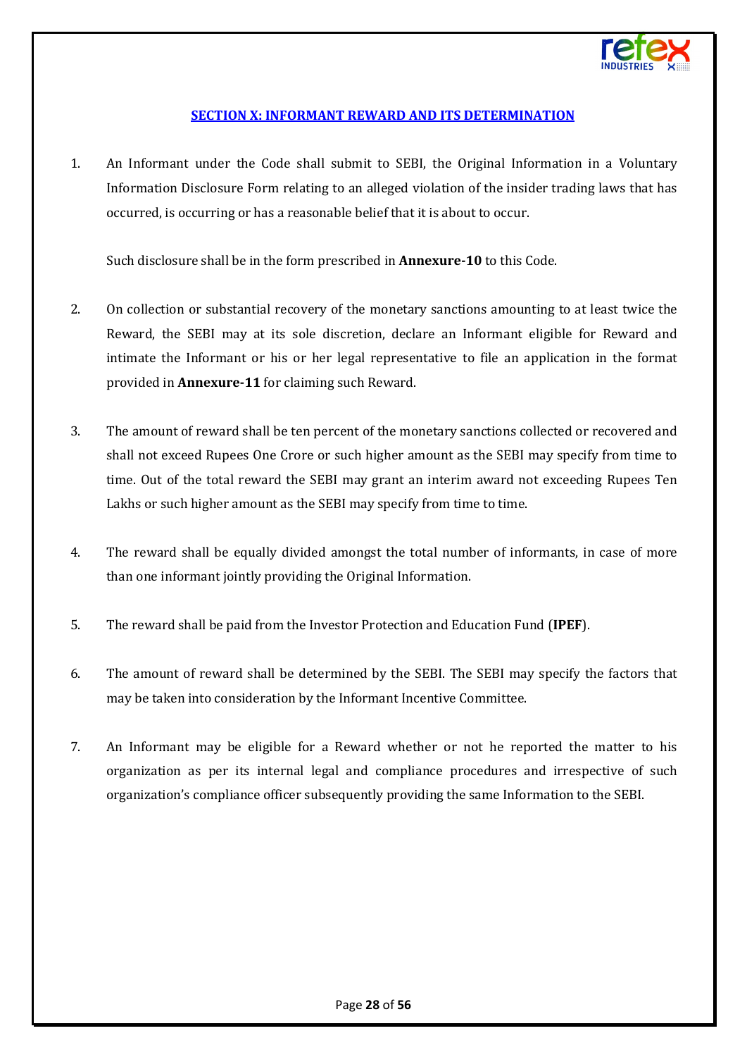

## **[SECTION X: INFORMANT REWARD AND ITS DETERMINATION](#page-1-9)**

<span id="page-27-0"></span>1. An Informant under the Code shall submit to SEBI, the Original Information in a Voluntary Information Disclosure Form relating to an alleged violation of the insider trading laws that has occurred, is occurring or has a reasonable belief that it is about to occur.

Such disclosure shall be in the form prescribed in **Annexure-10** to this Code.

- 2. On collection or substantial recovery of the monetary sanctions amounting to at least twice the Reward, the SEBI may at its sole discretion, declare an Informant eligible for Reward and intimate the Informant or his or her legal representative to file an application in the format provided in **Annexure-11** for claiming such Reward.
- 3. The amount of reward shall be ten percent of the monetary sanctions collected or recovered and shall not exceed Rupees One Crore or such higher amount as the SEBI may specify from time to time. Out of the total reward the SEBI may grant an interim award not exceeding Rupees Ten Lakhs or such higher amount as the SEBI may specify from time to time.
- 4. The reward shall be equally divided amongst the total number of informants, in case of more than one informant jointly providing the Original Information.
- 5. The reward shall be paid from the Investor Protection and Education Fund (**IPEF**).
- 6. The amount of reward shall be determined by the SEBI. The SEBI may specify the factors that may be taken into consideration by the Informant Incentive Committee.
- 7. An Informant may be eligible for a Reward whether or not he reported the matter to his organization as per its internal legal and compliance procedures and irrespective of such organization's compliance officer subsequently providing the same Information to the SEBI.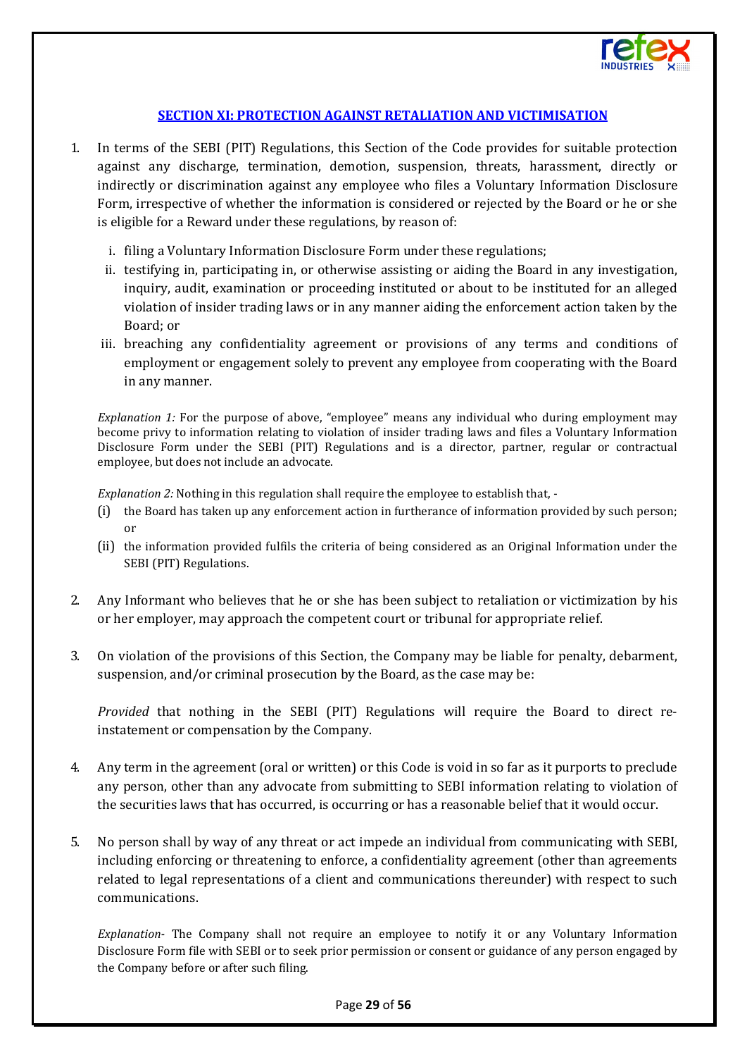

#### **[SECTION XI: PROTECTION AGAINST RETALIATION AND VICTIMISATION](#page-1-10)**

- <span id="page-28-0"></span>1. In terms of the SEBI (PIT) Regulations, this Section of the Code provides for suitable protection against any discharge, termination, demotion, suspension, threats, harassment, directly or indirectly or discrimination against any employee who files a Voluntary Information Disclosure Form, irrespective of whether the information is considered or rejected by the Board or he or she is eligible for a Reward under these regulations, by reason of:
	- i. filing a Voluntary Information Disclosure Form under these regulations;
	- ii. testifying in, participating in, or otherwise assisting or aiding the Board in any investigation, inquiry, audit, examination or proceeding instituted or about to be instituted for an alleged violation of insider trading laws or in any manner aiding the enforcement action taken by the Board; or
	- iii. breaching any confidentiality agreement or provisions of any terms and conditions of employment or engagement solely to prevent any employee from cooperating with the Board in any manner.

*Explanation 1:* For the purpose of above, "employee" means any individual who during employment may become privy to information relating to violation of insider trading laws and files a Voluntary Information Disclosure Form under the SEBI (PIT) Regulations and is a director, partner, regular or contractual employee, but does not include an advocate.

*Explanation 2:* Nothing in this regulation shall require the employee to establish that, -

- (i) the Board has taken up any enforcement action in furtherance of information provided by such person; or
- (ii) the information provided fulfils the criteria of being considered as an Original Information under the SEBI (PIT) Regulations.
- 2. Any Informant who believes that he or she has been subject to retaliation or victimization by his or her employer, may approach the competent court or tribunal for appropriate relief.
- 3. On violation of the provisions of this Section, the Company may be liable for penalty, debarment, suspension, and/or criminal prosecution by the Board, as the case may be:

*Provided* that nothing in the SEBI (PIT) Regulations will require the Board to direct reinstatement or compensation by the Company.

- 4. Any term in the agreement (oral or written) or this Code is void in so far as it purports to preclude any person, other than any advocate from submitting to SEBI information relating to violation of the securities laws that has occurred, is occurring or has a reasonable belief that it would occur.
- 5. No person shall by way of any threat or act impede an individual from communicating with SEBI, including enforcing or threatening to enforce, a confidentiality agreement (other than agreements related to legal representations of a client and communications thereunder) with respect to such communications.

*Explanation-* The Company shall not require an employee to notify it or any Voluntary Information Disclosure Form file with SEBI or to seek prior permission or consent or guidance of any person engaged by the Company before or after such filing.

#### Page **29** of **56**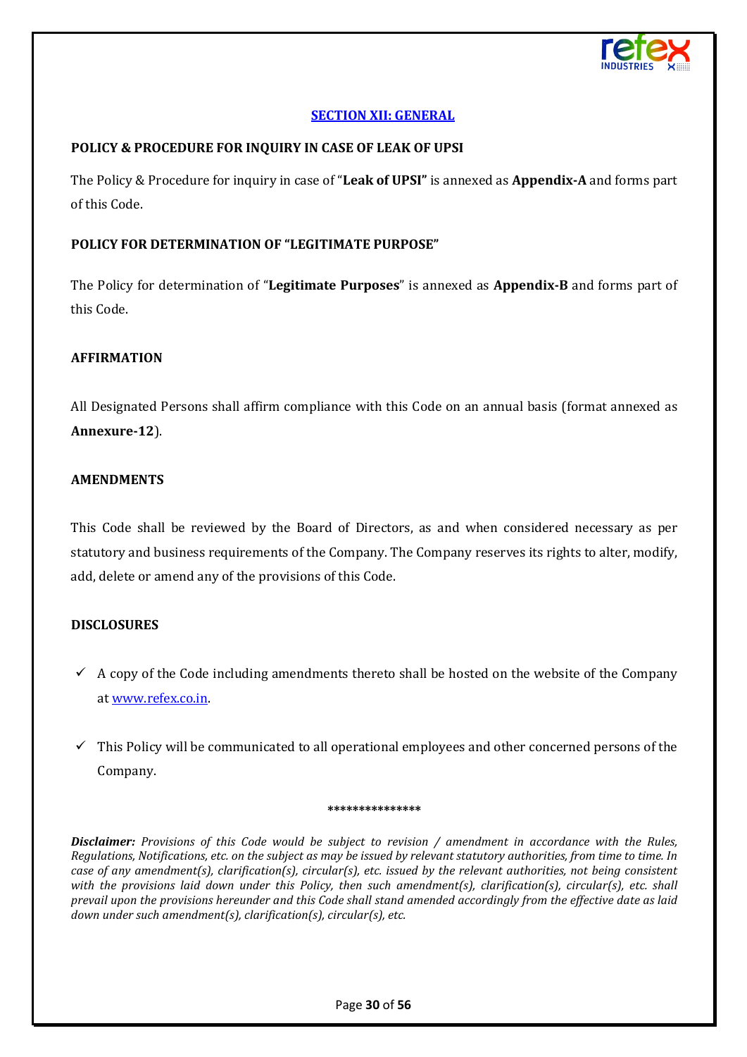

#### **[SECTION XII: GENERAL](#page-1-11)**

#### <span id="page-29-0"></span>**POLICY & PROCEDURE FOR INQUIRY IN CASE OF LEAK OF UPSI**

The Policy & Procedure for inquiry in case of "**Leak of UPSI"** is annexed as **Appendix-A** and forms part of this Code.

#### **POLICY FOR DETERMINATION OF "LEGITIMATE PURPOSE"**

The Policy for determination of "**Legitimate Purposes**" is annexed as **Appendix-B** and forms part of this Code.

## **AFFIRMATION**

All Designated Persons shall affirm compliance with this Code on an annual basis (format annexed as **Annexure-12**).

#### **AMENDMENTS**

This Code shall be reviewed by the Board of Directors, as and when considered necessary as per statutory and business requirements of the Company. The Company reserves its rights to alter, modify, add, delete or amend any of the provisions of this Code.

#### **DISCLOSURES**

- $\checkmark$  A copy of the Code including amendments thereto shall be hosted on the website of the Company a[t www.refex.co.in.](http://www.refex.co.in/)
- $\checkmark$  This Policy will be communicated to all operational employees and other concerned persons of the Company.

#### **\*\*\*\*\*\*\*\*\*\*\*\*\*\*\***

*Disclaimer: Provisions of this Code would be subject to revision / amendment in accordance with the Rules, Regulations, Notifications, etc. on the subject as may be issued by relevant statutory authorities, from time to time. In case of any amendment(s), clarification(s), circular(s), etc. issued by the relevant authorities, not being consistent with the provisions laid down under this Policy, then such amendment(s), clarification(s), circular(s), etc. shall prevail upon the provisions hereunder and this Code shall stand amended accordingly from the effective date as laid down under such amendment(s), clarification(s), circular(s), etc.*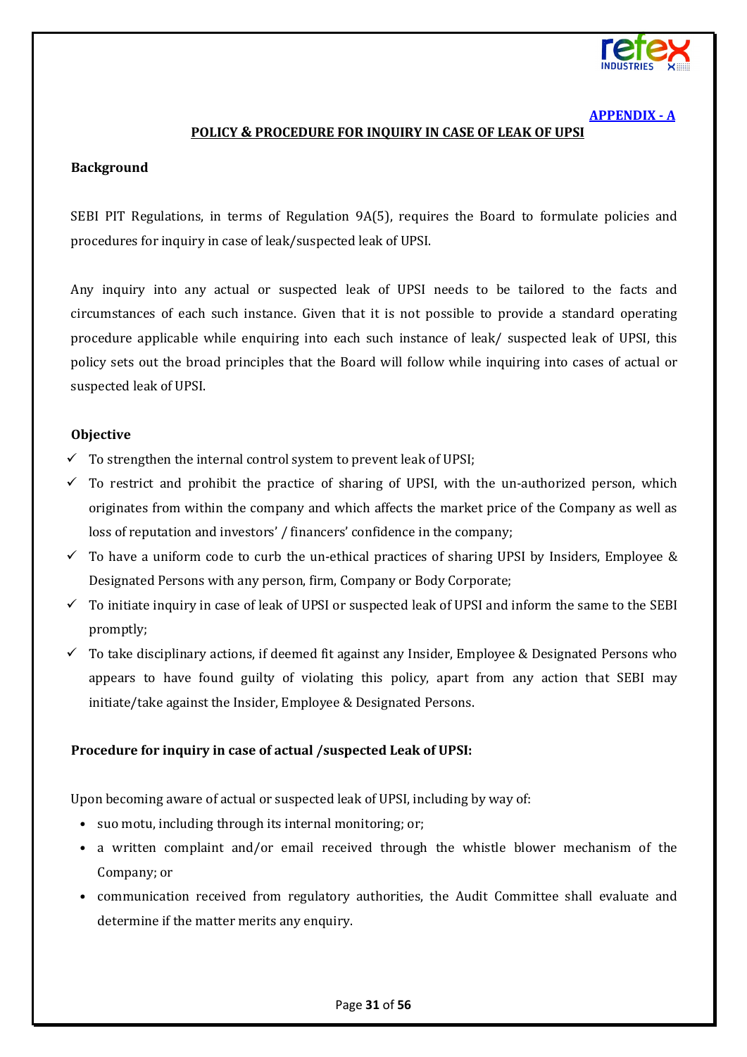

#### **[APPENDIX - A](#page-1-12)**

#### **POLICY & PROCEDURE FOR INQUIRY IN CASE OF LEAK OF UPSI**

#### <span id="page-30-0"></span>**Background**

SEBI PIT Regulations, in terms of Regulation 9A(5), requires the Board to formulate policies and procedures for inquiry in case of leak/suspected leak of UPSI.

Any inquiry into any actual or suspected leak of UPSI needs to be tailored to the facts and circumstances of each such instance. Given that it is not possible to provide a standard operating procedure applicable while enquiring into each such instance of leak/ suspected leak of UPSI, this policy sets out the broad principles that the Board will follow while inquiring into cases of actual or suspected leak of UPSI.

#### **Objective**

- $\checkmark$  To strengthen the internal control system to prevent leak of UPSI;
- $\checkmark$  To restrict and prohibit the practice of sharing of UPSI, with the un-authorized person, which originates from within the company and which affects the market price of the Company as well as loss of reputation and investors' / financers' confidence in the company;
- $\checkmark$  To have a uniform code to curb the un-ethical practices of sharing UPSI by Insiders, Employee & Designated Persons with any person, firm, Company or Body Corporate;
- $\checkmark$  To initiate inquiry in case of leak of UPSI or suspected leak of UPSI and inform the same to the SEBI promptly;
- $\checkmark$  To take disciplinary actions, if deemed fit against any Insider, Employee & Designated Persons who appears to have found guilty of violating this policy, apart from any action that SEBI may initiate/take against the Insider, Employee & Designated Persons.

#### **Procedure for inquiry in case of actual /suspected Leak of UPSI:**

Upon becoming aware of actual or suspected leak of UPSI, including by way of:

- suo motu, including through its internal monitoring; or;
- a written complaint and/or email received through the whistle blower mechanism of the Company; or
- communication received from regulatory authorities, the Audit Committee shall evaluate and determine if the matter merits any enquiry.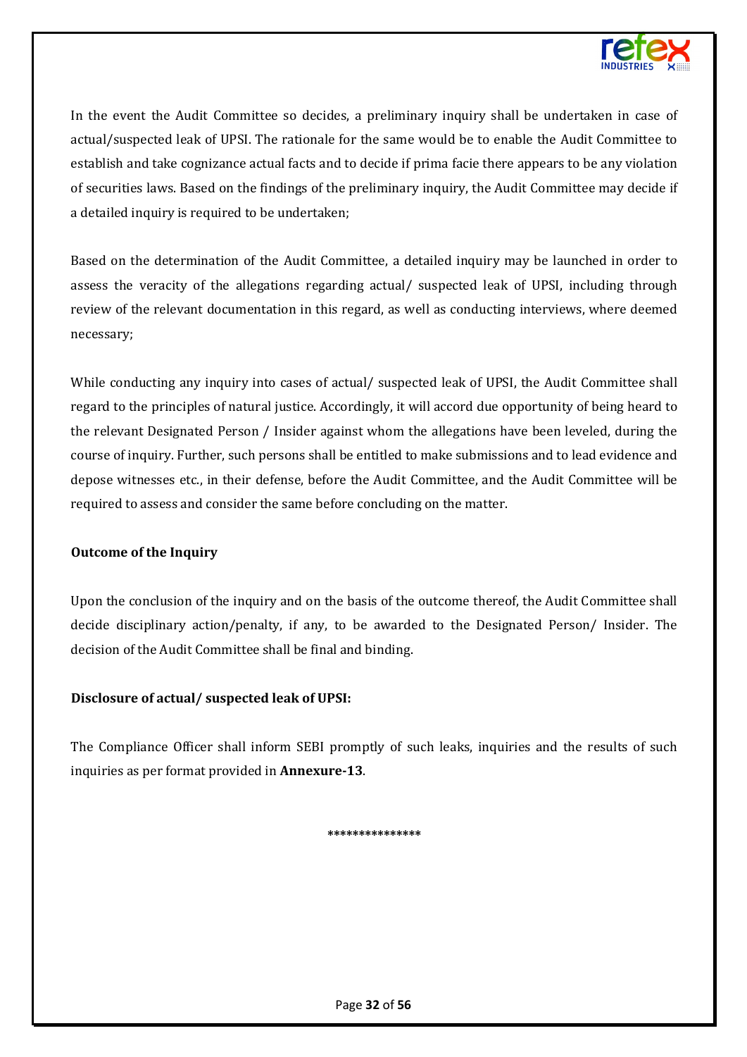

In the event the Audit Committee so decides, a preliminary inquiry shall be undertaken in case of actual/suspected leak of UPSI. The rationale for the same would be to enable the Audit Committee to establish and take cognizance actual facts and to decide if prima facie there appears to be any violation of securities laws. Based on the findings of the preliminary inquiry, the Audit Committee may decide if a detailed inquiry is required to be undertaken;

Based on the determination of the Audit Committee, a detailed inquiry may be launched in order to assess the veracity of the allegations regarding actual/ suspected leak of UPSI, including through review of the relevant documentation in this regard, as well as conducting interviews, where deemed necessary;

While conducting any inquiry into cases of actual/ suspected leak of UPSI, the Audit Committee shall regard to the principles of natural justice. Accordingly, it will accord due opportunity of being heard to the relevant Designated Person / Insider against whom the allegations have been leveled, during the course of inquiry. Further, such persons shall be entitled to make submissions and to lead evidence and depose witnesses etc., in their defense, before the Audit Committee, and the Audit Committee will be required to assess and consider the same before concluding on the matter.

#### **Outcome of the Inquiry**

Upon the conclusion of the inquiry and on the basis of the outcome thereof, the Audit Committee shall decide disciplinary action/penalty, if any, to be awarded to the Designated Person/ Insider. The decision of the Audit Committee shall be final and binding.

#### **Disclosure of actual/ suspected leak of UPSI:**

The Compliance Officer shall inform SEBI promptly of such leaks, inquiries and the results of such inquiries as per format provided in **Annexure-13**.

#### **\*\*\*\*\*\*\*\*\*\*\*\*\*\*\***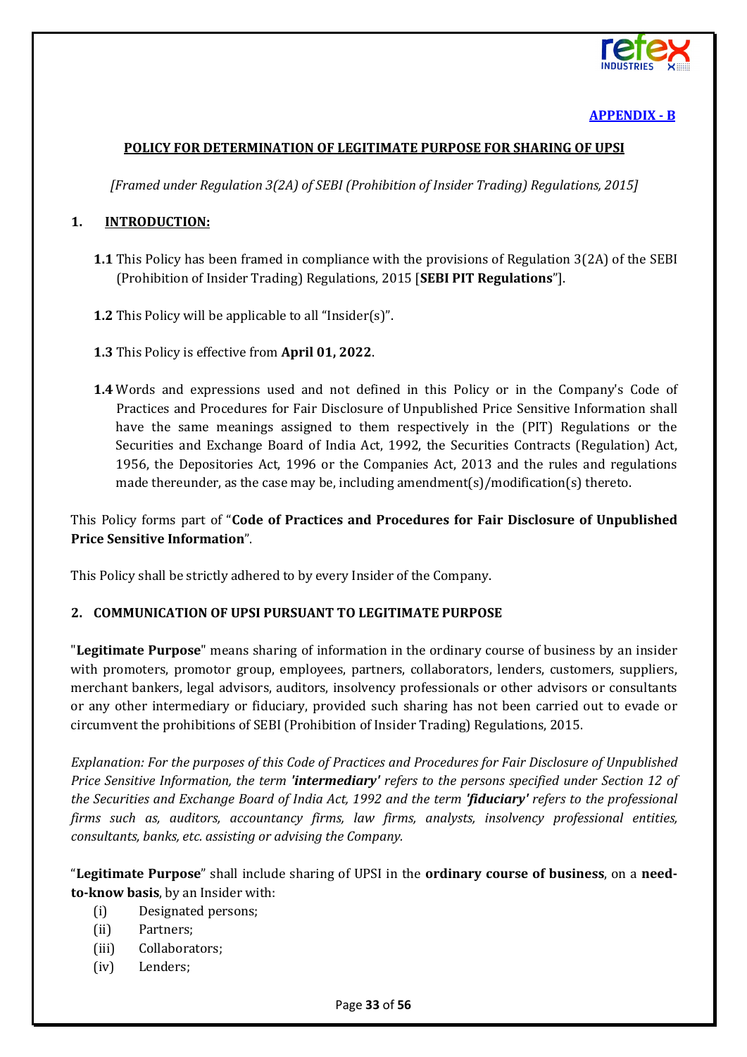

## **[APPENDIX - B](#page-1-13)**

#### <span id="page-32-0"></span>**POLICY FOR DETERMINATION OF LEGITIMATE PURPOSE FOR SHARING OF UPSI**

*[Framed under Regulation 3(2A) of SEBI (Prohibition of Insider Trading) Regulations, 2015]*

#### **1. INTRODUCTION:**

- **1.1** This Policy has been framed in compliance with the provisions of Regulation 3(2A) of the SEBI (Prohibition of Insider Trading) Regulations, 2015 [**SEBI PIT Regulations**"].
- **1.2** This Policy will be applicable to all "Insider(s)".
- **1.3** This Policy is effective from **April 01, 2022**.
- **1.4** Words and expressions used and not defined in this Policy or in the Company's Code of Practices and Procedures for Fair Disclosure of Unpublished Price Sensitive Information shall have the same meanings assigned to them respectively in the (PIT) Regulations or the Securities and Exchange Board of India Act, 1992, the Securities Contracts (Regulation) Act, 1956, the Depositories Act, 1996 or the Companies Act, 2013 and the rules and regulations made thereunder, as the case may be, including amendment(s)/modification(s) thereto.

This Policy forms part of "**Code of Practices and Procedures for Fair Disclosure of Unpublished Price Sensitive Information**".

This Policy shall be strictly adhered to by every Insider of the Company.

#### **2. COMMUNICATION OF UPSI PURSUANT TO LEGITIMATE PURPOSE**

"**Legitimate Purpose**" means sharing of information in the ordinary course of business by an insider with promoters, promotor group, employees, partners, collaborators, lenders, customers, suppliers, merchant bankers, legal advisors, auditors, insolvency professionals or other advisors or consultants or any other intermediary or fiduciary, provided such sharing has not been carried out to evade or circumvent the prohibitions of SEBI (Prohibition of Insider Trading) Regulations, 2015.

*Explanation: For the purposes of this Code of Practices and Procedures for Fair Disclosure of Unpublished Price Sensitive Information, the term 'intermediary' refers to the persons specified under Section 12 of the Securities and Exchange Board of India Act, 1992 and the term 'fiduciary' refers to the professional firms such as, auditors, accountancy firms, law firms, analysts, insolvency professional entities, consultants, banks, etc. assisting or advising the Company.*

"**Legitimate Purpose**" shall include sharing of UPSI in the **ordinary course of business**, on a **needto-know basis**, by an Insider with:

- (i) Designated persons;
- (ii) Partners;
- (iii) Collaborators;
- (iv) Lenders;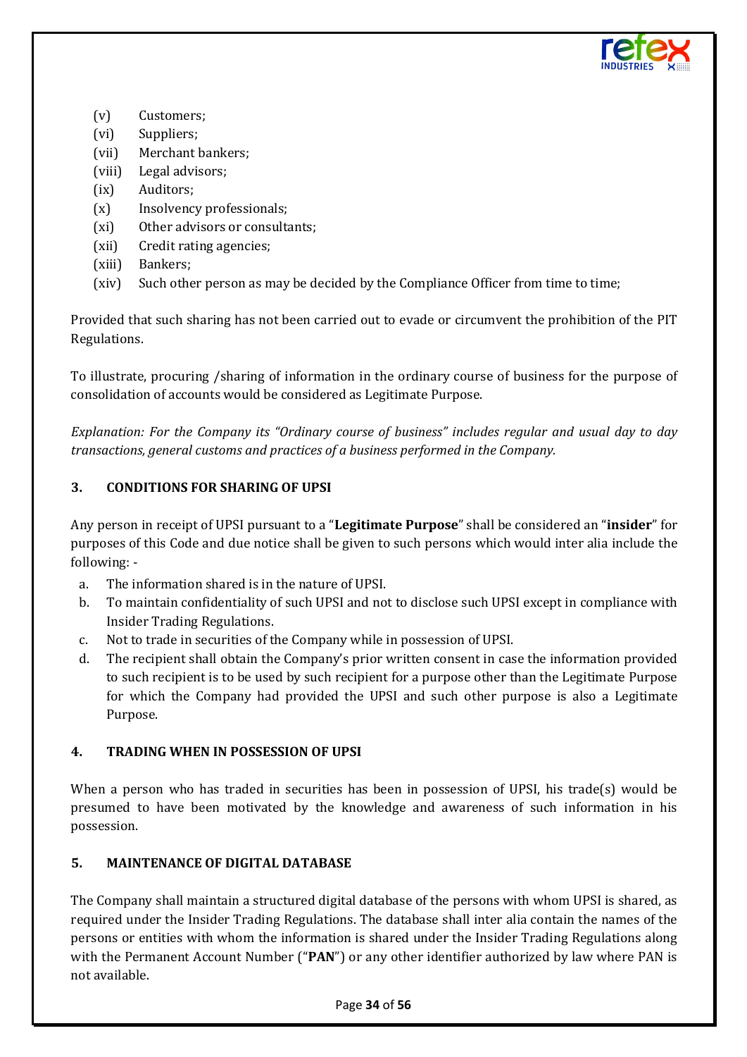

- (v) Customers;
- (vi) Suppliers;
- (vii) Merchant bankers;
- (viii) Legal advisors;
- (ix) Auditors;
- (x) Insolvency professionals;
- (xi) Other advisors or consultants;
- (xii) Credit rating agencies;
- (xiii) Bankers;
- (xiv) Such other person as may be decided by the Compliance Officer from time to time;

Provided that such sharing has not been carried out to evade or circumvent the prohibition of the PIT Regulations.

To illustrate, procuring /sharing of information in the ordinary course of business for the purpose of consolidation of accounts would be considered as Legitimate Purpose.

*Explanation: For the Company its "Ordinary course of business" includes regular and usual day to day transactions, general customs and practices of a business performed in the Company.*

## **3. CONDITIONS FOR SHARING OF UPSI**

Any person in receipt of UPSI pursuant to a "**Legitimate Purpose**" shall be considered an "**insider**" for purposes of this Code and due notice shall be given to such persons which would inter alia include the following: -

- a. The information shared is in the nature of UPSI.
- b. To maintain confidentiality of such UPSI and not to disclose such UPSI except in compliance with Insider Trading Regulations.
- c. Not to trade in securities of the Company while in possession of UPSI.
- d. The recipient shall obtain the Company's prior written consent in case the information provided to such recipient is to be used by such recipient for a purpose other than the Legitimate Purpose for which the Company had provided the UPSI and such other purpose is also a Legitimate Purpose.

#### **4. TRADING WHEN IN POSSESSION OF UPSI**

When a person who has traded in securities has been in possession of UPSI, his trade(s) would be presumed to have been motivated by the knowledge and awareness of such information in his possession.

#### **5. MAINTENANCE OF DIGITAL DATABASE**

The Company shall maintain a structured digital database of the persons with whom UPSI is shared, as required under the Insider Trading Regulations. The database shall inter alia contain the names of the persons or entities with whom the information is shared under the Insider Trading Regulations along with the Permanent Account Number ("**PAN**") or any other identifier authorized by law where PAN is not available.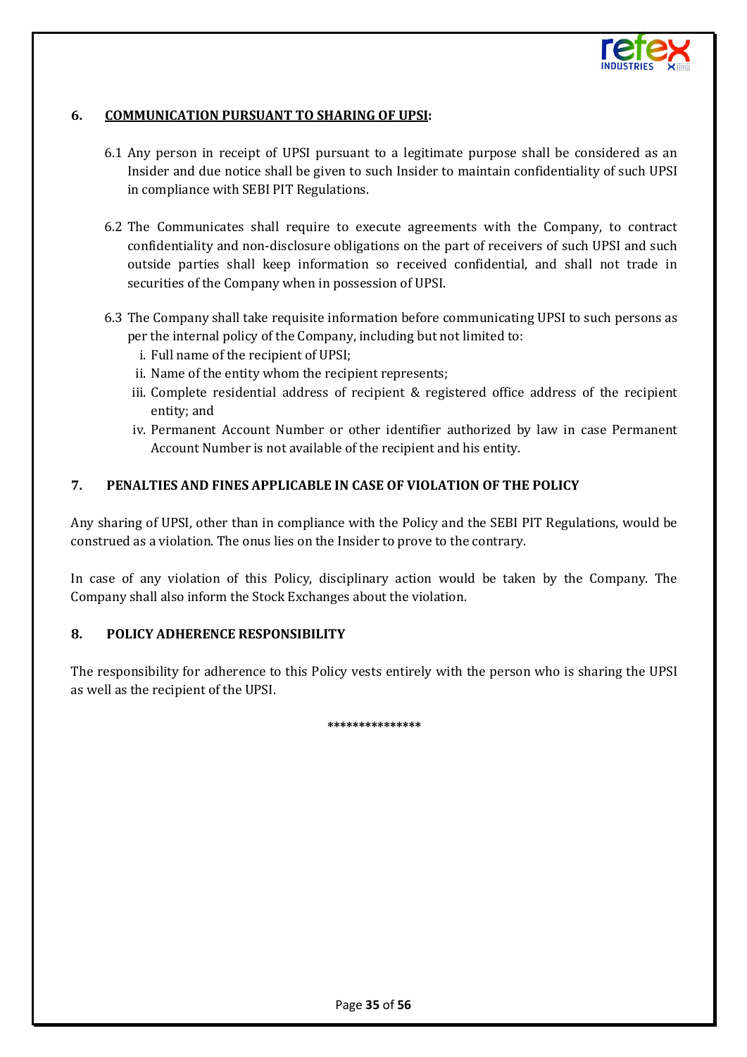

#### **6. COMMUNICATION PURSUANT TO SHARING OF UPSI:**

- 6.1 Any person in receipt of UPSI pursuant to a legitimate purpose shall be considered as an Insider and due notice shall be given to such Insider to maintain confidentiality of such UPSI in compliance with SEBI PIT Regulations.
- 6.2 The Communicates shall require to execute agreements with the Company, to contract confidentiality and non-disclosure obligations on the part of receivers of such UPSI and such outside parties shall keep information so received confidential, and shall not trade in securities of the Company when in possession of UPSI.
- 6.3 The Company shall take requisite information before communicating UPSI to such persons as per the internal policy of the Company, including but not limited to:
	- i. Full name of the recipient of UPSI;
	- ii. Name of the entity whom the recipient represents;
	- iii. Complete residential address of recipient & registered office address of the recipient entity; and
	- iv. Permanent Account Number or other identifier authorized by law in case Permanent Account Number is not available of the recipient and his entity.

#### **7. PENALTIES AND FINES APPLICABLE IN CASE OF VIOLATION OF THE POLICY**

Any sharing of UPSI, other than in compliance with the Policy and the SEBI PIT Regulations, would be construed as a violation. The onus lies on the Insider to prove to the contrary.

In case of any violation of this Policy, disciplinary action would be taken by the Company. The Company shall also inform the Stock Exchanges about the violation.

## **8. POLICY ADHERENCE RESPONSIBILITY**

The responsibility for adherence to this Policy vests entirely with the person who is sharing the UPSI as well as the recipient of the UPSI.

**\*\*\*\*\*\*\*\*\*\*\*\*\*\*\***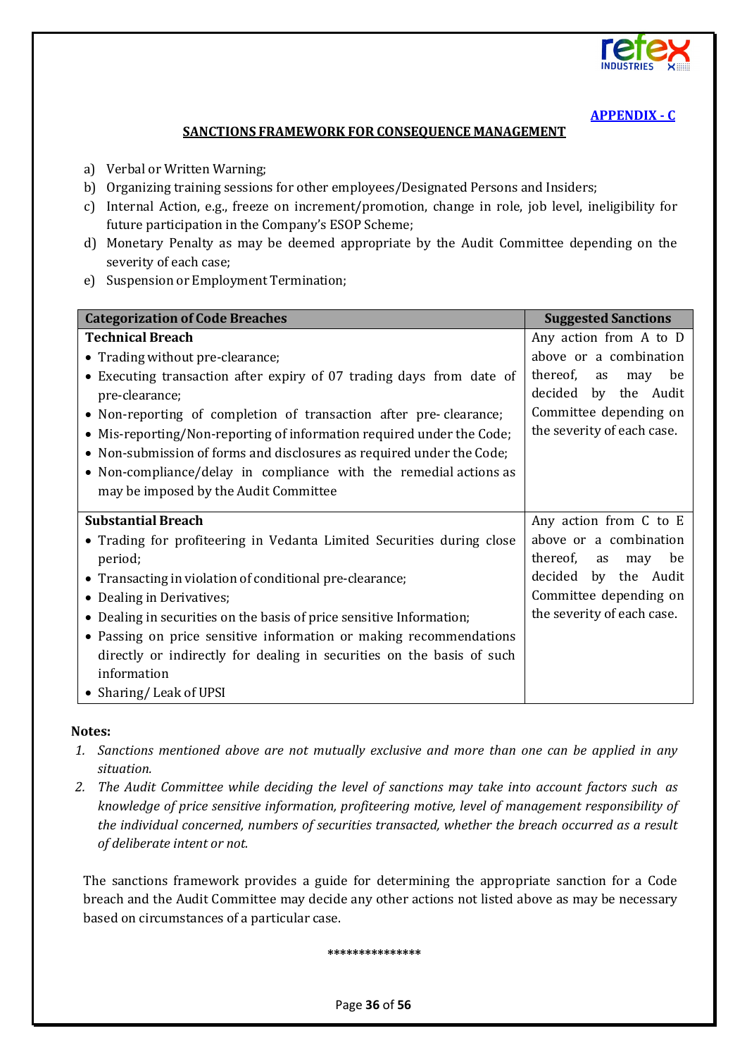

## **[APPENDIX - C](#page-1-14)**

#### **SANCTIONS FRAMEWORK FOR CONSEQUENCE MANAGEMENT**

- <span id="page-35-0"></span>a) Verbal or Written Warning;
- b) Organizing training sessions for other employees/Designated Persons and Insiders;
- c) Internal Action, e.g., freeze on increment/promotion, change in role, job level, ineligibility for future participation in the Company's ESOP Scheme;
- d) Monetary Penalty as may be deemed appropriate by the Audit Committee depending on the severity of each case;
- e) Suspension or Employment Termination;

| <b>Categorization of Code Breaches</b>                                | <b>Suggested Sanctions</b>  |  |
|-----------------------------------------------------------------------|-----------------------------|--|
| <b>Technical Breach</b>                                               | Any action from A to D      |  |
| • Trading without pre-clearance;                                      | above or a combination      |  |
| • Executing transaction after expiry of 07 trading days from date of  | thereof,<br>be<br>as<br>may |  |
| pre-clearance;                                                        | by the Audit<br>decided     |  |
| • Non-reporting of completion of transaction after pre-clearance;     | Committee depending on      |  |
| • Mis-reporting/Non-reporting of information required under the Code; | the severity of each case.  |  |
| • Non-submission of forms and disclosures as required under the Code; |                             |  |
| • Non-compliance/delay in compliance with the remedial actions as     |                             |  |
| may be imposed by the Audit Committee                                 |                             |  |
| <b>Substantial Breach</b>                                             | Any action from C to E      |  |
| • Trading for profiteering in Vedanta Limited Securities during close | above or a combination      |  |
| period;                                                               | thereof,<br>be<br>as<br>may |  |
| • Transacting in violation of conditional pre-clearance;              | decided<br>by the Audit     |  |
| • Dealing in Derivatives;                                             | Committee depending on      |  |
| • Dealing in securities on the basis of price sensitive Information;  | the severity of each case.  |  |
| • Passing on price sensitive information or making recommendations    |                             |  |
| directly or indirectly for dealing in securities on the basis of such |                             |  |
| information                                                           |                             |  |
| • Sharing/Leak of UPSI                                                |                             |  |

#### **Notes:**

- *1. Sanctions mentioned above are not mutually exclusive and more than one can be applied in any situation.*
- *2. The Audit Committee while deciding the level of sanctions may take into account factors such as knowledge of price sensitive information, profiteering motive, level of management responsibility of the individual concerned, numbers of securities transacted, whether the breach occurred as a result of deliberate intent or not.*

The sanctions framework provides a guide for determining the appropriate sanction for a Code breach and the Audit Committee may decide any other actions not listed above as may be necessary based on circumstances of a particular case.

**\*\*\*\*\*\*\*\*\*\*\*\*\*\*\***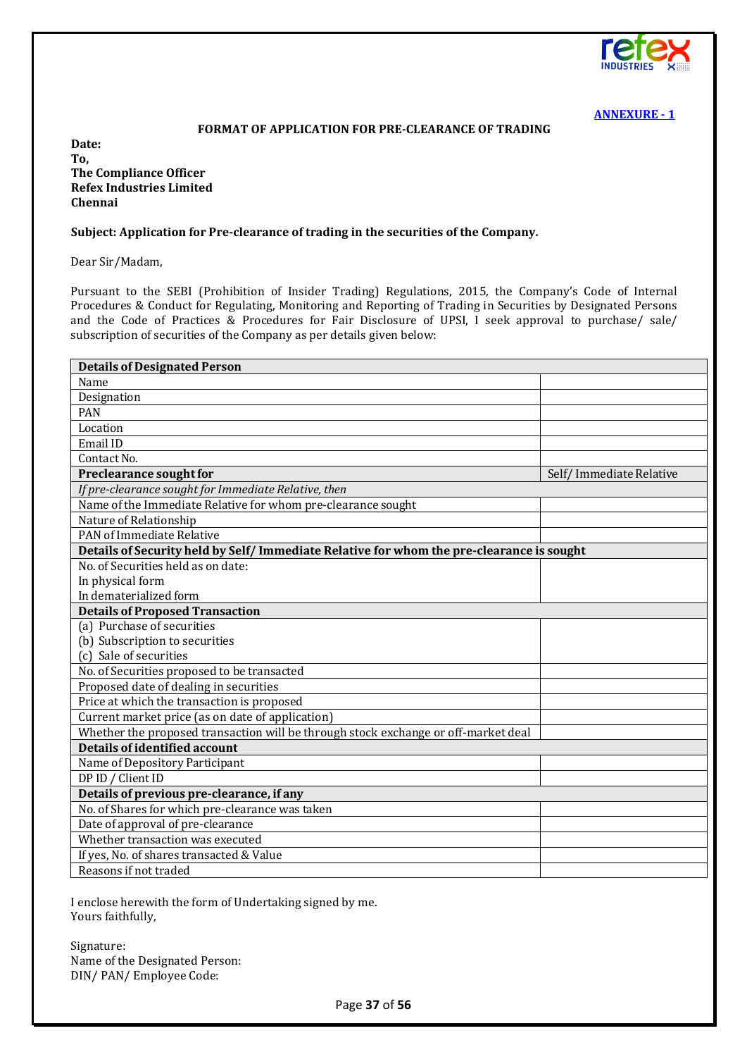

#### **FORMAT OF APPLICATION FOR PRE-CLEARANCE OF TRADING**

<span id="page-36-0"></span>**Date: To, The Compliance Officer Refex Industries Limited Chennai**

#### **Subject: Application for Pre-clearance of trading in the securities of the Company.**

Dear Sir/Madam,

Pursuant to the SEBI (Prohibition of Insider Trading) Regulations, 2015, the Company's Code of Internal Procedures & Conduct for Regulating, Monitoring and Reporting of Trading in Securities by Designated Persons and the Code of Practices & Procedures for Fair Disclosure of UPSI, I seek approval to purchase/ sale/ subscription of securities of the Company as per details given below:

| <b>Details of Designated Person</b>                                                       |                         |  |  |
|-------------------------------------------------------------------------------------------|-------------------------|--|--|
| Name                                                                                      |                         |  |  |
| Designation                                                                               |                         |  |  |
| <b>PAN</b>                                                                                |                         |  |  |
| Location                                                                                  |                         |  |  |
| Email ID                                                                                  |                         |  |  |
| Contact No.                                                                               |                         |  |  |
| Preclearance sought for                                                                   | Self/Immediate Relative |  |  |
| If pre-clearance sought for Immediate Relative, then                                      |                         |  |  |
| Name of the Immediate Relative for whom pre-clearance sought                              |                         |  |  |
| Nature of Relationship                                                                    |                         |  |  |
| PAN of Immediate Relative                                                                 |                         |  |  |
| Details of Security held by Self/ Immediate Relative for whom the pre-clearance is sought |                         |  |  |
| No. of Securities held as on date:                                                        |                         |  |  |
| In physical form                                                                          |                         |  |  |
| In dematerialized form                                                                    |                         |  |  |
| <b>Details of Proposed Transaction</b>                                                    |                         |  |  |
| (a) Purchase of securities                                                                |                         |  |  |
| (b) Subscription to securities                                                            |                         |  |  |
| (c) Sale of securities                                                                    |                         |  |  |
| No. of Securities proposed to be transacted                                               |                         |  |  |
| Proposed date of dealing in securities                                                    |                         |  |  |
| Price at which the transaction is proposed                                                |                         |  |  |
| Current market price (as on date of application)                                          |                         |  |  |
| Whether the proposed transaction will be through stock exchange or off-market deal        |                         |  |  |
| Details of identified account                                                             |                         |  |  |
| Name of Depository Participant                                                            |                         |  |  |
| DP ID / Client ID                                                                         |                         |  |  |
| Details of previous pre-clearance, if any                                                 |                         |  |  |
| No. of Shares for which pre-clearance was taken                                           |                         |  |  |
| Date of approval of pre-clearance                                                         |                         |  |  |
| Whether transaction was executed                                                          |                         |  |  |
| If yes, No. of shares transacted & Value                                                  |                         |  |  |
| Reasons if not traded                                                                     |                         |  |  |

I enclose herewith the form of Undertaking signed by me. Yours faithfully,

Signature: Name of the Designated Person: DIN/ PAN/ Employee Code: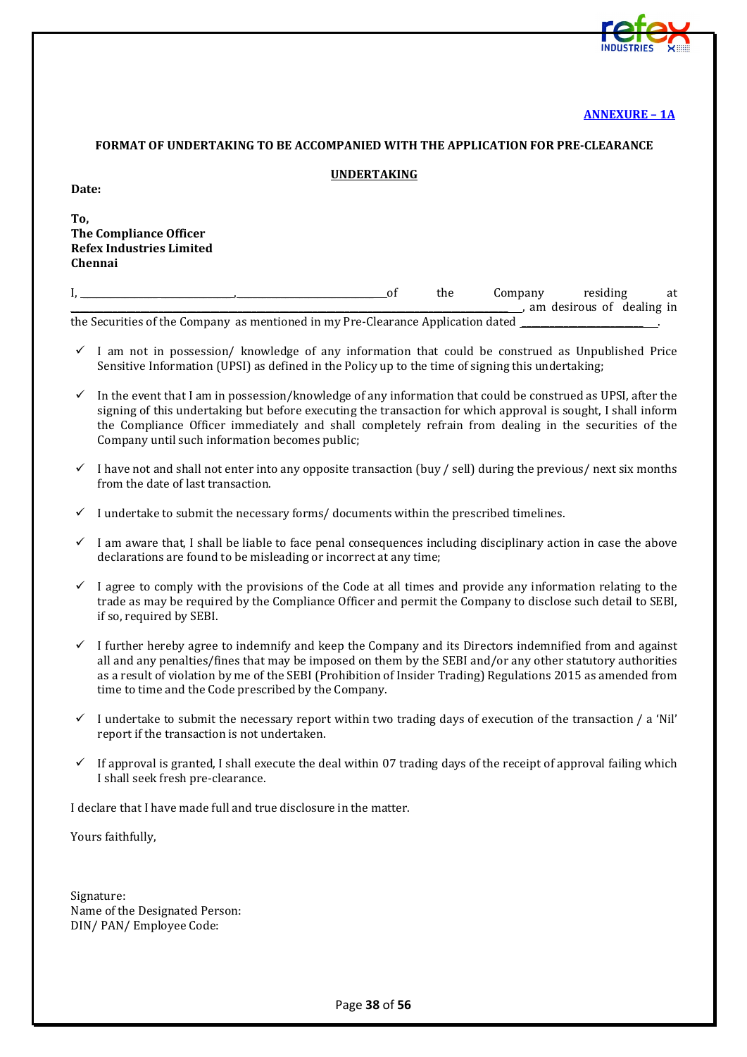

#### **[ANNEXURE – 1A](#page-1-16)**

#### <span id="page-37-0"></span>**FORMAT OF UNDERTAKING TO BE ACCOMPANIED WITH THE APPLICATION FOR PRE-CLEARANCE**

#### **UNDERTAKING**

**To, The Compliance Officer Refex Industries Limited Chennai**

|  |                                                                                     | the | Company | residing                  | at |
|--|-------------------------------------------------------------------------------------|-----|---------|---------------------------|----|
|  |                                                                                     |     |         | am desirous of dealing in |    |
|  | the Committee of the Commons against the distance Day Classical Analization Journal |     |         |                           |    |

the Securities of the Company as mentioned in my Pre-Clearance Application dated

- I am not in possession/ knowledge of any information that could be construed as Unpublished Price Sensitive Information (UPSI) as defined in the Policy up to the time of signing this undertaking;
- In the event that I am in possession/knowledge of any information that could be construed as UPSI, after the signing of this undertaking but before executing the transaction for which approval is sought, I shall inform the Compliance Officer immediately and shall completely refrain from dealing in the securities of the Company until such information becomes public;
- $\checkmark$  I have not and shall not enter into any opposite transaction (buy / sell) during the previous/ next six months from the date of last transaction.
- $\checkmark$  I undertake to submit the necessary forms/documents within the prescribed timelines.
- $\checkmark$  I am aware that, I shall be liable to face penal consequences including disciplinary action in case the above declarations are found to be misleading or incorrect at any time;
- $\checkmark$  I agree to comply with the provisions of the Code at all times and provide any information relating to the trade as may be required by the Compliance Officer and permit the Company to disclose such detail to SEBI, if so, required by SEBI.
- I further hereby agree to indemnify and keep the Company and its Directors indemnified from and against all and any penalties/fines that may be imposed on them by the SEBI and/or any other statutory authorities as a result of violation by me of the SEBI (Prohibition of Insider Trading) Regulations 2015 as amended from time to time and the Code prescribed by the Company.
- $\checkmark$  I undertake to submit the necessary report within two trading days of execution of the transaction / a 'Nil' report if the transaction is not undertaken.
- $\checkmark$  If approval is granted, I shall execute the deal within 07 trading days of the receipt of approval failing which I shall seek fresh pre-clearance.

I declare that I have made full and true disclosure in the matter.

Yours faithfully,

Signature: Name of the Designated Person: DIN/ PAN/ Employee Code: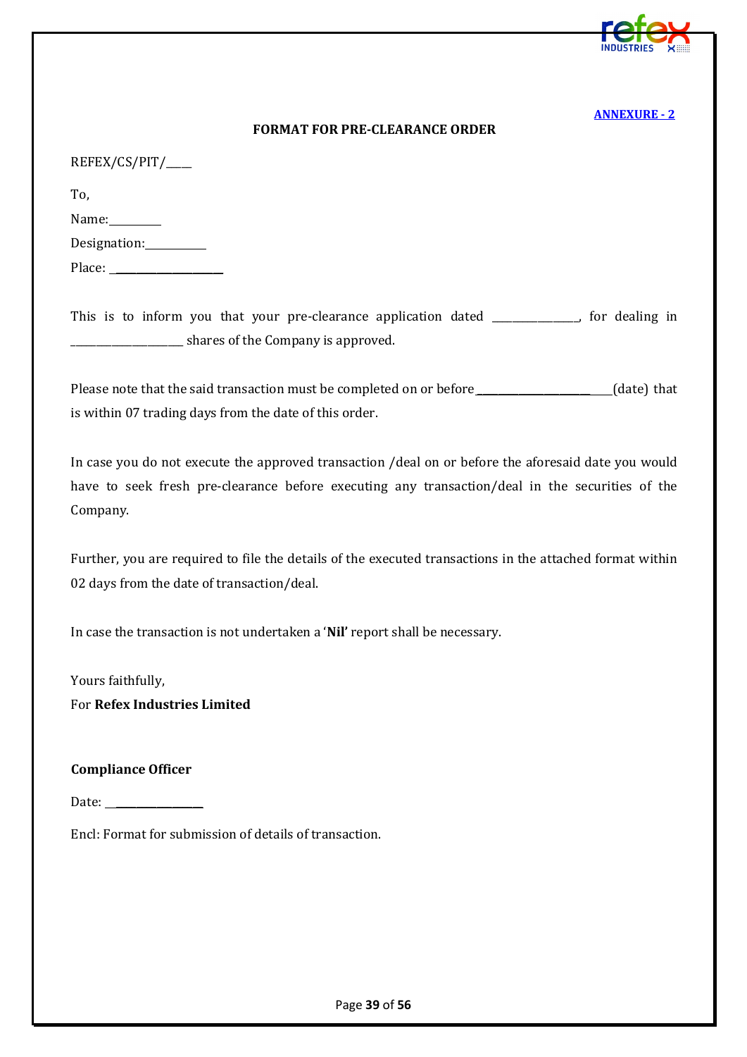

#### **FORMAT FOR PRE-CLEARANCE ORDER**

<span id="page-38-0"></span>

| REFEX/CS/PIT/ |
|---------------|
|---------------|

To,

| Name: |  |
|-------|--|
|       |  |

| Designation: |  |
|--------------|--|
|              |  |

Place: \_\_\_\_\_\_\_\_\_\_\_\_\_\_\_\_\_\_\_\_\_

This is to inform you that your pre-clearance application dated \_\_\_\_\_\_\_\_\_\_\_, for dealing in \_\_\_\_\_\_\_\_\_\_\_\_\_\_\_\_\_\_\_\_\_\_ shares of the Company is approved.

Please note that the said transaction must be completed on or before \_\_\_\_\_\_\_\_\_\_\_\_\_\_\_\_\_\_\_\_\_\_(date) that is within 07 trading days from the date of this order.

In case you do not execute the approved transaction /deal on or before the aforesaid date you would have to seek fresh pre-clearance before executing any transaction/deal in the securities of the Company.

Further, you are required to file the details of the executed transactions in the attached format within 02 days from the date of transaction/deal.

In case the transaction is not undertaken a '**Nil'** report shall be necessary.

Yours faithfully, For **Refex Industries Limited**

#### **Compliance Officer**

Date: \_\_\_\_\_\_\_\_\_\_\_\_\_\_\_\_\_

Encl: Format for submission of details of transaction.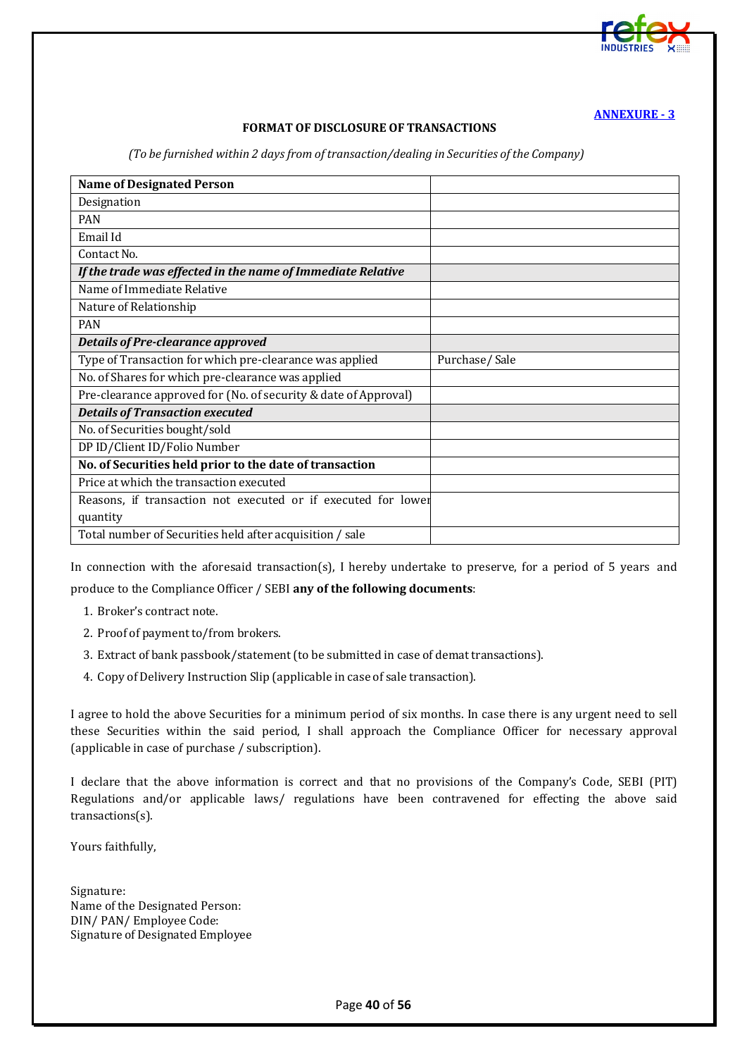

#### **FORMAT OF DISCLOSURE OF TRANSACTIONS**

*(To be furnished within 2 days from of transaction/dealing in Securities of the Company)*

<span id="page-39-0"></span>

| <b>Name of Designated Person</b>                                |               |
|-----------------------------------------------------------------|---------------|
| Designation                                                     |               |
| <b>PAN</b>                                                      |               |
| Email Id                                                        |               |
| Contact No.                                                     |               |
| If the trade was effected in the name of Immediate Relative     |               |
| Name of Immediate Relative                                      |               |
| Nature of Relationship                                          |               |
| <b>PAN</b>                                                      |               |
| <b>Details of Pre-clearance approved</b>                        |               |
| Type of Transaction for which pre-clearance was applied         | Purchase/Sale |
| No. of Shares for which pre-clearance was applied               |               |
| Pre-clearance approved for (No. of security & date of Approval) |               |
| <b>Details of Transaction executed</b>                          |               |
| No. of Securities bought/sold                                   |               |
| DP ID/Client ID/Folio Number                                    |               |
| No. of Securities held prior to the date of transaction         |               |
| Price at which the transaction executed                         |               |
| Reasons, if transaction not executed or if executed for lower   |               |
| quantity                                                        |               |
| Total number of Securities held after acquisition / sale        |               |

In connection with the aforesaid transaction(s), I hereby undertake to preserve, for a period of 5 years and produce to the Compliance Officer / SEBI **any of the following documents**:

- 1. Broker's contract note.
- 2. Proof of payment to/from brokers.
- 3. Extract of bank passbook/statement(to be submitted in case of demat transactions).
- 4. Copy of Delivery Instruction Slip (applicable in case of sale transaction).

I agree to hold the above Securities for a minimum period of six months. In case there is any urgent need to sell these Securities within the said period, I shall approach the Compliance Officer for necessary approval (applicable in case of purchase / subscription).

I declare that the above information is correct and that no provisions of the Company's Code, SEBI (PIT) Regulations and/or applicable laws/ regulations have been contravened for effecting the above said transactions(s).

Yours faithfully,

Signature: Name of the Designated Person: DIN/ PAN/ Employee Code: Signature of Designated Employee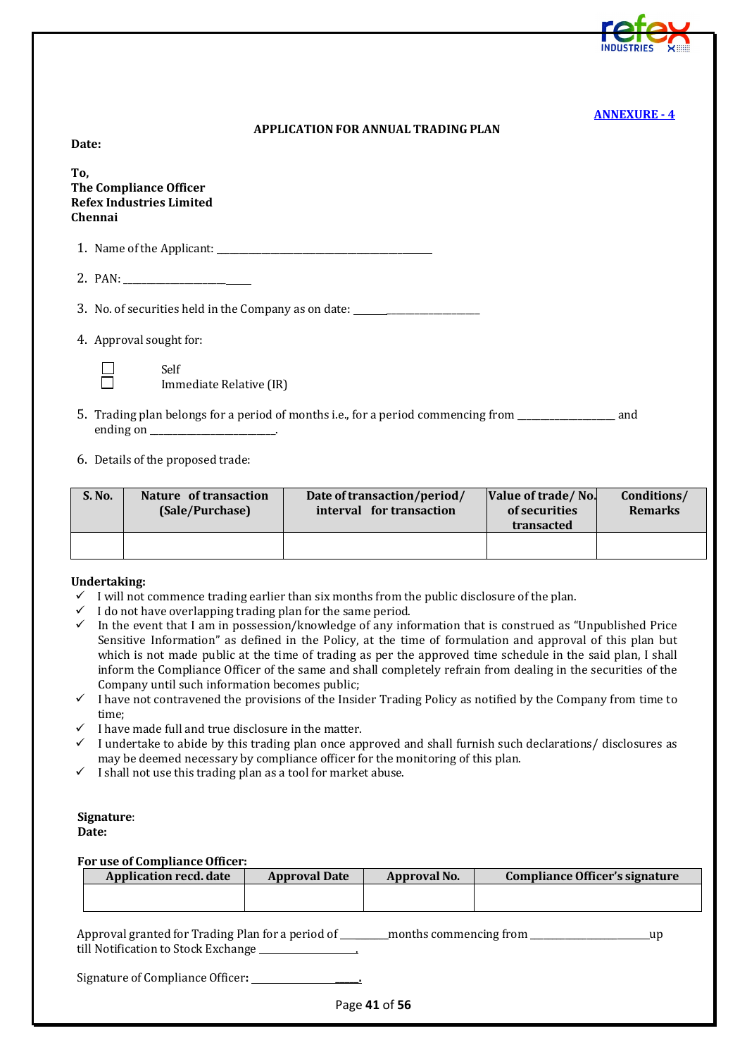<span id="page-40-0"></span>**Date:**

**To, The Compliance Officer Refex Industries Limited Chennai**

1. Name of the Applicant: \_\_\_\_\_\_\_\_\_\_\_\_\_\_\_\_\_\_\_\_\_\_\_\_\_\_\_\_\_\_\_\_\_\_\_\_\_\_\_\_\_

2. PAN: \_\_\_\_\_\_\_\_\_\_\_\_\_\_\_\_\_\_\_\_\_\_

3. No. of securities held in the Company as on date:

4. Approval sought for:



Immediate Relative (IR)

- 5. Trading plan belongs for a period of months i.e., for a period commencing from \_\_\_\_\_\_\_\_\_\_\_\_\_\_\_\_\_\_\_\_\_ and ending on \_\_\_\_\_\_\_\_\_\_\_\_\_\_\_\_\_\_\_\_\_\_\_\_\_\_\_.
- 6. Details of the proposed trade:

Self

| S. No. | Nature of transaction<br>(Sale/Purchase) | Date of transaction/period/<br>interval for transaction | Value of trade/No.<br>of securities<br>transacted | Conditions/<br><b>Remarks</b> |
|--------|------------------------------------------|---------------------------------------------------------|---------------------------------------------------|-------------------------------|
|        |                                          |                                                         |                                                   |                               |

#### **Undertaking:**

- $\checkmark$  I will not commence trading earlier than six months from the public disclosure of the plan.
- $\checkmark$  I do not have overlapping trading plan for the same period.
- $\checkmark$  In the event that I am in possession/knowledge of any information that is construed as "Unpublished Price Sensitive Information" as defined in the Policy, at the time of formulation and approval of this plan but which is not made public at the time of trading as per the approved time schedule in the said plan, I shall inform the Compliance Officer of the same and shall completely refrain from dealing in the securities of the Company until such information becomes public;
- $\checkmark$  I have not contravened the provisions of the Insider Trading Policy as notified by the Company from time to time;
- $\checkmark$  I have made full and true disclosure in the matter.
- $\checkmark$  I undertake to abide by this trading plan once approved and shall furnish such declarations/disclosures as may be deemed necessary by compliance officer for the monitoring of this plan.
- $\checkmark$  I shall not use this trading plan as a tool for market abuse.

#### **Signature**: **Date:**

**For use of Compliance Officer:**

| <b>Application recd. date</b> | <b>Approval Date</b> | <b>Approval No.</b> | Compliance Officer's signature |
|-------------------------------|----------------------|---------------------|--------------------------------|
|                               |                      |                     |                                |
|                               |                      |                     |                                |

| Approval granted for Trading Plan for a period of | _months commencing from |  |
|---------------------------------------------------|-------------------------|--|
| till Notification to Stock Exchange               |                         |  |

Signature of Compliance Officer**: \_\_\_\_\_.**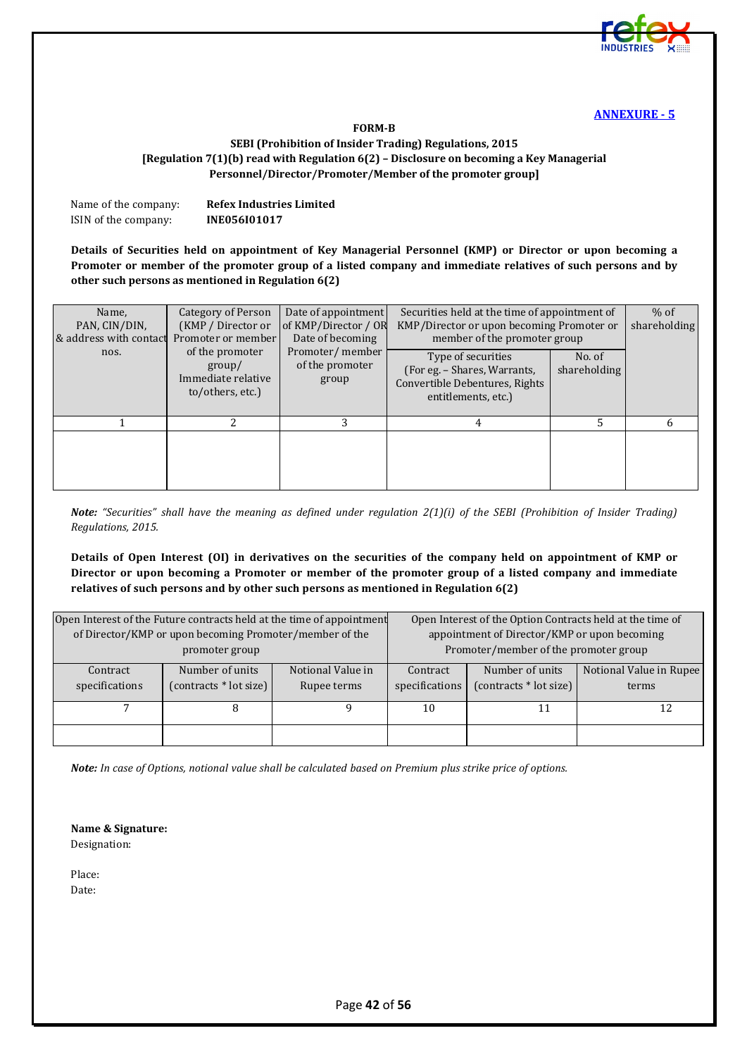

#### **FORM-B**

#### <span id="page-41-0"></span>**SEBI (Prohibition of Insider Trading) Regulations, 2015 [Regulation 7(1)(b) read with Regulation 6(2) – Disclosure on becoming a Key Managerial Personnel/Director/Promoter/Member of the promoter group]**

| Name of the company: | <b>Refex Industries Limited</b> |
|----------------------|---------------------------------|
| ISIN of the company: | INE056101017                    |

**Details of Securities held on appointment of Key Managerial Personnel (KMP) or Director or upon becoming a Promoter or member of the promoter group of a listed company and immediate relatives of such persons and by other such persons as mentioned in Regulation 6(2)**

| Name,<br>PAN, CIN/DIN,<br>& address with contact<br>nos. | Category of Person<br>(KMP / Director or<br>Promoter or member<br>of the promoter<br>$\gamma$<br>Immediate relative<br>to/others, etc.) | Date of appointment<br>of KMP/Director / OR<br>Date of becoming<br>Promoter/member<br>of the promoter<br>group | Securities held at the time of appointment of<br>KMP/Director or upon becoming Promoter or<br>member of the promoter group<br>Type of securities<br>(For eg. - Shares, Warrants,<br>Convertible Debentures, Rights<br>entitlements, etc.) | No. of<br>shareholding | $%$ of<br>shareholding |
|----------------------------------------------------------|-----------------------------------------------------------------------------------------------------------------------------------------|----------------------------------------------------------------------------------------------------------------|-------------------------------------------------------------------------------------------------------------------------------------------------------------------------------------------------------------------------------------------|------------------------|------------------------|
|                                                          |                                                                                                                                         | 3                                                                                                              | 4                                                                                                                                                                                                                                         | 5                      | 6                      |

*Note: "Securities" shall have the meaning as defined under regulation 2(1)(i) of the SEBI (Prohibition of Insider Trading) Regulations, 2015.*

**Details of Open Interest (OI) in derivatives on the securities of the company held on appointment of KMP or Director or upon becoming a Promoter or member of the promoter group of a listed company and immediate relatives of such persons and by other such persons as mentioned in Regulation 6(2)**

|                            | of Director/KMP or upon becoming Promoter/member of the | Open Interest of the Future contracts held at the time of appointment |                            | Open Interest of the Option Contracts held at the time of<br>appointment of Director/KMP or upon becoming |                                  |
|----------------------------|---------------------------------------------------------|-----------------------------------------------------------------------|----------------------------|-----------------------------------------------------------------------------------------------------------|----------------------------------|
|                            | promoter group                                          |                                                                       |                            | Promoter/member of the promoter group                                                                     |                                  |
| Contract<br>specifications | Number of units<br>$(contrast * lot size)$              | Notional Value in<br>Rupee terms                                      | Contract<br>specifications | Number of units<br>(contracts * lot size)                                                                 | Notional Value in Rupee<br>terms |
|                            |                                                         |                                                                       | 10                         |                                                                                                           |                                  |
|                            |                                                         |                                                                       |                            |                                                                                                           |                                  |

*Note: In case of Options, notional value shall be calculated based on Premium plus strike price of options.*

**Name & Signature:**  Designation:

Place: Date: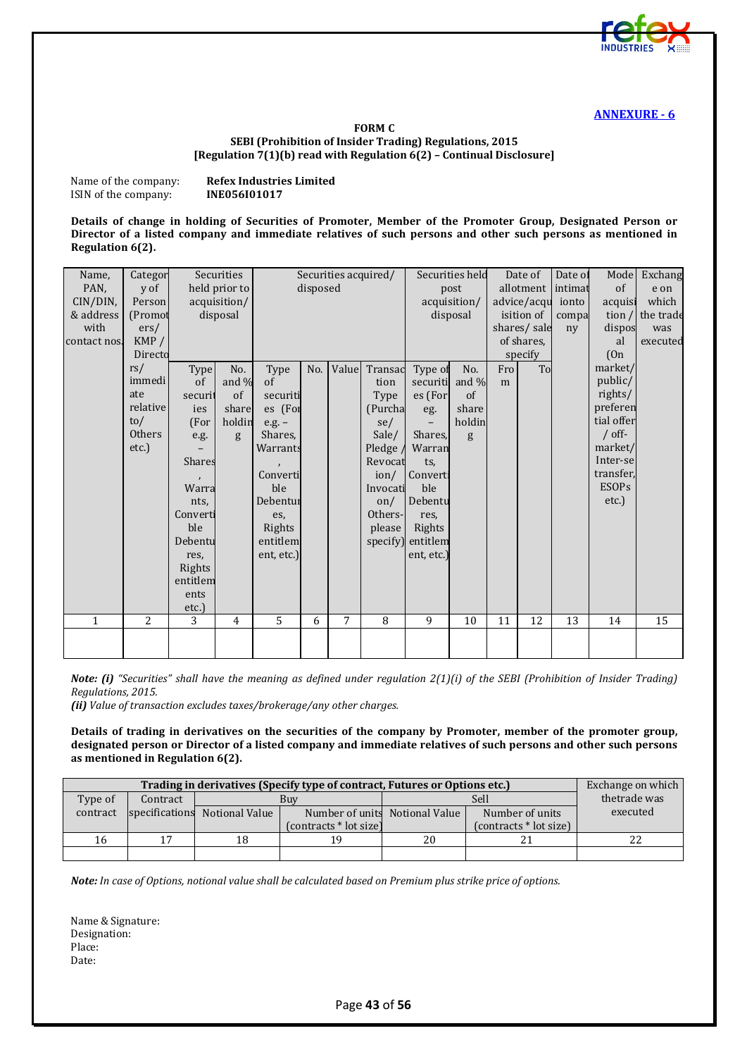

#### **FORM C SEBI (Prohibition of Insider Trading) Regulations, 2015 [Regulation 7(1)(b) read with Regulation 6(2) – Continual Disclosure]**

<span id="page-42-0"></span>Name of the company: **Refex Industries Limited**<br>ISIN of the company: **INE056I01017 ISIN** of the company:

**Details of change in holding of Securities of Promoter, Member of the Promoter Group, Designated Person or Director of a listed company and immediate relatives of such persons and other such persons as mentioned in Regulation 6(2).**

| Name,        | Categor  |               | Securities    |            |          |       | Securities acquired/ |                          | Securities held |     | Date of     | Date of | Model        | Exchang   |
|--------------|----------|---------------|---------------|------------|----------|-------|----------------------|--------------------------|-----------------|-----|-------------|---------|--------------|-----------|
| PAN.         | y of     |               | held prior to |            | disposed |       |                      |                          | post            |     | allotment   | intimat | of           | e on      |
| CIN/DIN,     | Person   |               | acquisition/  |            |          |       |                      |                          | acquisition/    |     | advice/acqu | ionto   | acquis:      | which     |
| & address    | (Promot  |               | disposal      |            |          |       |                      |                          | disposal        |     | isition of  | compa   | tion $/$     | the trade |
| with         | ers/     |               |               |            |          |       |                      |                          |                 |     | shares/sale | ny      | dispos       | was       |
| contact nos. | KMP/     |               |               |            |          |       |                      |                          |                 |     | of shares.  |         | al           | executed  |
|              | Directo  |               |               |            |          |       |                      |                          |                 |     | specify     |         | (On          |           |
|              | rs/      | <b>Type</b>   | No.           | Type       | No.      | Value | Transac              | Type of                  | No.             | Fro | To          |         | market/      |           |
|              | immedi   | of            | and $%$       | of         |          |       | tion                 | securiti                 | and $\%$        | m   |             |         | public/      |           |
|              | ate      | securit       | of            | securiti   |          |       | Type                 | es (For                  | $\sigma$        |     |             |         | rights/      |           |
|              | relative | ies           | share         | es (For    |          |       | (Purcha              | eg.                      | share           |     |             |         | preferen     |           |
|              | to/      | (For          | holdin        | $e.g. -$   |          |       | se/                  | $\overline{\phantom{0}}$ | holdin          |     |             |         | tial offer   |           |
|              | Others   | e.g.          | g             | Shares,    |          |       | Sale/                | Shares,                  | g               |     |             |         | $/$ off-     |           |
|              | etc.)    |               |               | Warrants   |          |       | Pledge /             | Warran                   |                 |     |             |         | market/      |           |
|              |          | <b>Shares</b> |               |            |          |       | Revocat              | ts,                      |                 |     |             |         | Inter-se     |           |
|              |          |               |               | Converti   |          |       | ion/                 | Converti                 |                 |     |             |         | transfer,    |           |
|              |          | Warra         |               | ble        |          |       | Invocati             | ble                      |                 |     |             |         | <b>ESOPs</b> |           |
|              |          | nts,          |               | Debentur   |          |       | $\alpha$             | Debentu                  |                 |     |             |         | etc.)        |           |
|              |          | Converti      |               | es,        |          |       | Others-              | res.                     |                 |     |             |         |              |           |
|              |          | ble           |               | Rights     |          |       | please               | Rights                   |                 |     |             |         |              |           |
|              |          | Debentu       |               | entitlem   |          |       | specify)             | entitlem                 |                 |     |             |         |              |           |
|              |          | res,          |               | ent, etc.) |          |       |                      | ent, etc.)               |                 |     |             |         |              |           |
|              |          | Rights        |               |            |          |       |                      |                          |                 |     |             |         |              |           |
|              |          | entitlem      |               |            |          |       |                      |                          |                 |     |             |         |              |           |
|              |          | ents          |               |            |          |       |                      |                          |                 |     |             |         |              |           |
|              |          | etc.)         |               |            |          |       |                      |                          |                 |     |             |         |              |           |
| $\mathbf{1}$ | 2        | 3             | 4             | 5          | 6        | 7     | 8                    | 9                        | 10              | 11  | 12          | 13      | 14           | 15        |
|              |          |               |               |            |          |       |                      |                          |                 |     |             |         |              |           |

*Note: (i) "Securities" shall have the meaning as defined under regulation 2(1)(i) of the SEBI (Prohibition of Insider Trading) Regulations, 2015.*

*(ii) Value of transaction excludes taxes/brokerage/any other charges.*

**Details of trading in derivatives on the securities of the company by Promoter, member of the promoter group, designated person or Director of a listed company and immediate relatives of such persons and other such persons as mentioned in Regulation 6(2).**

|          | Exchange on which |                               |                        |                                |                        |              |
|----------|-------------------|-------------------------------|------------------------|--------------------------------|------------------------|--------------|
| Type of  | Contract          |                               | Buv                    |                                | Sell                   | thetrade was |
| contract |                   | specifications Notional Value |                        | Number of units Notional Value | Number of units        | executed     |
|          |                   |                               | (contracts * lot size) |                                | (contracts * lot size) |              |
| 16       | 17                | 18                            |                        | 20                             |                        |              |
|          |                   |                               |                        |                                |                        |              |

*Note: In case of Options, notional value shall be calculated based on Premium plus strike price of options.*

Name & Signature: Designation: Place: Date: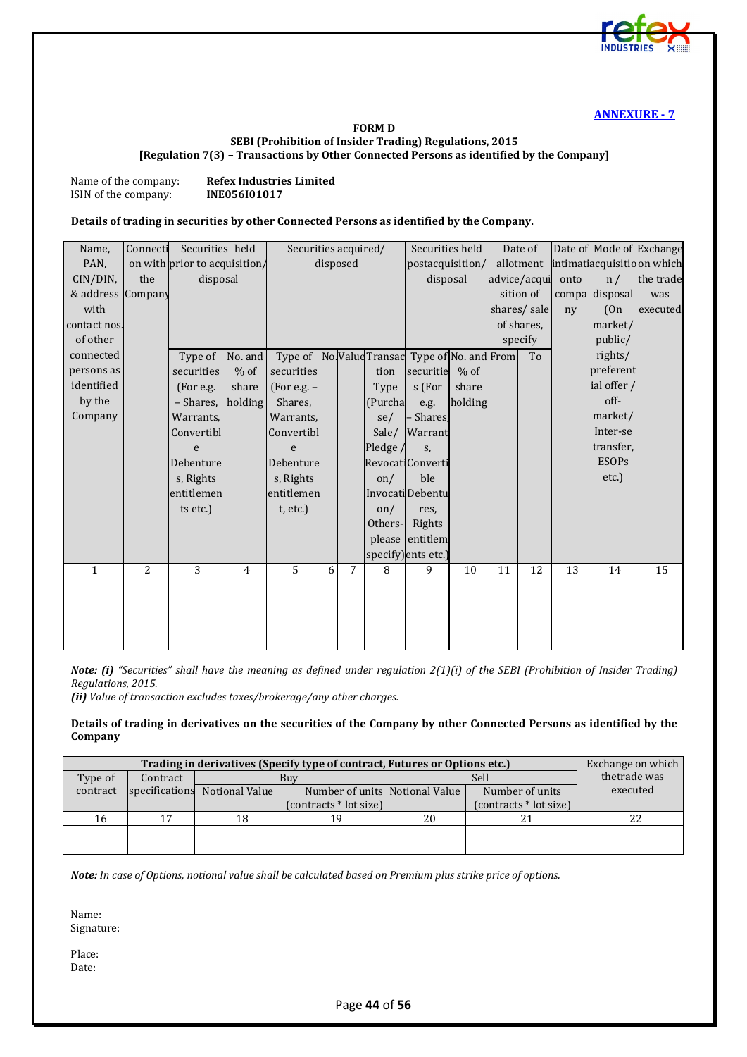

#### **FORM D SEBI (Prohibition of Insider Trading) Regulations, 2015 [Regulation 7(3) – Transactions by Other Connected Persons as identified by the Company]**

<span id="page-43-0"></span>Name of the company: **Refex Industries Limited**<br>ISIN of the company: **INE056I01017 ISIN** of the company:

#### **Details of trading in securities by other Connected Persons as identified by the Company.**

| Name,             | Connecti | Securities held               |                | Securities acquired/                         |   |          |          | Securities held     |         |    | Date of      |                |              | Date of Mode of Exchange    |
|-------------------|----------|-------------------------------|----------------|----------------------------------------------|---|----------|----------|---------------------|---------|----|--------------|----------------|--------------|-----------------------------|
| PAN,              |          | on with prior to acquisition/ |                |                                              |   | disposed |          | postacquisition/    |         |    | allotment    |                |              | intimat acquisitid on which |
| CIN/DIN,          | the      | disposal                      |                |                                              |   |          |          | disposal            |         |    | advice/acqui | onto           | n/           | the trade                   |
| & address Company |          |                               |                |                                              |   |          |          |                     |         |    | sition of    | compal         | disposal     | was                         |
| with              |          |                               |                |                                              |   |          |          |                     |         |    | shares/sale  | n <sub>V</sub> | (On          | executed                    |
| contact nos.      |          |                               |                |                                              |   |          |          |                     |         |    | of shares,   |                | market/      |                             |
| of other          |          |                               |                |                                              |   |          |          |                     |         |    | specify      |                | public/      |                             |
| connected         |          | Type of $\vert$               | No. and        | Type of NoValue Transad Type of No. and From |   |          |          |                     |         |    | To           |                | rights/      |                             |
| persons as        |          | securities                    | $%$ of         | securities                                   |   |          | tion     | securitie           | $%$ of  |    |              |                | preferent    |                             |
| identified        |          | (For e.g.                     | share          | $(For e.g. -$                                |   |          | Type     | s (For              | share   |    |              |                | ial offer /  |                             |
| by the            |          | - Shares,                     | holding        | Shares,                                      |   |          | (Purcha  | e.g.                | holding |    |              |                | off-         |                             |
| Company           |          | Warrants,                     |                | Warrants,                                    |   |          | se/      | - Shares,           |         |    |              |                | market/      |                             |
|                   |          | Convertibl                    |                | Convertibl                                   |   |          | Sale/    | Warrant             |         |    |              |                | Inter-se     |                             |
|                   |          | e                             |                | e                                            |   |          | Pledge / | S,                  |         |    |              |                | transfer,    |                             |
|                   |          | Debenture                     |                | Debenture                                    |   |          |          | Revocati Converti   |         |    |              |                | <b>ESOPs</b> |                             |
|                   |          | s, Rights                     |                | s, Rights                                    |   |          | on/      | ble                 |         |    |              |                | etc.)        |                             |
|                   |          | entitlemen                    |                | entitlemen                                   |   |          |          | Invocati Debentu    |         |    |              |                |              |                             |
|                   |          | ts etc.)                      |                | t, etc.                                      |   |          | on/      | res,                |         |    |              |                |              |                             |
|                   |          |                               |                |                                              |   |          | Others-  | Rights              |         |    |              |                |              |                             |
|                   |          |                               |                |                                              |   |          |          | please entitlem     |         |    |              |                |              |                             |
|                   |          |                               |                |                                              |   |          |          | specify) ents etc.) |         |    |              |                |              |                             |
| $\mathbf{1}$      | 2        | 3                             | $\overline{4}$ | 5                                            | 6 | 7        | 8        | 9                   | 10      | 11 | 12           | 13             | 14           | 15                          |
|                   |          |                               |                |                                              |   |          |          |                     |         |    |              |                |              |                             |
|                   |          |                               |                |                                              |   |          |          |                     |         |    |              |                |              |                             |
|                   |          |                               |                |                                              |   |          |          |                     |         |    |              |                |              |                             |
|                   |          |                               |                |                                              |   |          |          |                     |         |    |              |                |              |                             |
|                   |          |                               |                |                                              |   |          |          |                     |         |    |              |                |              |                             |

*Note: (i) "Securities" shall have the meaning as defined under regulation 2(1)(i) of the SEBI (Prohibition of Insider Trading) Regulations, 2015.*

*(ii) Value of transaction excludes taxes/brokerage/any other charges.*

**Details of trading in derivatives on the securities of the Company by other Connected Persons as identified by the Company**

|          | Exchange on which |                |                                |    |                        |              |
|----------|-------------------|----------------|--------------------------------|----|------------------------|--------------|
| Type of  | Contract          |                | Buy                            |    | Sell                   | thetrade was |
| contract | specifications    | Notional Value | Number of units Notional Value |    | Number of units        | executed     |
|          |                   |                | (contracts * lot size)         |    | (contracts * lot size) |              |
| 16       | 17                | 18             |                                | 20 |                        | LL           |
|          |                   |                |                                |    |                        |              |
|          |                   |                |                                |    |                        |              |

*Note: In case of Options, notional value shall be calculated based on Premium plus strike price of options.*

Name: Signature:

Place: Date: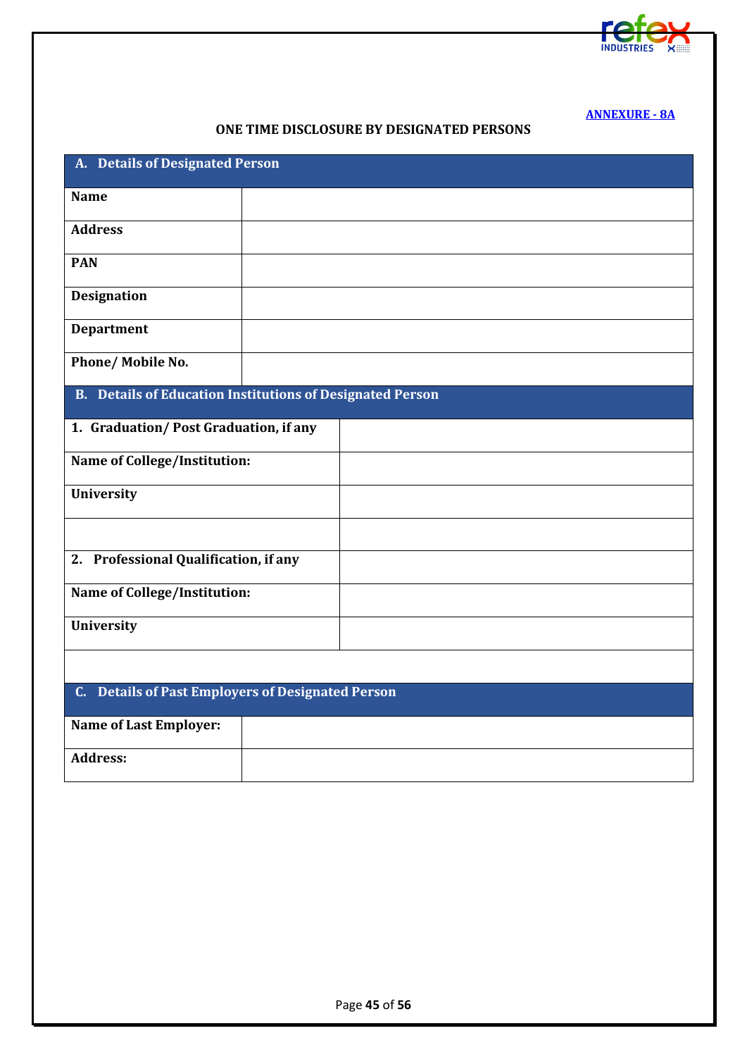

**[ANNEXURE - 8A](#page-2-1)**

#### **ONE TIME DISCLOSURE BY DESIGNATED PERSONS**

<span id="page-44-0"></span>

| A. Details of Designated Person                                      |
|----------------------------------------------------------------------|
| <b>Name</b>                                                          |
| <b>Address</b>                                                       |
| <b>PAN</b>                                                           |
| <b>Designation</b>                                                   |
| <b>Department</b>                                                    |
| Phone/ Mobile No.                                                    |
| <b>B.</b> Details of Education Institutions of Designated Person     |
| 1. Graduation/Post Graduation, if any                                |
| <b>Name of College/Institution:</b>                                  |
| University                                                           |
|                                                                      |
| 2. Professional Qualification, if any                                |
| <b>Name of College/Institution:</b>                                  |
| <b>University</b>                                                    |
|                                                                      |
| <b>Details of Past Employers of Designated Person</b><br>$C_{\cdot}$ |
| <b>Name of Last Employer:</b>                                        |
| <b>Address:</b>                                                      |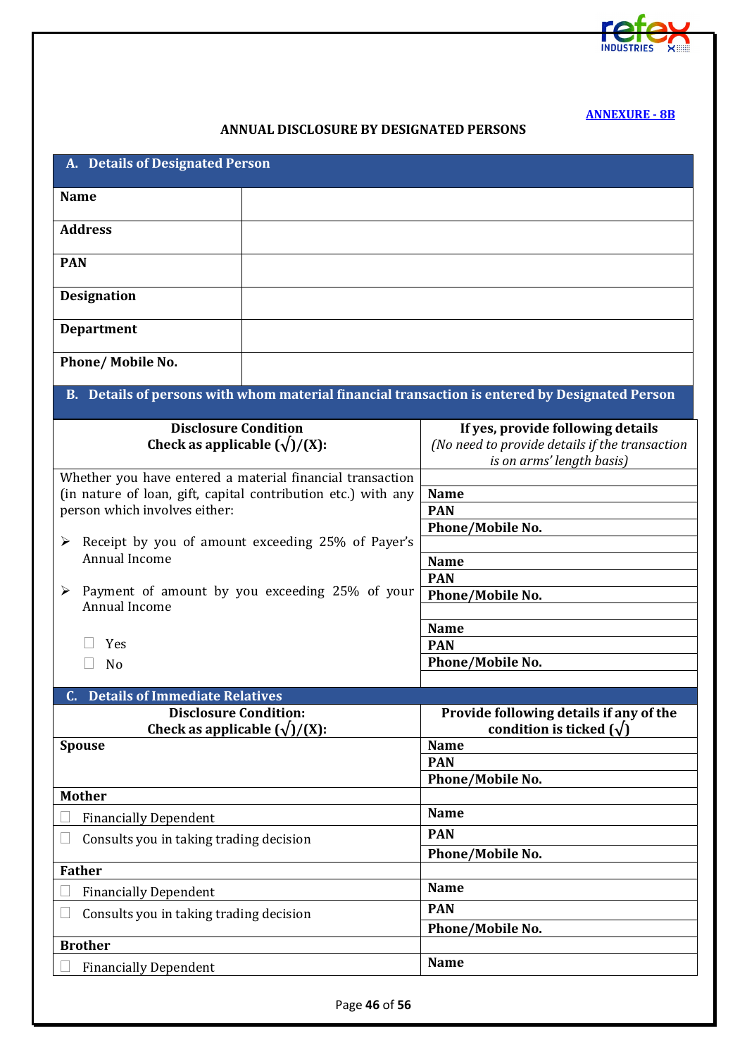

**[ANNEXURE - 8B](#page-2-2)**

## **ANNUAL DISCLOSURE BY DESIGNATED PERSONS**

<span id="page-45-0"></span>

| A. Details of Designated Person                                                                                                                             |                                                                                                                  |  |  |  |  |
|-------------------------------------------------------------------------------------------------------------------------------------------------------------|------------------------------------------------------------------------------------------------------------------|--|--|--|--|
| <b>Name</b>                                                                                                                                                 |                                                                                                                  |  |  |  |  |
| <b>Address</b>                                                                                                                                              |                                                                                                                  |  |  |  |  |
| <b>PAN</b>                                                                                                                                                  |                                                                                                                  |  |  |  |  |
| <b>Designation</b>                                                                                                                                          |                                                                                                                  |  |  |  |  |
| <b>Department</b>                                                                                                                                           |                                                                                                                  |  |  |  |  |
| Phone/ Mobile No.                                                                                                                                           |                                                                                                                  |  |  |  |  |
| B. Details of persons with whom material financial transaction is entered by Designated Person                                                              |                                                                                                                  |  |  |  |  |
| <b>Disclosure Condition</b><br>Check as applicable $(\sqrt{1}/(X))$ :                                                                                       | If yes, provide following details<br>(No need to provide details if the transaction<br>is on arms' length basis) |  |  |  |  |
| Whether you have entered a material financial transaction<br>(in nature of loan, gift, capital contribution etc.) with any<br>person which involves either: | <b>Name</b><br><b>PAN</b><br>Phone/Mobile No.                                                                    |  |  |  |  |
| Receipt by you of amount exceeding 25% of Payer's<br>➤<br>Annual Income                                                                                     | <b>Name</b><br><b>PAN</b>                                                                                        |  |  |  |  |
| Payment of amount by you exceeding 25% of your<br>➤<br>Annual Income                                                                                        | Phone/Mobile No.                                                                                                 |  |  |  |  |
| Yes                                                                                                                                                         | <b>Name</b><br><b>PAN</b>                                                                                        |  |  |  |  |
| No                                                                                                                                                          | Phone/Mobile No.                                                                                                 |  |  |  |  |
| <b>Details of Immediate Relatives</b><br>$\mathbf{C}$ .                                                                                                     |                                                                                                                  |  |  |  |  |
| <b>Disclosure Condition:</b><br>Check as applicable $(\sqrt{)}/(X)$ :                                                                                       | Provide following details if any of the<br>condition is ticked $(\sqrt{})$                                       |  |  |  |  |
| <b>Spouse</b>                                                                                                                                               | <b>Name</b>                                                                                                      |  |  |  |  |
|                                                                                                                                                             | <b>PAN</b>                                                                                                       |  |  |  |  |
|                                                                                                                                                             | Phone/Mobile No.                                                                                                 |  |  |  |  |
| <b>Mother</b>                                                                                                                                               |                                                                                                                  |  |  |  |  |
| <b>Financially Dependent</b>                                                                                                                                | <b>Name</b>                                                                                                      |  |  |  |  |
| Consults you in taking trading decision                                                                                                                     | <b>PAN</b><br>Phone/Mobile No.                                                                                   |  |  |  |  |
| <b>Father</b>                                                                                                                                               |                                                                                                                  |  |  |  |  |
| <b>Financially Dependent</b>                                                                                                                                | <b>Name</b>                                                                                                      |  |  |  |  |
| Consults you in taking trading decision                                                                                                                     | <b>PAN</b>                                                                                                       |  |  |  |  |
| <b>Brother</b>                                                                                                                                              | Phone/Mobile No.                                                                                                 |  |  |  |  |
|                                                                                                                                                             | <b>Name</b>                                                                                                      |  |  |  |  |
| <b>Financially Dependent</b>                                                                                                                                |                                                                                                                  |  |  |  |  |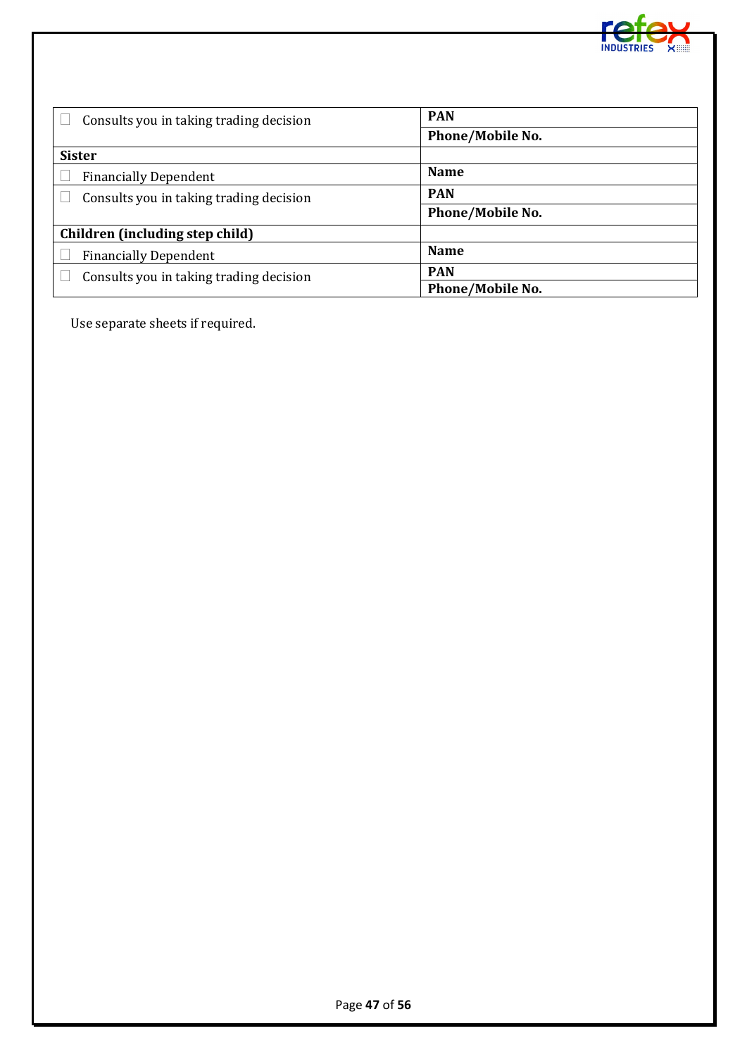

| Consults you in taking trading decision | <b>PAN</b>              |  |  |  |  |
|-----------------------------------------|-------------------------|--|--|--|--|
|                                         | <b>Phone/Mobile No.</b> |  |  |  |  |
| <b>Sister</b>                           |                         |  |  |  |  |
| <b>Financially Dependent</b>            | <b>Name</b>             |  |  |  |  |
| Consults you in taking trading decision | <b>PAN</b>              |  |  |  |  |
|                                         | <b>Phone/Mobile No.</b> |  |  |  |  |
| Children (including step child)         |                         |  |  |  |  |
| <b>Financially Dependent</b>            | <b>Name</b>             |  |  |  |  |
| Consults you in taking trading decision | <b>PAN</b>              |  |  |  |  |
|                                         | <b>Phone/Mobile No.</b> |  |  |  |  |

Use separate sheets if required.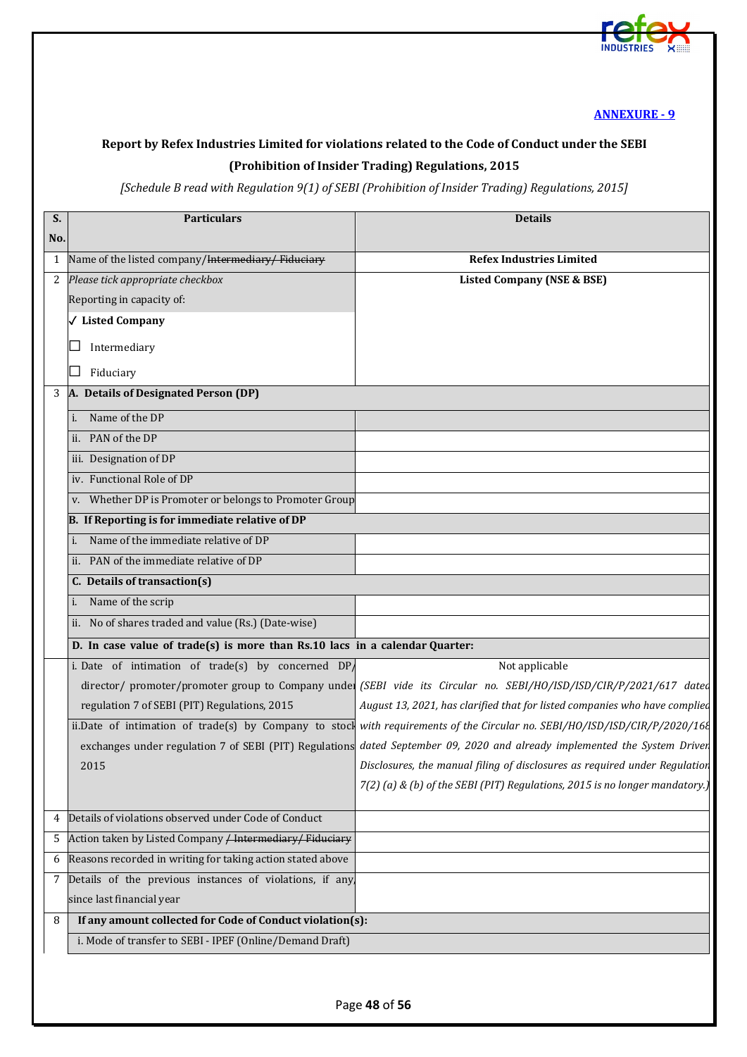

## <span id="page-47-0"></span>**Report by Refex Industries Limited for violations related to the Code of Conduct under the SEBI (Prohibition of Insider Trading) Regulations, 2015**

## *[Schedule B read with Regulation 9(1) of SEBI (Prohibition of Insider Trading) Regulations, 2015]*

| S.  | <b>Particulars</b>                                                          | <b>Details</b>                                                                                                             |
|-----|-----------------------------------------------------------------------------|----------------------------------------------------------------------------------------------------------------------------|
| No. |                                                                             |                                                                                                                            |
| 1   | Name of the listed company/Intermediary/Fiduciary                           | <b>Refex Industries Limited</b>                                                                                            |
| 2   | Please tick appropriate checkbox                                            | <b>Listed Company (NSE &amp; BSE)</b>                                                                                      |
|     | Reporting in capacity of:                                                   |                                                                                                                            |
|     | √ Listed Company                                                            |                                                                                                                            |
|     | Intermediary                                                                |                                                                                                                            |
|     | Fiduciary<br>$\sim$                                                         |                                                                                                                            |
| 3   | A. Details of Designated Person (DP)                                        |                                                                                                                            |
|     | i. Name of the DP                                                           |                                                                                                                            |
|     | ii. PAN of the DP                                                           |                                                                                                                            |
|     | iii. Designation of DP                                                      |                                                                                                                            |
|     | iv. Functional Role of DP                                                   |                                                                                                                            |
|     | v. Whether DP is Promoter or belongs to Promoter Group                      |                                                                                                                            |
|     | B. If Reporting is for immediate relative of DP                             |                                                                                                                            |
|     | Name of the immediate relative of DP                                        |                                                                                                                            |
|     | ii. PAN of the immediate relative of DP                                     |                                                                                                                            |
|     | C. Details of transaction(s)                                                |                                                                                                                            |
|     | Name of the scrip                                                           |                                                                                                                            |
|     | ii. No of shares traded and value (Rs.) (Date-wise)                         |                                                                                                                            |
|     | D. In case value of trade(s) is more than Rs.10 lacs in a calendar Quarter: |                                                                                                                            |
|     | i. Date of intimation of $trade(s)$ by concerned DP                         | Not applicable                                                                                                             |
|     |                                                                             | director/ promoter/promoter group to Company under (SEBI vide its Circular no. SEBI/HO/ISD/ISD/CIR/P/2021/617 dated        |
|     | regulation 7 of SEBI (PIT) Regulations, 2015                                | August 13, 2021, has clarified that for listed companies who have complied                                                 |
|     |                                                                             | ii.Date of intimation of trade(s) by Company to stock with requirements of the Circular no. SEBI/HO/ISD/ISD/CIR/P/2020/168 |
|     |                                                                             | exchanges under regulation 7 of SEBI (PIT) Regulations dated September 09, 2020 and already implemented the System Driver  |
|     | 2015                                                                        | Disclosures, the manual filing of disclosures as required under Regulation                                                 |
|     |                                                                             | 7(2) (a) & (b) of the SEBI (PIT) Regulations, 2015 is no longer mandatory.)                                                |
| 4   | Details of violations observed under Code of Conduct                        |                                                                                                                            |
| 5   | Action taken by Listed Company / Intermediary/ Fiduciary                    |                                                                                                                            |
| 6   | Reasons recorded in writing for taking action stated above                  |                                                                                                                            |
| 7   | Details of the previous instances of violations, if any,                    |                                                                                                                            |
|     | since last financial year                                                   |                                                                                                                            |
| 8   | If any amount collected for Code of Conduct violation(s):                   |                                                                                                                            |
|     | i. Mode of transfer to SEBI - IPEF (Online/Demand Draft)                    |                                                                                                                            |
|     |                                                                             |                                                                                                                            |
|     |                                                                             |                                                                                                                            |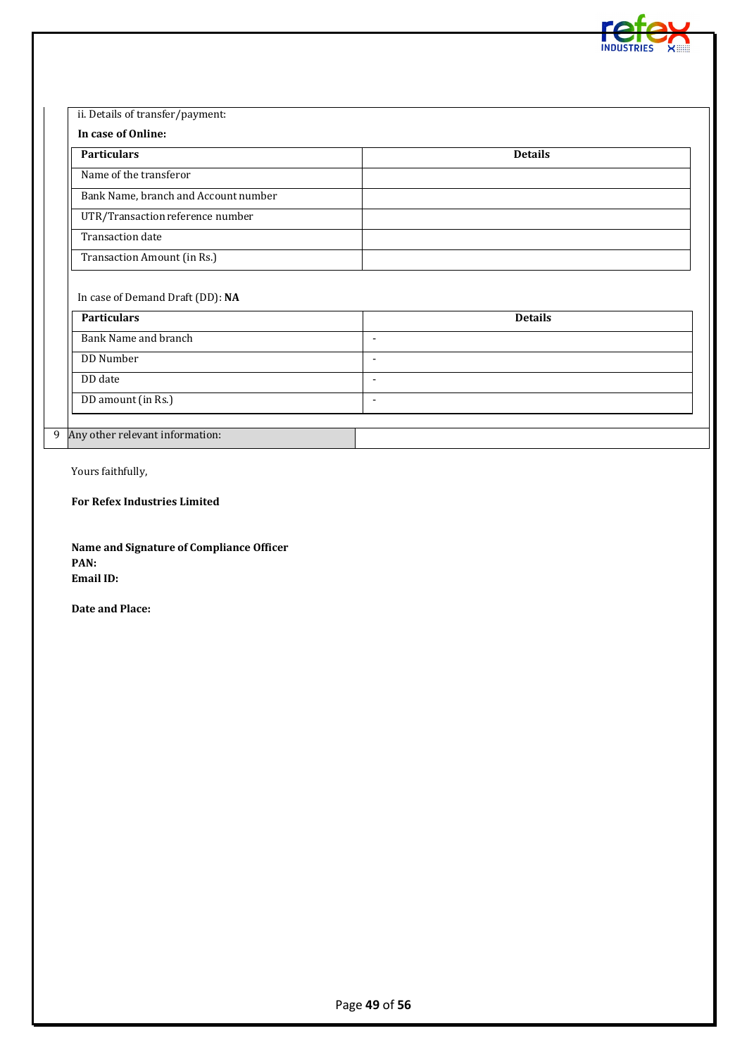

| <b>Particulars</b>                                      | <b>Details</b> |
|---------------------------------------------------------|----------------|
| Name of the transferor                                  |                |
| Bank Name, branch and Account number                    |                |
| UTR/Transaction reference number                        |                |
| <b>Transaction date</b>                                 |                |
|                                                         |                |
| Transaction Amount (in Rs.)                             |                |
| In case of Demand Draft (DD): NA<br><b>Particulars</b>  | <b>Details</b> |
| <b>Bank Name and branch</b><br>$\overline{\phantom{a}}$ |                |
| DD Number<br>$\blacksquare$                             |                |
| DD date<br>$\blacksquare$                               |                |

Yours faithfully,

**For Refex Industries Limited**

**Name and Signature of Compliance Officer PAN: Email ID:** 

**Date and Place:**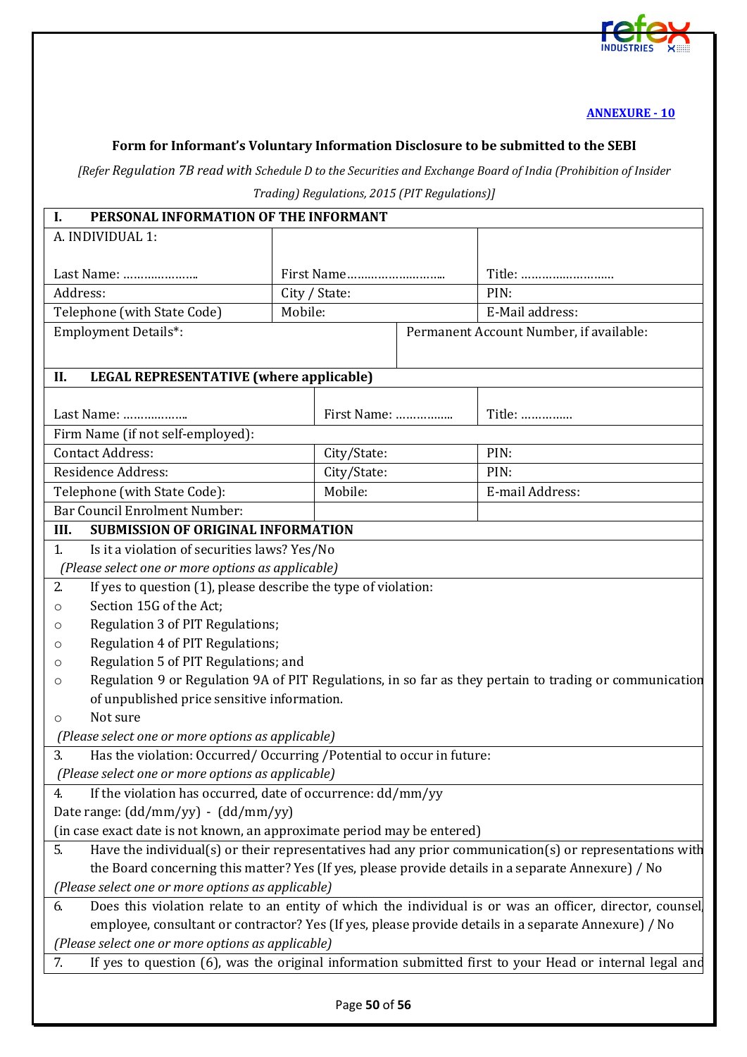

## <span id="page-49-0"></span>**Form for Informant's Voluntary Information Disclosure to be submitted to the SEBI**

*[Refer Regulation 7B read with Schedule D to the Securities and Exchange Board of India (Prohibition of Insider Trading) Regulations, 2015 (PIT Regulations)]* 

|  | Trading) Regulations, 2015 (PIT Regulati |  |  |  |  |
|--|------------------------------------------|--|--|--|--|
|--|------------------------------------------|--|--|--|--|

| PERSONAL INFORMATION OF THE INFORMANT<br>Ι.                                                                        |                                             |               |                                         |                                                                                                         |
|--------------------------------------------------------------------------------------------------------------------|---------------------------------------------|---------------|-----------------------------------------|---------------------------------------------------------------------------------------------------------|
| A. INDIVIDUAL 1:                                                                                                   |                                             |               |                                         |                                                                                                         |
|                                                                                                                    |                                             |               |                                         |                                                                                                         |
| Last Name:                                                                                                         |                                             |               |                                         | Title:                                                                                                  |
| Address:                                                                                                           |                                             | City / State: |                                         | PIN:                                                                                                    |
| Mobile:<br>Telephone (with State Code)                                                                             |                                             |               |                                         | E-Mail address:                                                                                         |
| <b>Employment Details*:</b>                                                                                        |                                             |               | Permanent Account Number, if available: |                                                                                                         |
|                                                                                                                    |                                             |               |                                         |                                                                                                         |
| <b>LEGAL REPRESENTATIVE (where applicable)</b><br>II.                                                              |                                             |               |                                         |                                                                                                         |
|                                                                                                                    |                                             |               |                                         |                                                                                                         |
| Last Name:                                                                                                         |                                             | First Name:   |                                         | Title:                                                                                                  |
| Firm Name (if not self-employed):                                                                                  |                                             |               |                                         |                                                                                                         |
| <b>Contact Address:</b>                                                                                            |                                             | City/State:   |                                         | PIN:                                                                                                    |
| Residence Address:                                                                                                 |                                             | City/State:   |                                         | PIN:                                                                                                    |
| Telephone (with State Code):                                                                                       |                                             | Mobile:       |                                         | E-mail Address:                                                                                         |
| Bar Council Enrolment Number:                                                                                      |                                             |               |                                         |                                                                                                         |
| <b>SUBMISSION OF ORIGINAL INFORMATION</b><br>III.                                                                  |                                             |               |                                         |                                                                                                         |
| $\mathbf{1}$<br>Is it a violation of securities laws? Yes/No                                                       |                                             |               |                                         |                                                                                                         |
| (Please select one or more options as applicable)                                                                  |                                             |               |                                         |                                                                                                         |
| If yes to question (1), please describe the type of violation:<br>2.                                               |                                             |               |                                         |                                                                                                         |
| Section 15G of the Act;<br>$\circ$                                                                                 |                                             |               |                                         |                                                                                                         |
| Regulation 3 of PIT Regulations;<br>$\circ$                                                                        |                                             |               |                                         |                                                                                                         |
| Regulation 4 of PIT Regulations;<br>$\circ$                                                                        |                                             |               |                                         |                                                                                                         |
| $\circ$                                                                                                            | Regulation 5 of PIT Regulations; and        |               |                                         |                                                                                                         |
| Regulation 9 or Regulation 9A of PIT Regulations, in so far as they pertain to trading or communication<br>$\circ$ |                                             |               |                                         |                                                                                                         |
|                                                                                                                    | of unpublished price sensitive information. |               |                                         |                                                                                                         |
| Not sure<br>$\circ$                                                                                                |                                             |               |                                         |                                                                                                         |
| (Please select one or more options as applicable)                                                                  |                                             |               |                                         |                                                                                                         |
| Has the violation: Occurred/ Occurring / Potential to occur in future:<br>3.                                       |                                             |               |                                         |                                                                                                         |
| (Please select one or more options as applicable)                                                                  |                                             |               |                                         |                                                                                                         |
| If the violation has occurred, date of occurrence: dd/mm/yy<br>4.                                                  |                                             |               |                                         |                                                                                                         |
| Date range: $(dd/mm/yy) - (dd/mm/yy)$                                                                              |                                             |               |                                         |                                                                                                         |
| (in case exact date is not known, an approximate period may be entered)                                            |                                             |               |                                         |                                                                                                         |
| Have the individual(s) or their representatives had any prior communication(s) or representations with<br>5.       |                                             |               |                                         |                                                                                                         |
| the Board concerning this matter? Yes (If yes, please provide details in a separate Annexure) / No                 |                                             |               |                                         |                                                                                                         |
| (Please select one or more options as applicable)                                                                  |                                             |               |                                         |                                                                                                         |
| 6.                                                                                                                 |                                             |               |                                         | Does this violation relate to an entity of which the individual is or was an officer, director, counsel |
| employee, consultant or contractor? Yes (If yes, please provide details in a separate Annexure) / No               |                                             |               |                                         |                                                                                                         |
| (Please select one or more options as applicable)                                                                  |                                             |               |                                         |                                                                                                         |
| If yes to question (6), was the original information submitted first to your Head or internal legal and<br>7.      |                                             |               |                                         |                                                                                                         |
|                                                                                                                    |                                             |               |                                         |                                                                                                         |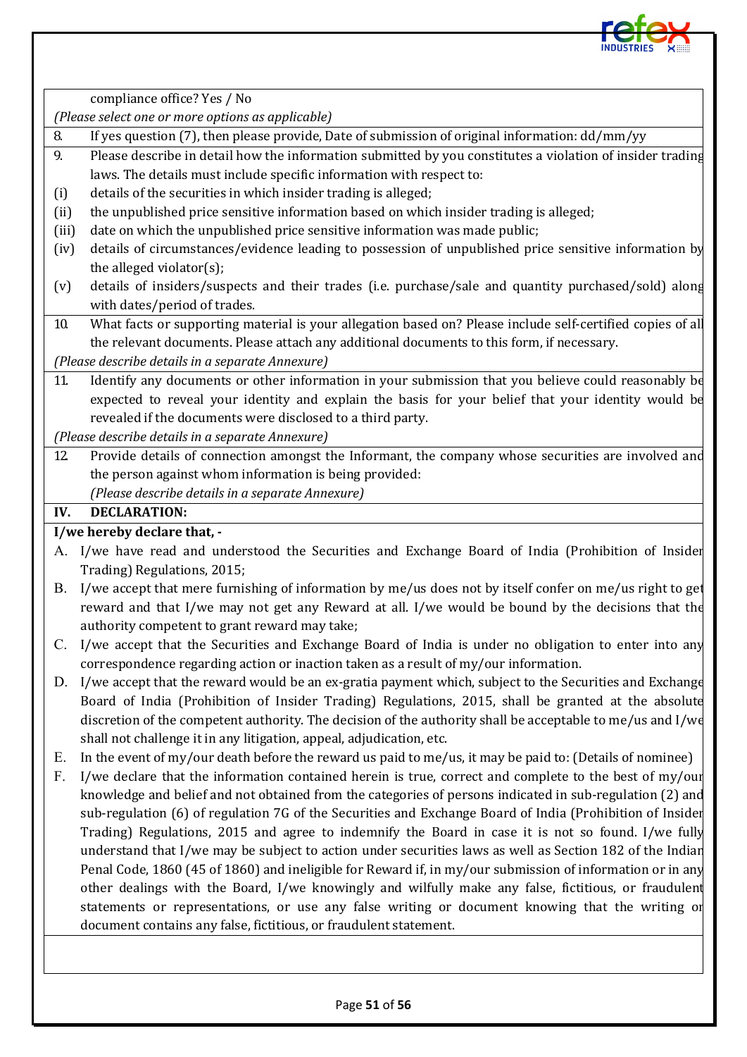

compliance office? Yes / No

*(Please select one or more options as applicable)*

8. If yes question (7), then please provide, Date of submission of original information: dd/mm/yy

- 9. Please describe in detail how the information submitted by you constitutes a violation of insider trading laws. The details must include specific information with respect to:
- (i) details of the securities in which insider trading is alleged;
- (ii) the unpublished price sensitive information based on which insider trading is alleged;
- (iii) date on which the unpublished price sensitive information was made public;
- (iv) details of circumstances/evidence leading to possession of unpublished price sensitive information by the alleged violator(s);
- (v) details of insiders/suspects and their trades (i.e. purchase/sale and quantity purchased/sold) along with dates/period of trades.
- 10. What facts or supporting material is your allegation based on? Please include self-certified copies of all the relevant documents. Please attach any additional documents to this form, if necessary.

*(Please describe details in a separate Annexure)*

11. Identify any documents or other information in your submission that you believe could reasonably be expected to reveal your identity and explain the basis for your belief that your identity would be revealed if the documents were disclosed to a third party.

*(Please describe details in a separate Annexure)*

12. Provide details of connection amongst the Informant, the company whose securities are involved and the person against whom information is being provided:  *(Please describe details in a separate Annexure)*

#### **IV. DECLARATION:**

#### **I/we hereby declare that, -**

- A. I/we have read and understood the Securities and Exchange Board of India (Prohibition of Insider Trading) Regulations, 2015;
- B. I/we accept that mere furnishing of information by me/us does not by itself confer on me/us right to get reward and that I/we may not get any Reward at all. I/we would be bound by the decisions that the authority competent to grant reward may take;
- C. I/we accept that the Securities and Exchange Board of India is under no obligation to enter into any correspondence regarding action or inaction taken as a result of my/our information.
- D. I/we accept that the reward would be an ex-gratia payment which, subject to the Securities and Exchange Board of India (Prohibition of Insider Trading) Regulations, 2015, shall be granted at the absolute discretion of the competent authority. The decision of the authority shall be acceptable to me/us and I/we shall not challenge it in any litigation, appeal, adjudication, etc.
- E. In the event of my/our death before the reward us paid to me/us, it may be paid to: (Details of nominee)
- F. I/we declare that the information contained herein is true, correct and complete to the best of my/our knowledge and belief and not obtained from the categories of persons indicated in sub-regulation (2) and sub-regulation (6) of regulation 7G of the Securities and Exchange Board of India (Prohibition of Insider Trading) Regulations, 2015 and agree to indemnify the Board in case it is not so found. I/we fully understand that I/we may be subject to action under securities laws as well as Section 182 of the Indian Penal Code, 1860 (45 of 1860) and ineligible for Reward if, in my/our submission of information or in any other dealings with the Board, I/we knowingly and wilfully make any false, fictitious, or fraudulent statements or representations, or use any false writing or document knowing that the writing or document contains any false, fictitious, or fraudulent statement.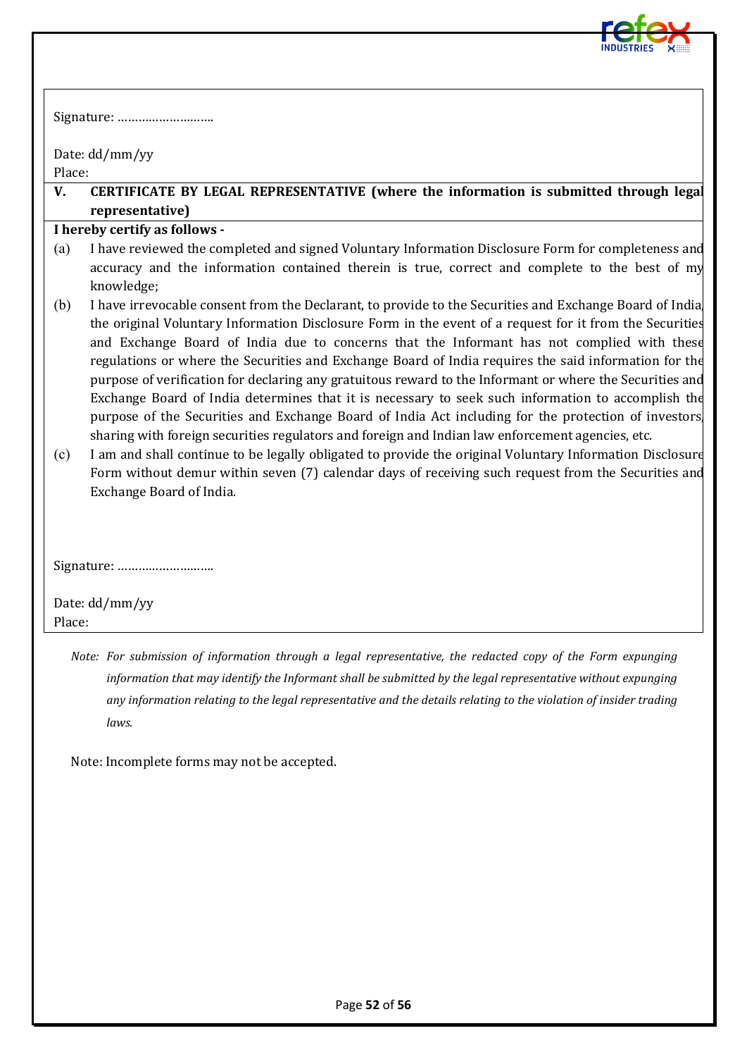

|        | Date: dd/mm/yy                                                                                                                                                                                                                                                                                                                                                                                                                                                                                                                                                                                                                                                                                                                                                                                                                                         |
|--------|--------------------------------------------------------------------------------------------------------------------------------------------------------------------------------------------------------------------------------------------------------------------------------------------------------------------------------------------------------------------------------------------------------------------------------------------------------------------------------------------------------------------------------------------------------------------------------------------------------------------------------------------------------------------------------------------------------------------------------------------------------------------------------------------------------------------------------------------------------|
| Place: |                                                                                                                                                                                                                                                                                                                                                                                                                                                                                                                                                                                                                                                                                                                                                                                                                                                        |
| V.     | CERTIFICATE BY LEGAL REPRESENTATIVE (where the information is submitted through legal<br>representative)                                                                                                                                                                                                                                                                                                                                                                                                                                                                                                                                                                                                                                                                                                                                               |
|        | I hereby certify as follows -                                                                                                                                                                                                                                                                                                                                                                                                                                                                                                                                                                                                                                                                                                                                                                                                                          |
| (a)    | I have reviewed the completed and signed Voluntary Information Disclosure Form for completeness and<br>accuracy and the information contained therein is true, correct and complete to the best of my<br>knowledge;                                                                                                                                                                                                                                                                                                                                                                                                                                                                                                                                                                                                                                    |
| (b)    | I have irrevocable consent from the Declarant, to provide to the Securities and Exchange Board of India<br>the original Voluntary Information Disclosure Form in the event of a request for it from the Securities<br>and Exchange Board of India due to concerns that the Informant has not complied with these<br>regulations or where the Securities and Exchange Board of India requires the said information for the<br>purpose of verification for declaring any gratuitous reward to the Informant or where the Securities and<br>Exchange Board of India determines that it is necessary to seek such information to accomplish the<br>purpose of the Securities and Exchange Board of India Act including for the protection of investors<br>sharing with foreign securities regulators and foreign and Indian law enforcement agencies, etc. |
| (c)    | I am and shall continue to be legally obligated to provide the original Voluntary Information Disclosure<br>Form without demur within seven (7) calendar days of receiving such request from the Securities and<br>Exchange Board of India.                                                                                                                                                                                                                                                                                                                                                                                                                                                                                                                                                                                                            |
|        |                                                                                                                                                                                                                                                                                                                                                                                                                                                                                                                                                                                                                                                                                                                                                                                                                                                        |
|        | Date: dd/mm/yy                                                                                                                                                                                                                                                                                                                                                                                                                                                                                                                                                                                                                                                                                                                                                                                                                                         |
| Place: |                                                                                                                                                                                                                                                                                                                                                                                                                                                                                                                                                                                                                                                                                                                                                                                                                                                        |
|        | Note: For submission of information through a legal representative, the redacted copy of the Form expunging                                                                                                                                                                                                                                                                                                                                                                                                                                                                                                                                                                                                                                                                                                                                            |

*information that may identify the Informant shall be submitted by the legal representative without expunging any information relating to the legal representative and the details relating to the violation of insider trading laws.*

Note: Incomplete forms may not be accepted.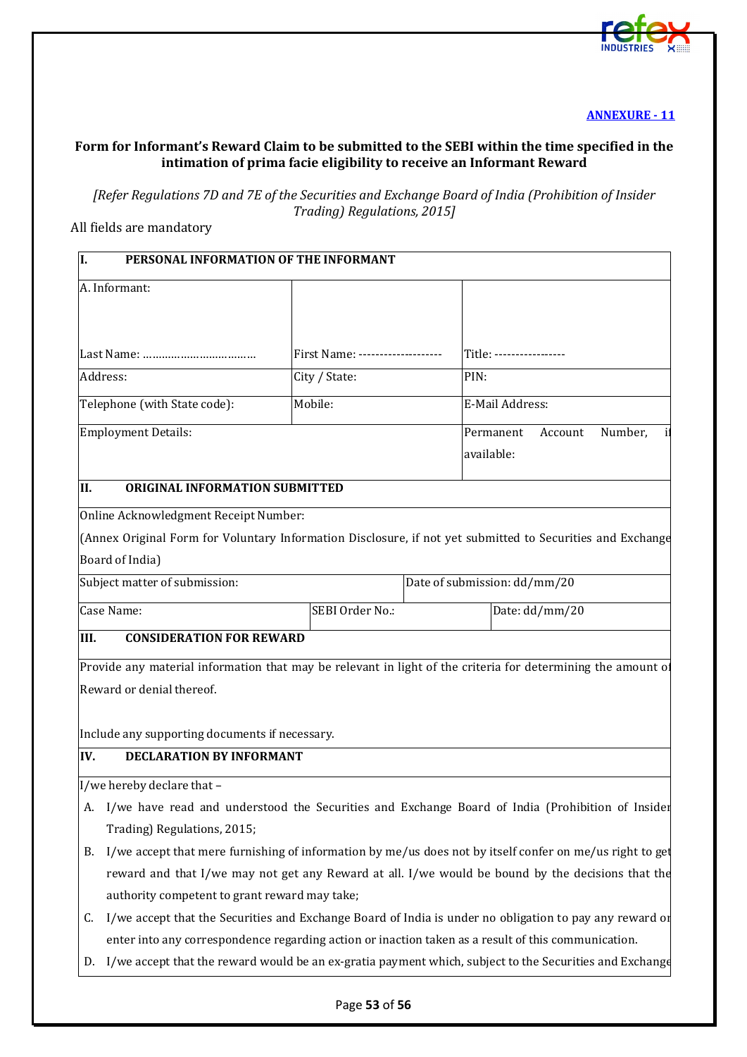

#### <span id="page-52-0"></span>**Form for Informant's Reward Claim to be submitted to the SEBI within the time specified in the intimation of prima facie eligibility to receive an Informant Reward**

*[Refer Regulations 7D and 7E of the Securities and Exchange Board of India (Prohibition of Insider Trading) Regulations, 2015]*

All fields are mandatory

| PERSONAL INFORMATION OF THE INFORMANT<br>I.                                                                   |                                                                                                          |                                                                                                              |  |  |  |  |
|---------------------------------------------------------------------------------------------------------------|----------------------------------------------------------------------------------------------------------|--------------------------------------------------------------------------------------------------------------|--|--|--|--|
| A. Informant:                                                                                                 |                                                                                                          |                                                                                                              |  |  |  |  |
|                                                                                                               |                                                                                                          |                                                                                                              |  |  |  |  |
|                                                                                                               | First Name: --------------------                                                                         | Title: -----------------                                                                                     |  |  |  |  |
| Address:                                                                                                      | City / State:                                                                                            | PIN:                                                                                                         |  |  |  |  |
| Telephone (with State code):                                                                                  | Mobile:                                                                                                  | E-Mail Address:                                                                                              |  |  |  |  |
| <b>Employment Details:</b>                                                                                    |                                                                                                          | Permanent<br>Account<br>Number,                                                                              |  |  |  |  |
|                                                                                                               |                                                                                                          | available:                                                                                                   |  |  |  |  |
| ORIGINAL INFORMATION SUBMITTED<br>II.                                                                         |                                                                                                          |                                                                                                              |  |  |  |  |
| Online Acknowledgment Receipt Number:                                                                         |                                                                                                          |                                                                                                              |  |  |  |  |
|                                                                                                               |                                                                                                          | (Annex Original Form for Voluntary Information Disclosure, if not yet submitted to Securities and Exchange   |  |  |  |  |
| Board of India)                                                                                               |                                                                                                          |                                                                                                              |  |  |  |  |
| Subject matter of submission:                                                                                 |                                                                                                          | Date of submission: dd/mm/20                                                                                 |  |  |  |  |
| Case Name:                                                                                                    | SEBI Order No.:                                                                                          | Date: dd/mm/20                                                                                               |  |  |  |  |
| III.<br><b>CONSIDERATION FOR REWARD</b>                                                                       |                                                                                                          |                                                                                                              |  |  |  |  |
|                                                                                                               |                                                                                                          | Provide any material information that may be relevant in light of the criteria for determining the amount of |  |  |  |  |
| Reward or denial thereof.                                                                                     |                                                                                                          |                                                                                                              |  |  |  |  |
|                                                                                                               |                                                                                                          |                                                                                                              |  |  |  |  |
| Include any supporting documents if necessary.                                                                |                                                                                                          |                                                                                                              |  |  |  |  |
| <b>DECLARATION BY INFORMANT</b><br>IV.                                                                        |                                                                                                          |                                                                                                              |  |  |  |  |
| I/we hereby declare that -                                                                                    |                                                                                                          |                                                                                                              |  |  |  |  |
|                                                                                                               | A. I/we have read and understood the Securities and Exchange Board of India (Prohibition of Insider      |                                                                                                              |  |  |  |  |
| Trading) Regulations, 2015;                                                                                   |                                                                                                          |                                                                                                              |  |  |  |  |
| В.                                                                                                            | I/we accept that mere furnishing of information by me/us does not by itself confer on me/us right to get |                                                                                                              |  |  |  |  |
|                                                                                                               | reward and that I/we may not get any Reward at all. I/we would be bound by the decisions that the        |                                                                                                              |  |  |  |  |
| authority competent to grant reward may take;                                                                 |                                                                                                          |                                                                                                              |  |  |  |  |
| C.                                                                                                            |                                                                                                          | I/we accept that the Securities and Exchange Board of India is under no obligation to pay any reward or      |  |  |  |  |
| enter into any correspondence regarding action or inaction taken as a result of this communication.           |                                                                                                          |                                                                                                              |  |  |  |  |
| I/we accept that the reward would be an ex-gratia payment which, subject to the Securities and Exchange<br>D. |                                                                                                          |                                                                                                              |  |  |  |  |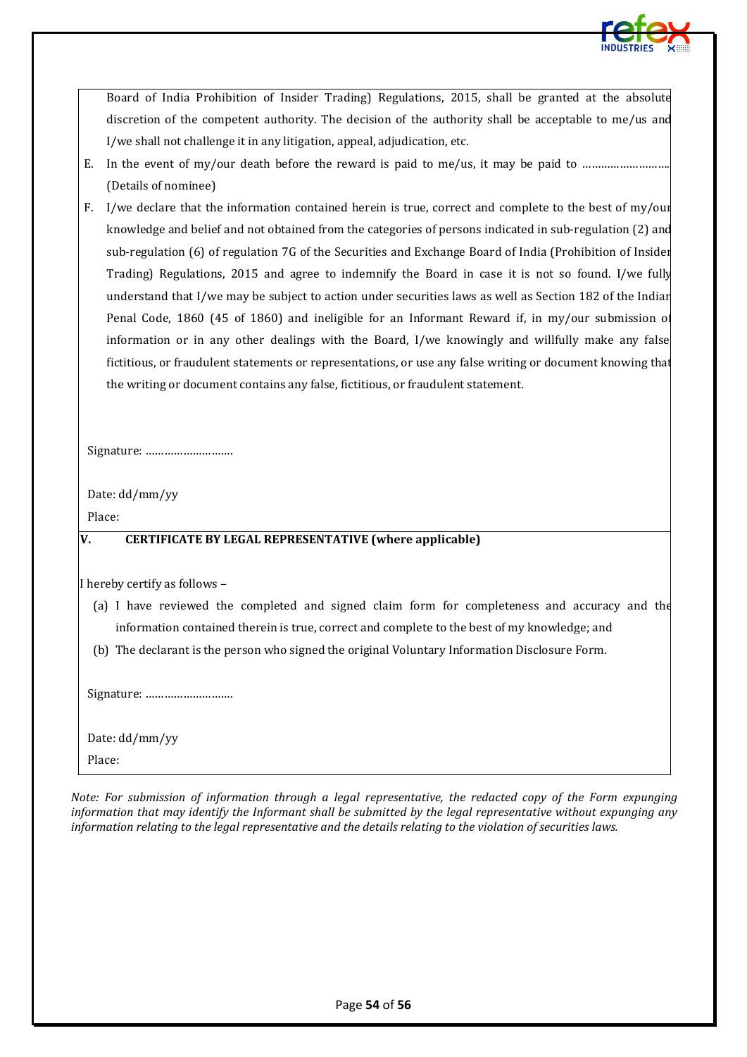

Board of India Prohibition of Insider Trading) Regulations, 2015, shall be granted at the absolute discretion of the competent authority. The decision of the authority shall be acceptable to me/us and I/we shall not challenge it in any litigation, appeal, adjudication, etc.

- E. In the event of my/our death before the reward is paid to me/us, it may be paid to …………………………………… (Details of nominee)
- F. I/we declare that the information contained herein is true, correct and complete to the best of my/our knowledge and belief and not obtained from the categories of persons indicated in sub-regulation (2) and sub-regulation (6) of regulation 7G of the Securities and Exchange Board of India (Prohibition of Insider Trading) Regulations, 2015 and agree to indemnify the Board in case it is not so found. I/we fully understand that I/we may be subject to action under securities laws as well as Section 182 of the Indian Penal Code, 1860 (45 of 1860) and ineligible for an Informant Reward if, in my/our submission of information or in any other dealings with the Board, I/we knowingly and willfully make any false fictitious, or fraudulent statements or representations, or use any false writing or document knowing that the writing or document contains any false, fictitious, or fraudulent statement.

Signature: ……………………….

Date: dd/mm/yy

Place:

#### **V. CERTIFICATE BY LEGAL REPRESENTATIVE (where applicable)**

I hereby certify as follows –

- (a) I have reviewed the completed and signed claim form for completeness and accuracy and the information contained therein is true, correct and complete to the best of my knowledge; and
- (b) The declarant is the person who signed the original Voluntary Information Disclosure Form.

Signature: ……………………….

Date: dd/mm/yy Place:

*Note: For submission of information through a legal representative, the redacted copy of the Form expunging information that may identify the Informant shall be submitted by the legal representative without expunging any information relating to the legal representative and the details relating to the violation of securities laws.*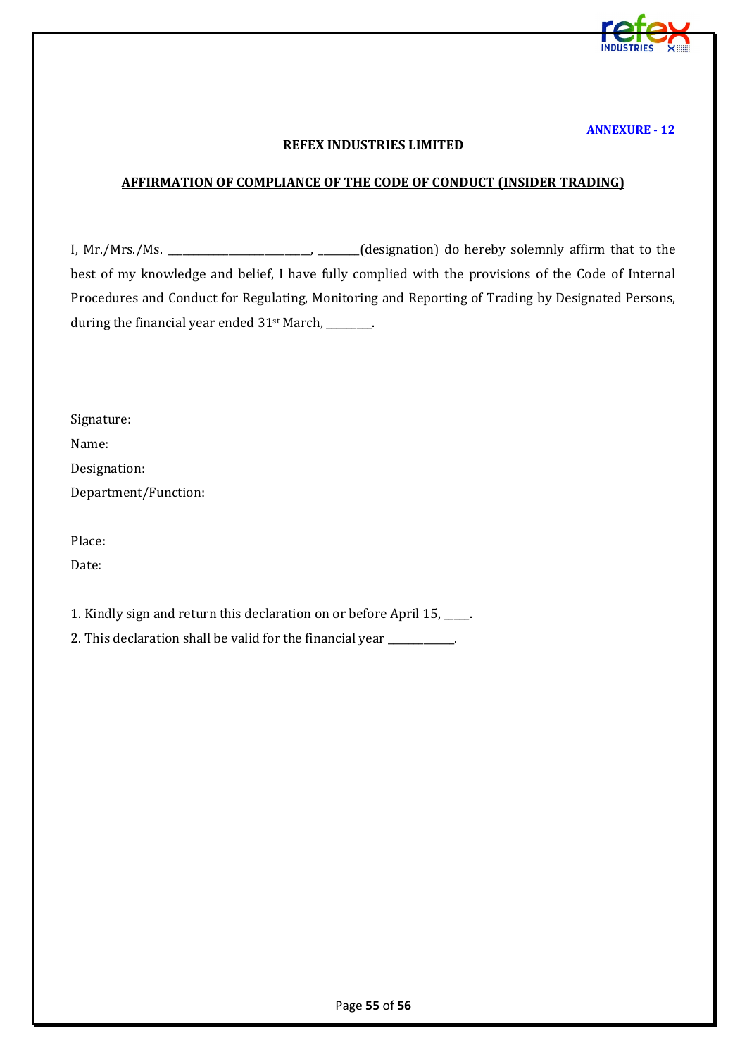

#### **REFEX INDUSTRIES LIMITED**

#### <span id="page-54-0"></span>**AFFIRMATION OF COMPLIANCE OF THE CODE OF CONDUCT (INSIDER TRADING)**

I, Mr./Mrs./Ms. \_\_\_\_\_\_\_\_\_\_\_\_\_\_\_\_\_\_\_\_\_\_\_\_\_\_\_\_, \_\_\_\_\_\_\_\_(designation) do hereby solemnly affirm that to the best of my knowledge and belief, I have fully complied with the provisions of the Code of Internal Procedures and Conduct for Regulating, Monitoring and Reporting of Trading by Designated Persons, during the financial year ended 31<sup>st</sup> March, \_\_\_\_\_\_\_.

Signature: Name: Designation: Department/Function:

Place:

Date:

<span id="page-54-1"></span>1. Kindly sign and return this declaration on or before April 15, \_\_\_\_\_.

2. This declaration shall be valid for the financial year \_\_\_\_\_\_\_\_\_\_.